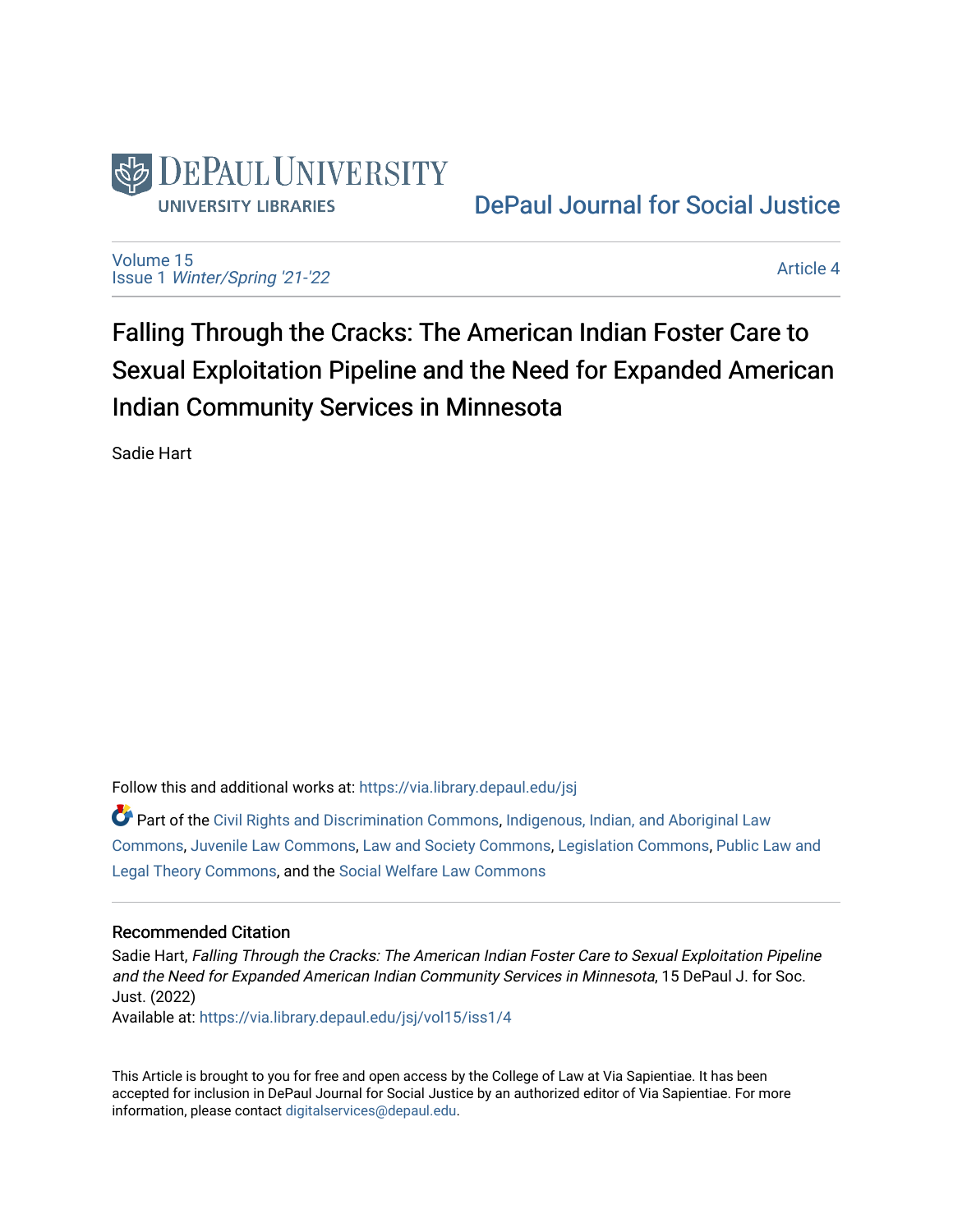

[DePaul Journal for Social Justice](https://via.library.depaul.edu/jsj) 

[Volume 15](https://via.library.depaul.edu/jsj/vol15) Issue 1 [Winter/Spring '21-'22](https://via.library.depaul.edu/jsj/vol15/iss1) 

[Article 4](https://via.library.depaul.edu/jsj/vol15/iss1/4) 

Falling Through the Cracks: The American Indian Foster Care to Sexual Exploitation Pipeline and the Need for Expanded American Indian Community Services in Minnesota

Sadie Hart

Follow this and additional works at: [https://via.library.depaul.edu/jsj](https://via.library.depaul.edu/jsj?utm_source=via.library.depaul.edu%2Fjsj%2Fvol15%2Fiss1%2F4&utm_medium=PDF&utm_campaign=PDFCoverPages) 

Part of the [Civil Rights and Discrimination Commons,](https://network.bepress.com/hgg/discipline/585?utm_source=via.library.depaul.edu%2Fjsj%2Fvol15%2Fiss1%2F4&utm_medium=PDF&utm_campaign=PDFCoverPages) [Indigenous, Indian, and Aboriginal Law](https://network.bepress.com/hgg/discipline/894?utm_source=via.library.depaul.edu%2Fjsj%2Fvol15%2Fiss1%2F4&utm_medium=PDF&utm_campaign=PDFCoverPages) [Commons](https://network.bepress.com/hgg/discipline/894?utm_source=via.library.depaul.edu%2Fjsj%2Fvol15%2Fiss1%2F4&utm_medium=PDF&utm_campaign=PDFCoverPages), [Juvenile Law Commons,](https://network.bepress.com/hgg/discipline/851?utm_source=via.library.depaul.edu%2Fjsj%2Fvol15%2Fiss1%2F4&utm_medium=PDF&utm_campaign=PDFCoverPages) [Law and Society Commons](https://network.bepress.com/hgg/discipline/853?utm_source=via.library.depaul.edu%2Fjsj%2Fvol15%2Fiss1%2F4&utm_medium=PDF&utm_campaign=PDFCoverPages), [Legislation Commons,](https://network.bepress.com/hgg/discipline/859?utm_source=via.library.depaul.edu%2Fjsj%2Fvol15%2Fiss1%2F4&utm_medium=PDF&utm_campaign=PDFCoverPages) [Public Law and](https://network.bepress.com/hgg/discipline/871?utm_source=via.library.depaul.edu%2Fjsj%2Fvol15%2Fiss1%2F4&utm_medium=PDF&utm_campaign=PDFCoverPages)  [Legal Theory Commons,](https://network.bepress.com/hgg/discipline/871?utm_source=via.library.depaul.edu%2Fjsj%2Fvol15%2Fiss1%2F4&utm_medium=PDF&utm_campaign=PDFCoverPages) and the [Social Welfare Law Commons](https://network.bepress.com/hgg/discipline/878?utm_source=via.library.depaul.edu%2Fjsj%2Fvol15%2Fiss1%2F4&utm_medium=PDF&utm_campaign=PDFCoverPages) 

## Recommended Citation

Sadie Hart, Falling Through the Cracks: The American Indian Foster Care to Sexual Exploitation Pipeline and the Need for Expanded American Indian Community Services in Minnesota, 15 DePaul J. for Soc. Just. (2022)

Available at: [https://via.library.depaul.edu/jsj/vol15/iss1/4](https://via.library.depaul.edu/jsj/vol15/iss1/4?utm_source=via.library.depaul.edu%2Fjsj%2Fvol15%2Fiss1%2F4&utm_medium=PDF&utm_campaign=PDFCoverPages) 

This Article is brought to you for free and open access by the College of Law at Via Sapientiae. It has been accepted for inclusion in DePaul Journal for Social Justice by an authorized editor of Via Sapientiae. For more information, please contact [digitalservices@depaul.edu](mailto:digitalservices@depaul.edu).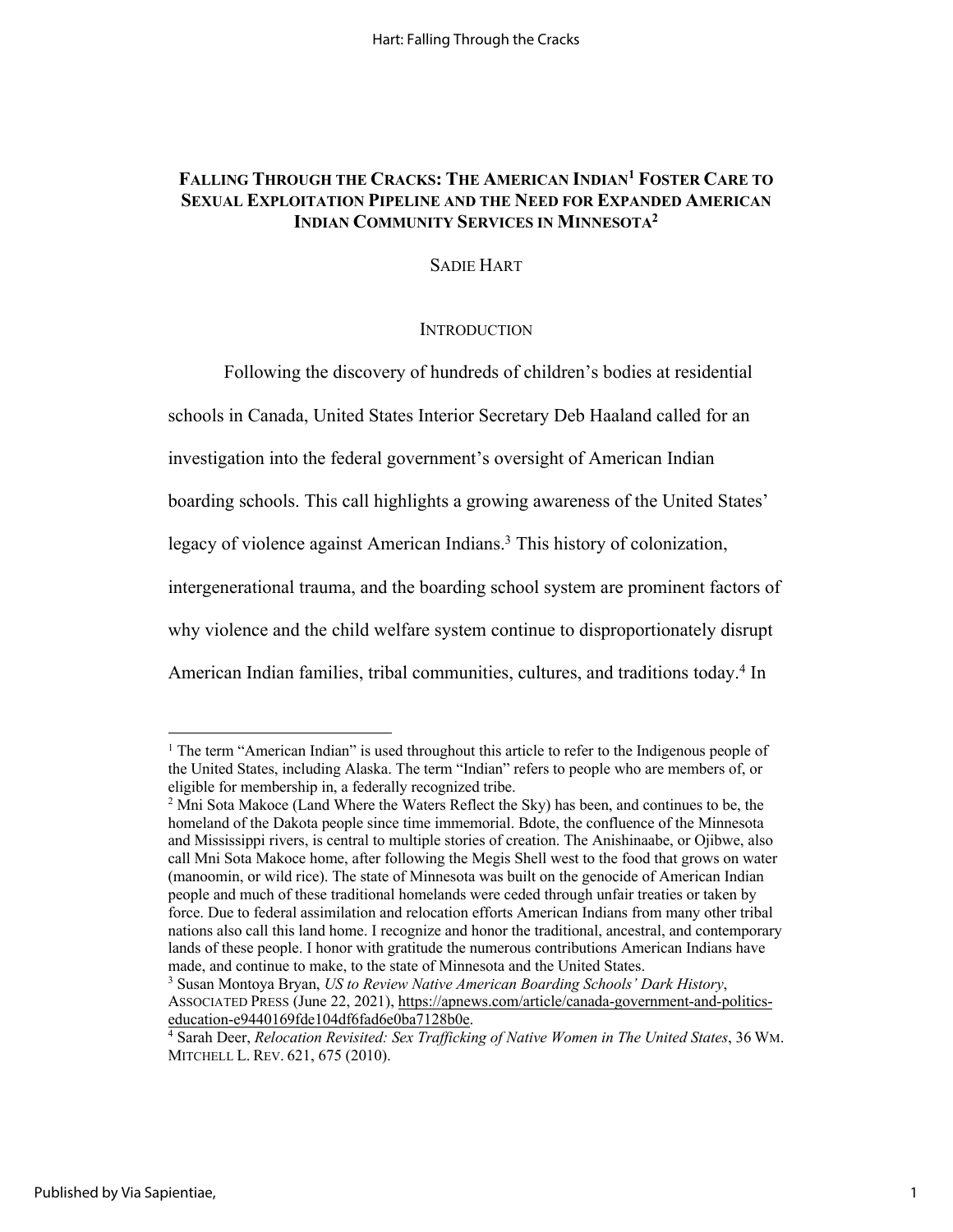# **FALLING THROUGH THE CRACKS: THE AMERICAN INDIAN1 FOSTER CARE TO SEXUAL EXPLOITATION PIPELINE AND THE NEED FOR EXPANDED AMERICAN INDIAN COMMUNITY SERVICES IN MINNESOTA2**

## SADIE HART

### **INTRODUCTION**

Following the discovery of hundreds of children's bodies at residential

schools in Canada, United States Interior Secretary Deb Haaland called for an

investigation into the federal government's oversight of American Indian

boarding schools. This call highlights a growing awareness of the United States'

legacy of violence against American Indians.<sup>3</sup> This history of colonization,

intergenerational trauma, and the boarding school system are prominent factors of

why violence and the child welfare system continue to disproportionately disrupt

American Indian families, tribal communities, cultures, and traditions today. <sup>4</sup> In

<sup>&</sup>lt;sup>1</sup> The term "American Indian" is used throughout this article to refer to the Indigenous people of the United States, including Alaska. The term "Indian" refers to people who are members of, or eligible for membership in, a federally recognized tribe.

 $<sup>2</sup>$  Mni Sota Makoce (Land Where the Waters Reflect the Sky) has been, and continues to be, the</sup> homeland of the Dakota people since time immemorial. Bdote, the confluence of the Minnesota and Mississippi rivers, is central to multiple stories of creation. The Anishinaabe, or Ojibwe, also call Mni Sota Makoce home, after following the Megis Shell west to the food that grows on water (manoomin, or wild rice). The state of Minnesota was built on the genocide of American Indian people and much of these traditional homelands were ceded through unfair treaties or taken by force. Due to federal assimilation and relocation efforts American Indians from many other tribal nations also call this land home. I recognize and honor the traditional, ancestral, and contemporary lands of these people. I honor with gratitude the numerous contributions American Indians have made, and continue to make, to the state of Minnesota and the United States.

<sup>3</sup> Susan Montoya Bryan, *US to Review Native American Boarding Schools' Dark History*, ASSOCIATED PRESS (June 22, 2021), https://apnews.com/article/canada-government-and-politics-education-e9440169fde104df6fad6e0ba7128b0e.

<sup>&</sup>lt;sup>4</sup> Sarah Deer, *Relocation Revisited: Sex Trafficking of Native Women in The United States*, 36 WM. MITCHELL L. REV. 621, 675 (2010).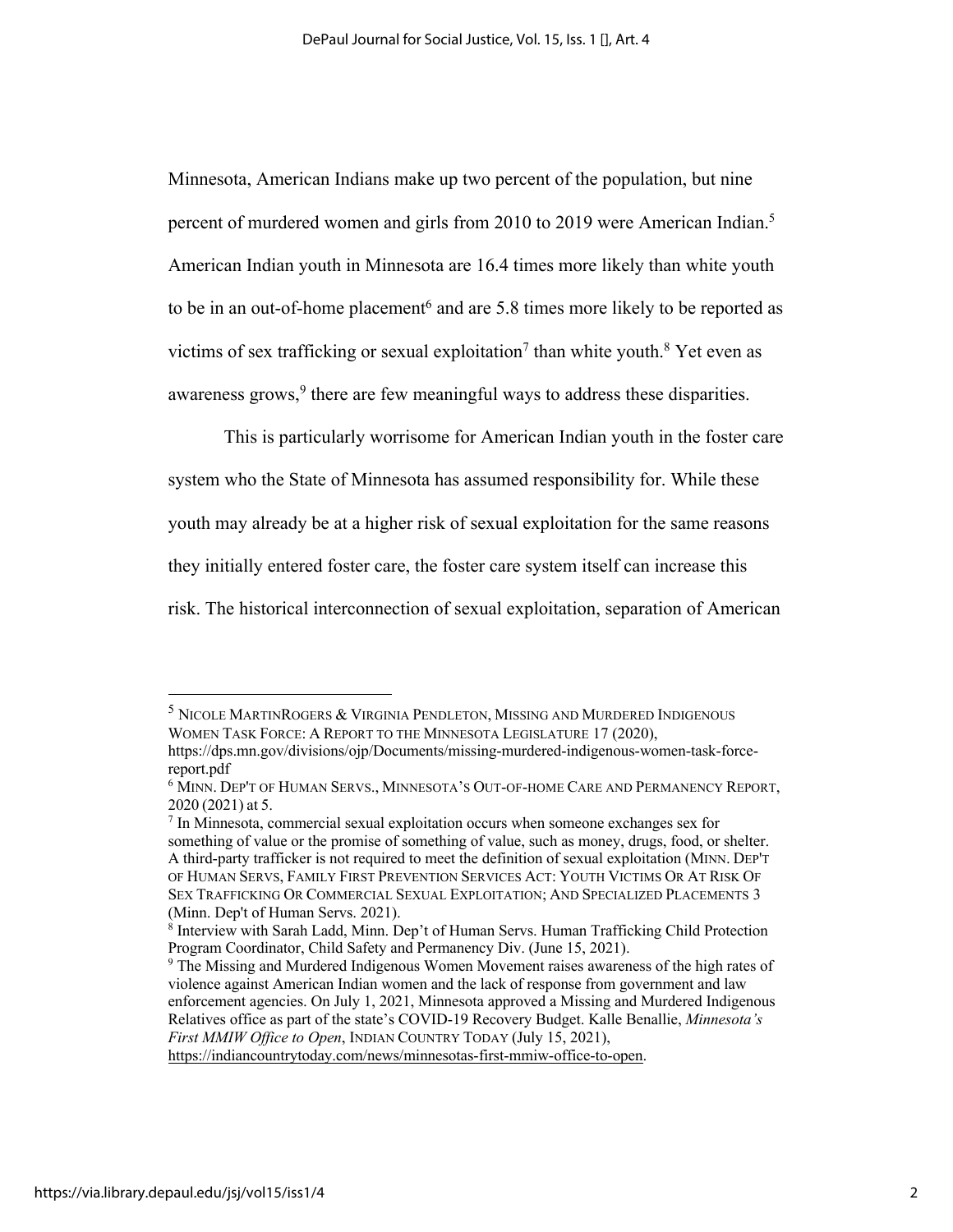Minnesota, American Indians make up two percent of the population, but nine percent of murdered women and girls from 2010 to 2019 were American Indian.<sup>5</sup> American Indian youth in Minnesota are 16.4 times more likely than white youth to be in an out-of-home placement<sup>6</sup> and are 5.8 times more likely to be reported as victims of sex trafficking or sexual exploitation<sup>7</sup> than white youth.<sup>8</sup> Yet even as awareness grows,  $9$  there are few meaningful ways to address these disparities.

This is particularly worrisome for American Indian youth in the foster care system who the State of Minnesota has assumed responsibility for. While these youth may already be at a higher risk of sexual exploitation for the same reasons they initially entered foster care, the foster care system itself can increase this risk. The historical interconnection of sexual exploitation, separation of American

<sup>&</sup>lt;sup>5</sup> NICOLE MARTINROGERS & VIRGINIA PENDLETON, MISSING AND MURDERED INDIGENOUS WOMEN TASK FORCE: A REPORT TO THE MINNESOTA LEGISLATURE 17 (2020), https://dps.mn.gov/divisions/ojp/Documents/missing-murdered-indigenous-women-task-force-

report.pdf

<sup>6</sup> MINN. DEP'T OF HUMAN SERVS., MINNESOTA'S OUT-OF-HOME CARE AND PERMANENCY REPORT, 2020 (2021) at 5.

<sup>7</sup> In Minnesota, commercial sexual exploitation occurs when someone exchanges sex for something of value or the promise of something of value, such as money, drugs, food, or shelter. A third-party trafficker is not required to meet the definition of sexual exploitation (MINN. DEP'T OF HUMAN SERVS, FAMILY FIRST PREVENTION SERVICES ACT: YOUTH VICTIMS OR AT RISK OF SEX TRAFFICKING OR COMMERCIAL SEXUAL EXPLOITATION; AND SPECIALIZED PLACEMENTS 3 (Minn. Dep't of Human Servs. 2021).

<sup>&</sup>lt;sup>8</sup> Interview with Sarah Ladd, Minn. Dep't of Human Servs. Human Trafficking Child Protection Program Coordinator, Child Safety and Permanency Div. (June 15, 2021).

<sup>&</sup>lt;sup>9</sup> The Missing and Murdered Indigenous Women Movement raises awareness of the high rates of violence against American Indian women and the lack of response from government and law enforcement agencies. On July 1, 2021, Minnesota approved a Missing and Murdered Indigenous Relatives office as part of the state's COVID-19 Recovery Budget. Kalle Benallie, *Minnesota's First MMIW Office to Open*, INDIAN COUNTRY TODAY (July 15, 2021),

https://indiancountrytoday.com/news/minnesotas-first-mmiw-office-to-open.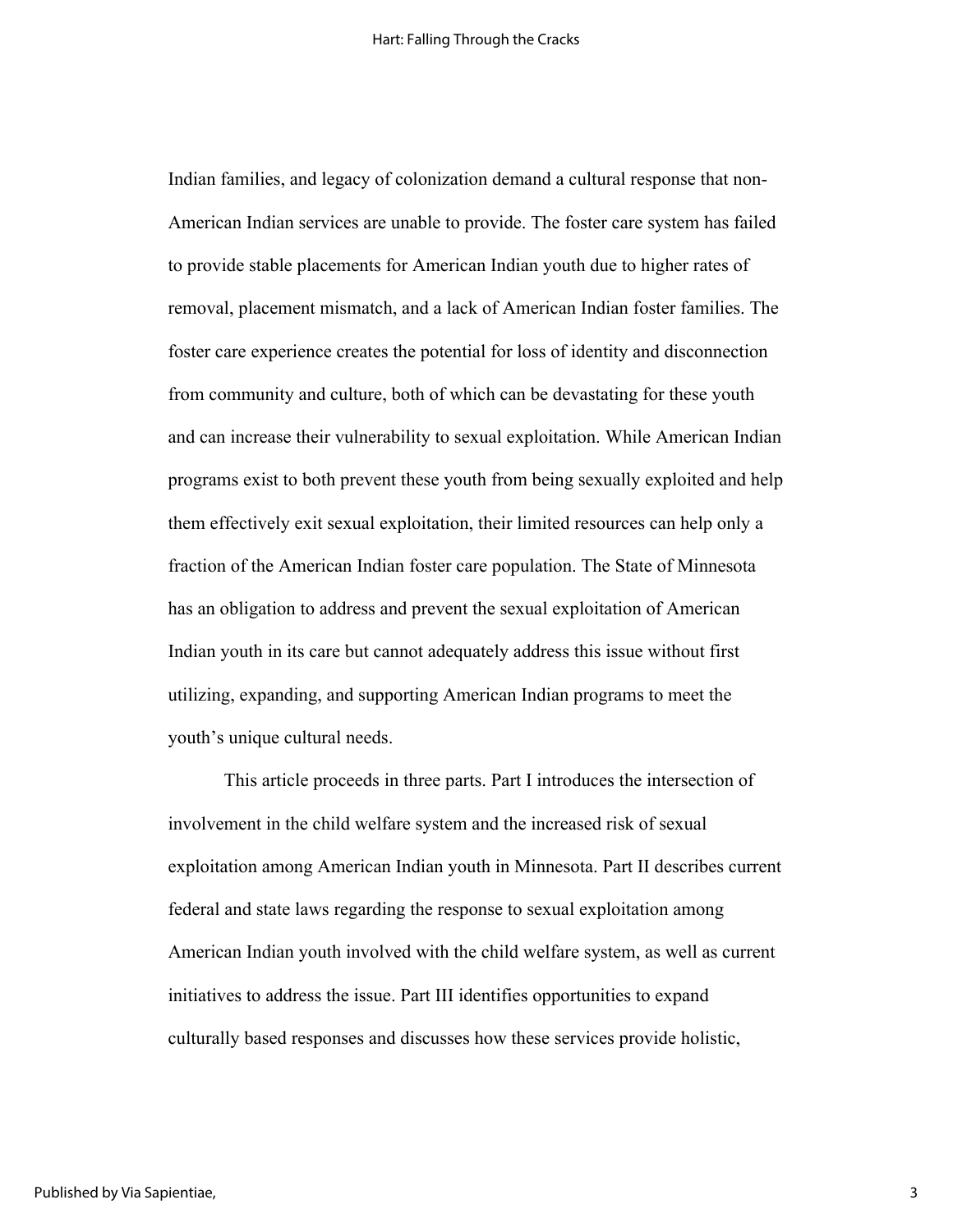Indian families, and legacy of colonization demand a cultural response that non-American Indian services are unable to provide. The foster care system has failed to provide stable placements for American Indian youth due to higher rates of removal, placement mismatch, and a lack of American Indian foster families. The foster care experience creates the potential for loss of identity and disconnection from community and culture, both of which can be devastating for these youth and can increase their vulnerability to sexual exploitation. While American Indian programs exist to both prevent these youth from being sexually exploited and help them effectively exit sexual exploitation, their limited resources can help only a fraction of the American Indian foster care population. The State of Minnesota has an obligation to address and prevent the sexual exploitation of American Indian youth in its care but cannot adequately address this issue without first utilizing, expanding, and supporting American Indian programs to meet the youth's unique cultural needs.

This article proceeds in three parts. Part I introduces the intersection of involvement in the child welfare system and the increased risk of sexual exploitation among American Indian youth in Minnesota. Part II describes current federal and state laws regarding the response to sexual exploitation among American Indian youth involved with the child welfare system, as well as current initiatives to address the issue. Part III identifies opportunities to expand culturally based responses and discusses how these services provide holistic,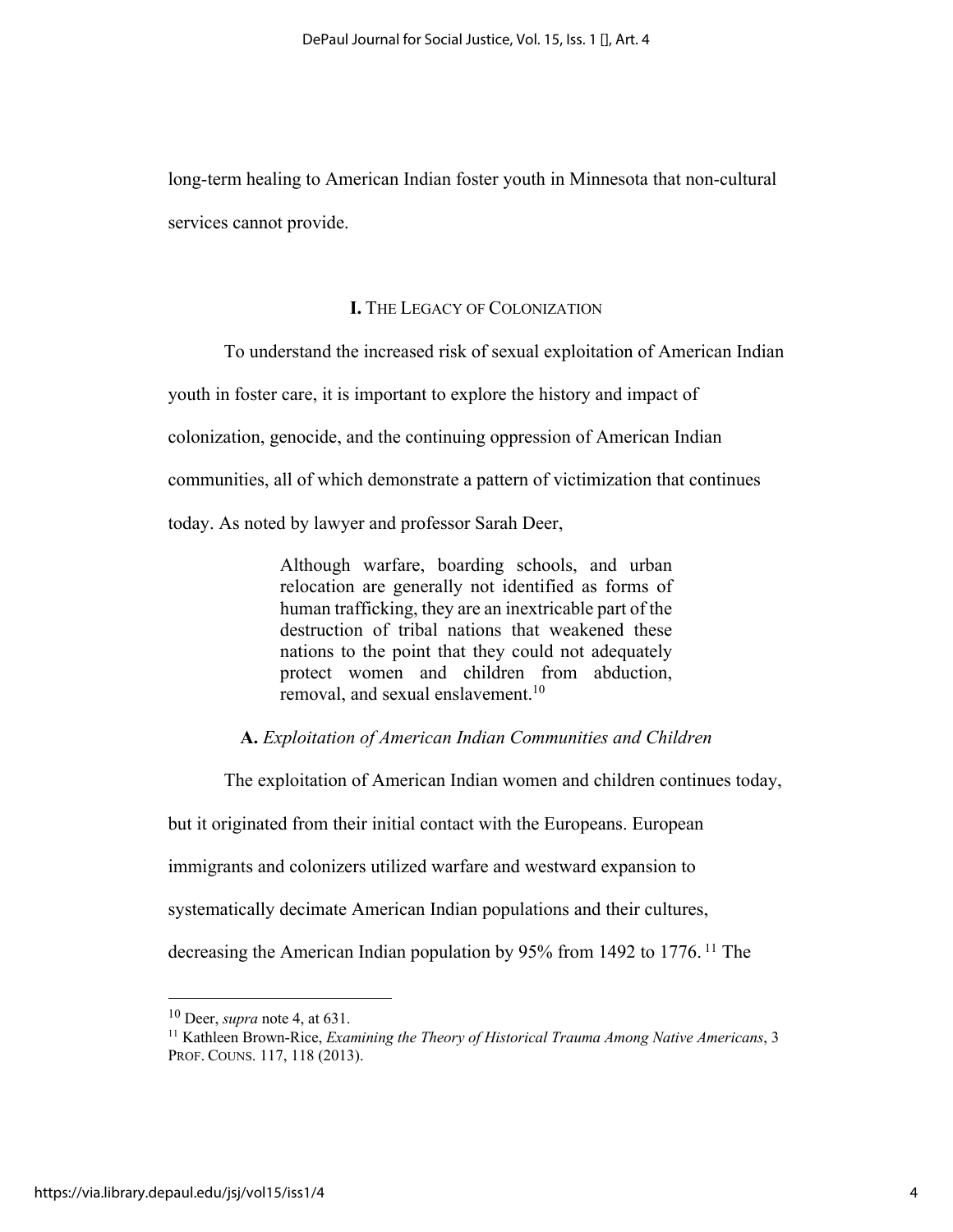long-term healing to American Indian foster youth in Minnesota that non-cultural services cannot provide.

## **I.** THE LEGACY OF COLONIZATION

To understand the increased risk of sexual exploitation of American Indian

youth in foster care, it is important to explore the history and impact of

colonization, genocide, and the continuing oppression of American Indian

communities, all of which demonstrate a pattern of victimization that continues

today. As noted by lawyer and professor Sarah Deer,

Although warfare, boarding schools, and urban relocation are generally not identified as forms of human trafficking, they are an inextricable part of the destruction of tribal nations that weakened these nations to the point that they could not adequately protect women and children from abduction, removal, and sexual enslavement.<sup>10</sup>

## **A.** *Exploitation of American Indian Communities and Children*

The exploitation of American Indian women and children continues today,

but it originated from their initial contact with the Europeans. European

immigrants and colonizers utilized warfare and westward expansion to

systematically decimate American Indian populations and their cultures,

decreasing the American Indian population by 95% from 1492 to 1776.<sup>11</sup> The

<sup>10</sup> Deer, *supra* note 4, at 631.

<sup>11</sup> Kathleen Brown-Rice, *Examining the Theory of Historical Trauma Among Native Americans*, 3 PROF. COUNS. 117, 118 (2013).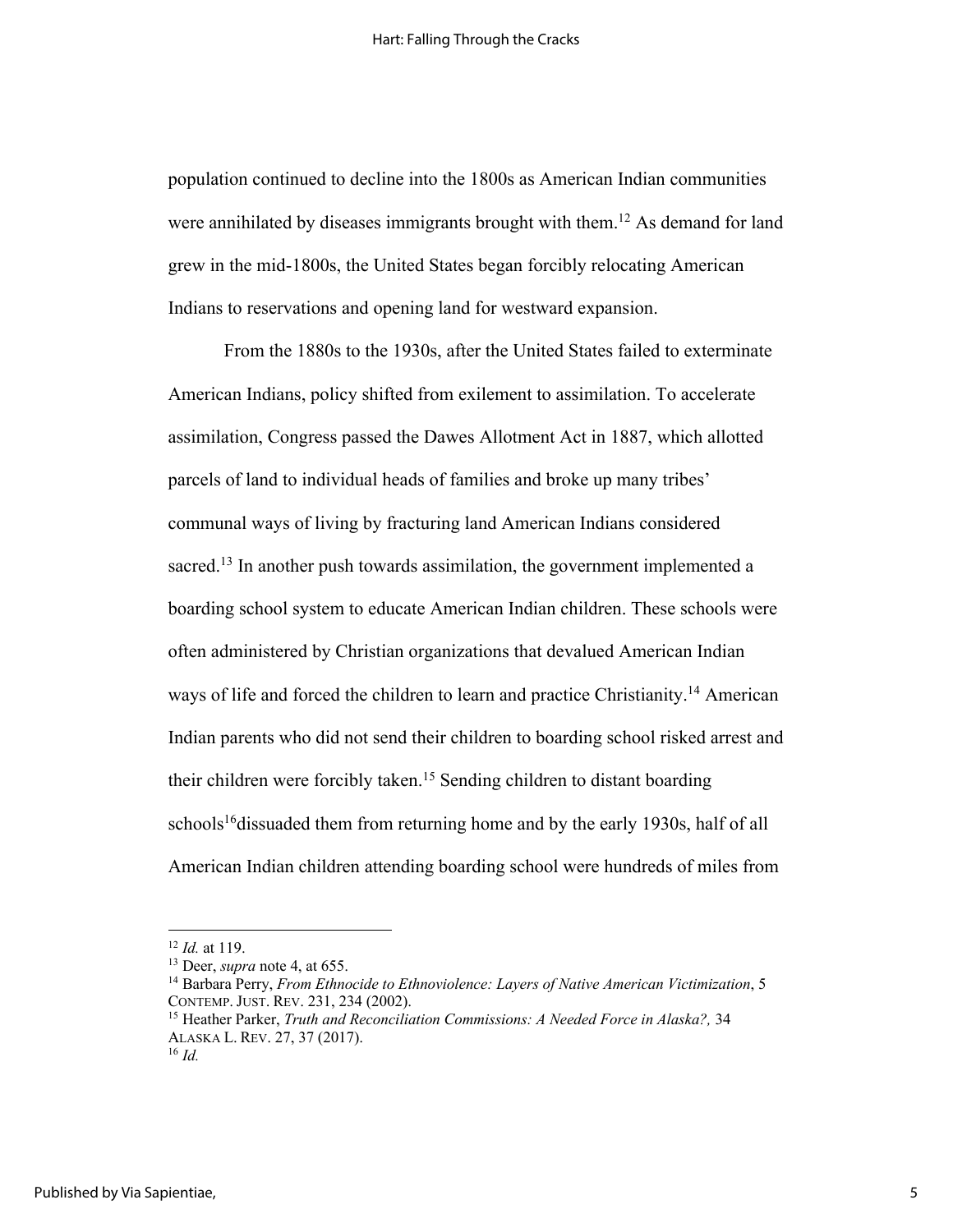population continued to decline into the 1800s as American Indian communities were annihilated by diseases immigrants brought with them.<sup>12</sup> As demand for land grew in the mid-1800s, the United States began forcibly relocating American Indians to reservations and opening land for westward expansion.

From the 1880s to the 1930s, after the United States failed to exterminate American Indians, policy shifted from exilement to assimilation. To accelerate assimilation, Congress passed the Dawes Allotment Act in 1887, which allotted parcels of land to individual heads of families and broke up many tribes' communal ways of living by fracturing land American Indians considered sacred.<sup>13</sup> In another push towards assimilation, the government implemented a boarding school system to educate American Indian children. These schools were often administered by Christian organizations that devalued American Indian ways of life and forced the children to learn and practice Christianity.<sup>14</sup> American Indian parents who did not send their children to boarding school risked arrest and their children were forcibly taken.15 Sending children to distant boarding schools<sup>16</sup> dissuaded them from returning home and by the early 1930s, half of all American Indian children attending boarding school were hundreds of miles from

<sup>12</sup> *Id.* at 119.

<sup>13</sup> Deer, *supra* note 4, at 655.

<sup>14</sup> Barbara Perry, *From Ethnocide to Ethnoviolence: Layers of Native American Victimization*, 5 CONTEMP. JUST. REV. 231, 234 (2002).

<sup>15</sup> Heather Parker, *Truth and Reconciliation Commissions: A Needed Force in Alaska?,* 34 ALASKA L. REV. 27, 37 (2017).

<sup>16</sup> *Id.*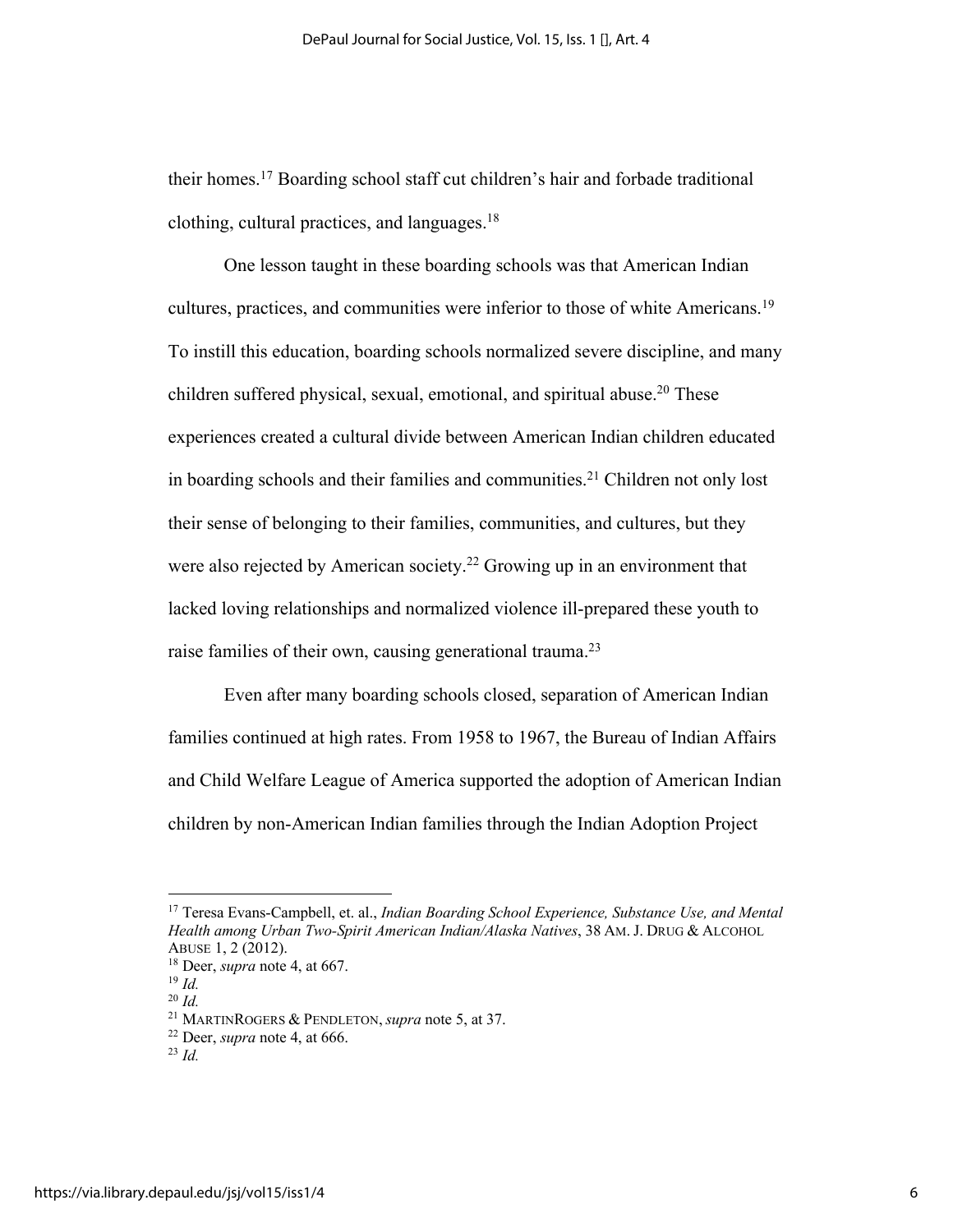their homes. <sup>17</sup> Boarding school staff cut children's hair and forbade traditional clothing, cultural practices, and languages.18

One lesson taught in these boarding schools was that American Indian cultures, practices, and communities were inferior to those of white Americans.<sup>19</sup> To instill this education, boarding schools normalized severe discipline, and many children suffered physical, sexual, emotional, and spiritual abuse.<sup>20</sup> These experiences created a cultural divide between American Indian children educated in boarding schools and their families and communities.<sup>21</sup> Children not only lost their sense of belonging to their families, communities, and cultures, but they were also rejected by American society.<sup>22</sup> Growing up in an environment that lacked loving relationships and normalized violence ill-prepared these youth to raise families of their own, causing generational trauma.<sup>23</sup>

Even after many boarding schools closed, separation of American Indian families continued at high rates. From 1958 to 1967, the Bureau of Indian Affairs and Child Welfare League of America supported the adoption of American Indian children by non-American Indian families through the Indian Adoption Project

<sup>17</sup> Teresa Evans-Campbell, et. al., *Indian Boarding School Experience, Substance Use, and Mental Health among Urban Two-Spirit American Indian/Alaska Natives*, 38 AM. J. DRUG & ALCOHOL ABUSE 1, 2 (2012).

<sup>18</sup> Deer, *supra* note 4, at 667.

<sup>19</sup> *Id.*

<sup>20</sup> *Id.*

<sup>21</sup> MARTINROGERS & PENDLETON, *supra* note 5, at 37.

<sup>22</sup> Deer, *supra* note 4, at 666.

<sup>23</sup> *Id.*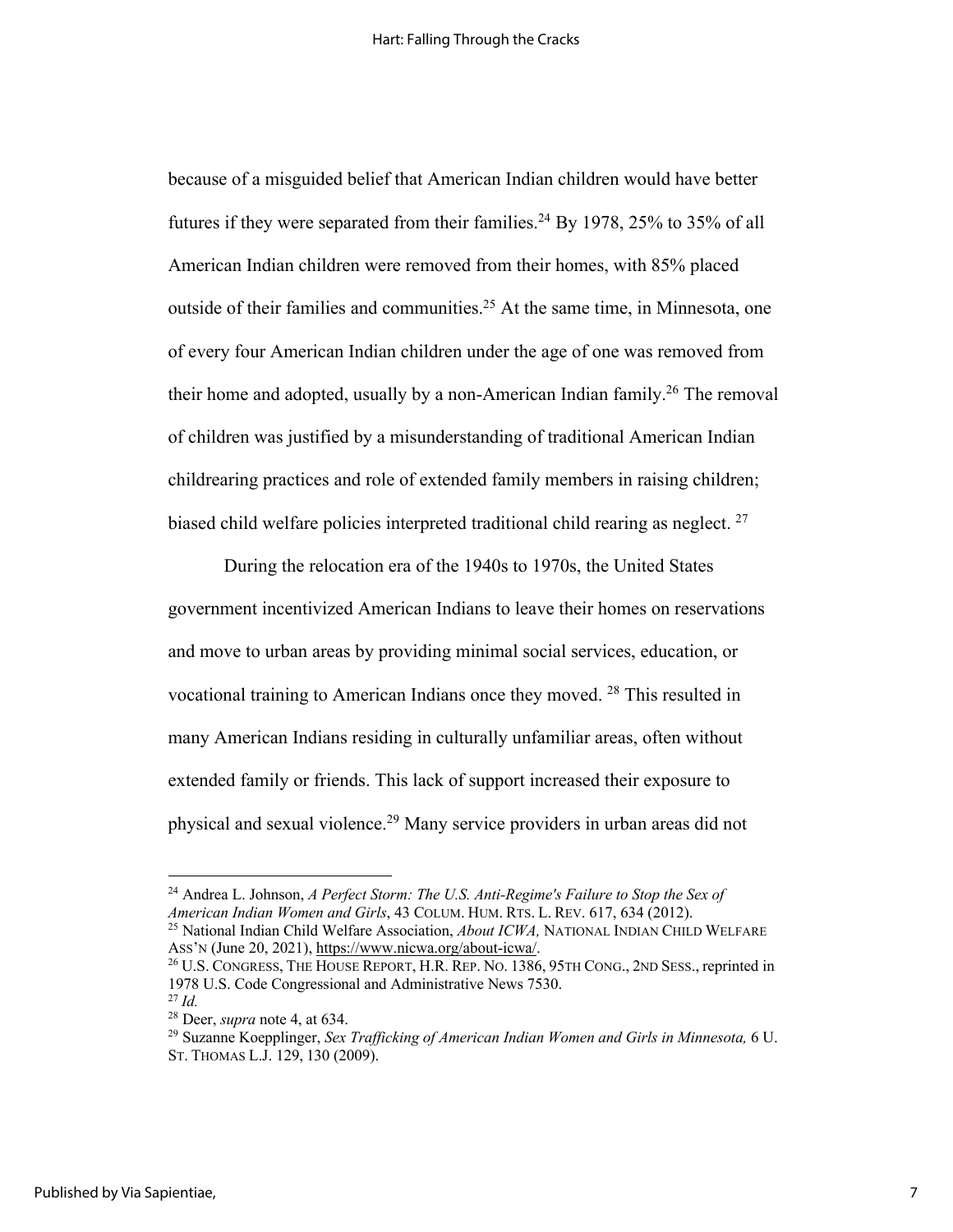because of a misguided belief that American Indian children would have better futures if they were separated from their families.<sup>24</sup> By 1978, 25% to 35% of all American Indian children were removed from their homes, with 85% placed outside of their families and communities.<sup>25</sup> At the same time, in Minnesota, one of every four American Indian children under the age of one was removed from their home and adopted, usually by a non-American Indian family.<sup>26</sup> The removal of children was justified by a misunderstanding of traditional American Indian childrearing practices and role of extended family members in raising children; biased child welfare policies interpreted traditional child rearing as neglect.  $27$ 

During the relocation era of the 1940s to 1970s, the United States government incentivized American Indians to leave their homes on reservations and move to urban areas by providing minimal social services, education, or vocational training to American Indians once they moved. 28 This resulted in many American Indians residing in culturally unfamiliar areas, often without extended family or friends. This lack of support increased their exposure to physical and sexual violence.29 Many service providers in urban areas did not

<sup>24</sup> Andrea L. Johnson, *A Perfect Storm: The U.S. Anti-Regime's Failure to Stop the Sex of American Indian Women and Girls*, 43 COLUM. HUM. RTS. L. REV. 617, 634 (2012).

<sup>25</sup> National Indian Child Welfare Association, *About ICWA,* NATIONAL INDIAN CHILD WELFARE Ass'N (June 20, 2021), https://www.nicwa.org/about-icwa/.<br><sup>26</sup> U.S. CONGRESS, THE HOUSE REPORT, H.R. REP. NO. 1386, 95TH CONG., 2ND SESS., reprinted in

<sup>1978</sup> U.S. Code Congressional and Administrative News 7530. <sup>27</sup> *Id.*

<sup>28</sup> Deer, *supra* note 4, at 634.

<sup>29</sup> Suzanne Koepplinger, *Sex Trafficking of American Indian Women and Girls in Minnesota,* 6 U. ST. THOMAS L.J. 129, 130 (2009).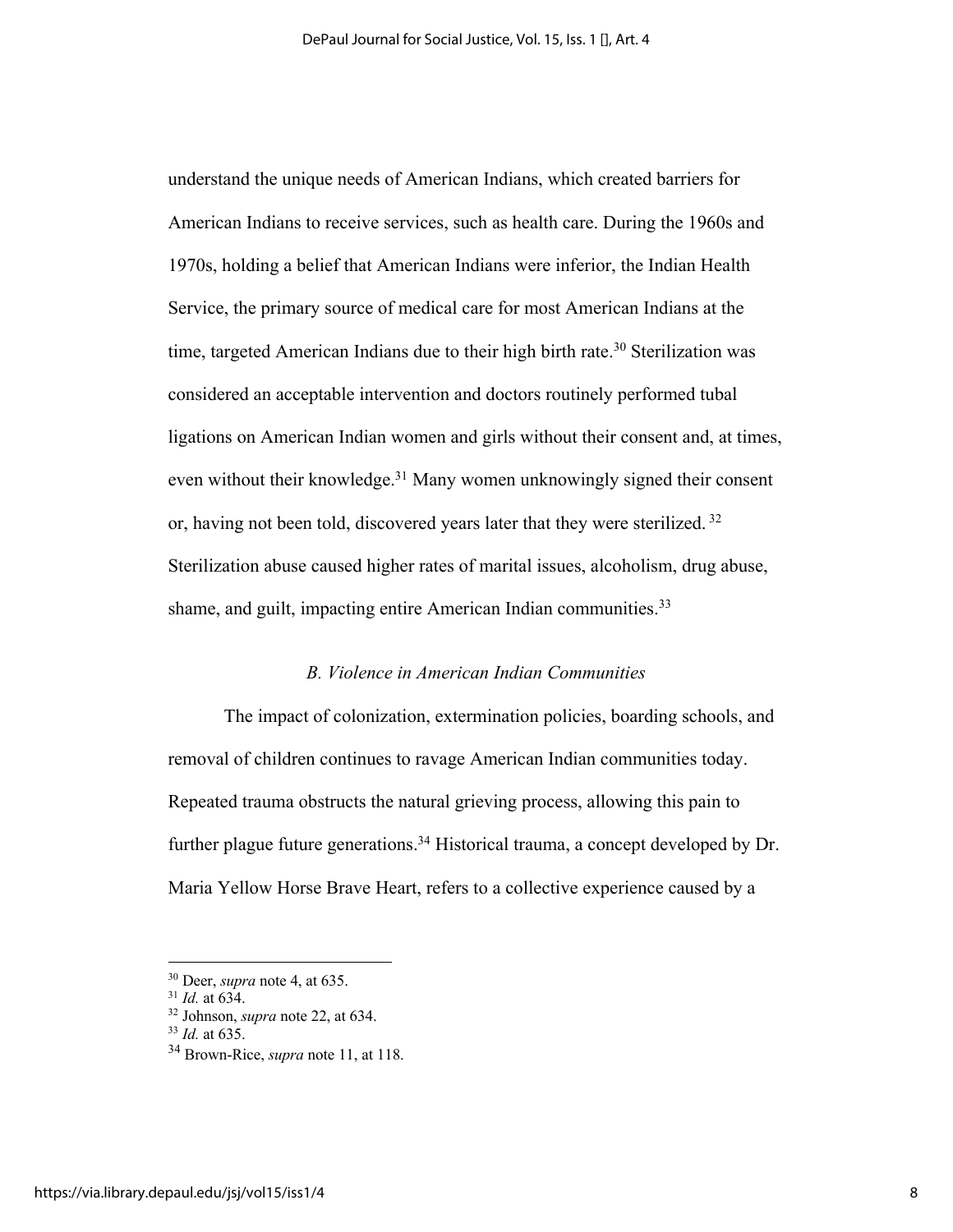understand the unique needs of American Indians, which created barriers for American Indians to receive services, such as health care. During the 1960s and 1970s, holding a belief that American Indians were inferior, the Indian Health Service, the primary source of medical care for most American Indians at the time, targeted American Indians due to their high birth rate.<sup>30</sup> Sterilization was considered an acceptable intervention and doctors routinely performed tubal ligations on American Indian women and girls without their consent and, at times, even without their knowledge.<sup>31</sup> Many women unknowingly signed their consent or, having not been told, discovered years later that they were sterilized. <sup>32</sup> Sterilization abuse caused higher rates of marital issues, alcoholism, drug abuse, shame, and guilt, impacting entire American Indian communities.<sup>33</sup>

#### *B. Violence in American Indian Communities*

The impact of colonization, extermination policies, boarding schools, and removal of children continues to ravage American Indian communities today. Repeated trauma obstructs the natural grieving process, allowing this pain to further plague future generations.<sup>34</sup> Historical trauma, a concept developed by Dr. Maria Yellow Horse Brave Heart, refers to a collective experience caused by a

<sup>30</sup> Deer, *supra* note 4, at 635.

<sup>31</sup> *Id.* at 634.

<sup>32</sup> Johnson, *supra* note 22, at 634.

<sup>33</sup> *Id.* at 635.

<sup>34</sup> Brown-Rice, *supra* note 11, at 118.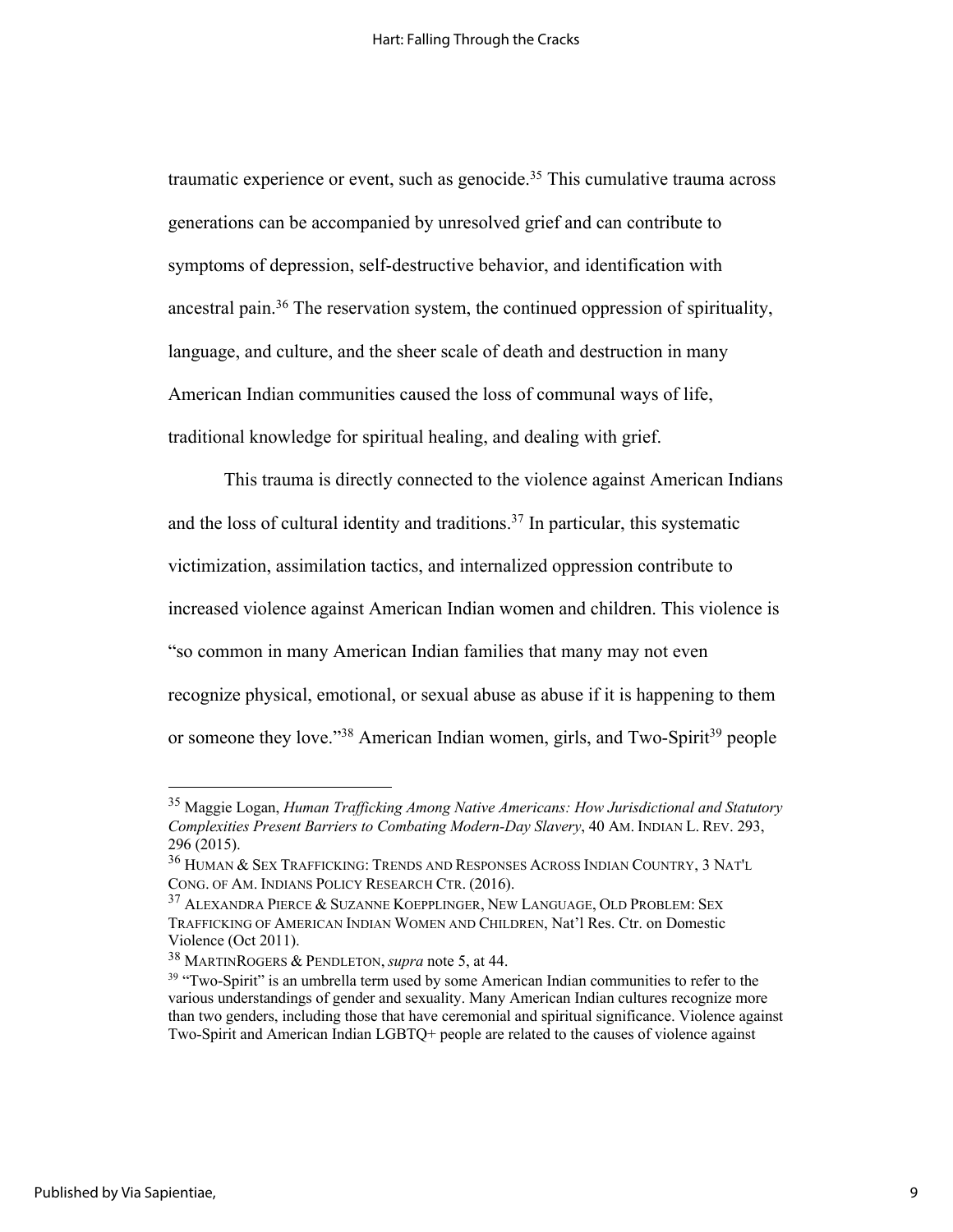traumatic experience or event, such as genocide.<sup>35</sup> This cumulative trauma across generations can be accompanied by unresolved grief and can contribute to symptoms of depression, self-destructive behavior, and identification with ancestral pain.36 The reservation system, the continued oppression of spirituality, language, and culture, and the sheer scale of death and destruction in many American Indian communities caused the loss of communal ways of life, traditional knowledge for spiritual healing, and dealing with grief.

This trauma is directly connected to the violence against American Indians and the loss of cultural identity and traditions.<sup>37</sup> In particular, this systematic victimization, assimilation tactics, and internalized oppression contribute to increased violence against American Indian women and children. This violence is "so common in many American Indian families that many may not even recognize physical, emotional, or sexual abuse as abuse if it is happening to them or someone they love."<sup>38</sup> American Indian women, girls, and Two-Spirit<sup>39</sup> people

<sup>35</sup> Maggie Logan, *Human Trafficking Among Native Americans: How Jurisdictional and Statutory Complexities Present Barriers to Combating Modern-Day Slavery*, 40 AM. INDIAN L. REV. 293, 296 (2015).

<sup>36</sup> HUMAN & SEX TRAFFICKING: TRENDS AND RESPONSES ACROSS INDIAN COUNTRY, 3 NAT'L CONG. OF AM. INDIANS POLICY RESEARCH CTR. (2016).

<sup>37</sup> ALEXANDRA PIERCE & SUZANNE KOEPPLINGER, NEW LANGUAGE, OLD PROBLEM: SEX TRAFFICKING OF AMERICAN INDIAN WOMEN AND CHILDREN, Nat'l Res. Ctr. on Domestic Violence (Oct 2011).

<sup>38</sup> MARTINROGERS & PENDLETON, *supra* note 5, at 44.

<sup>&</sup>lt;sup>39</sup> "Two-Spirit" is an umbrella term used by some American Indian communities to refer to the various understandings of gender and sexuality. Many American Indian cultures recognize more than two genders, including those that have ceremonial and spiritual significance. Violence against Two-Spirit and American Indian LGBTQ+ people are related to the causes of violence against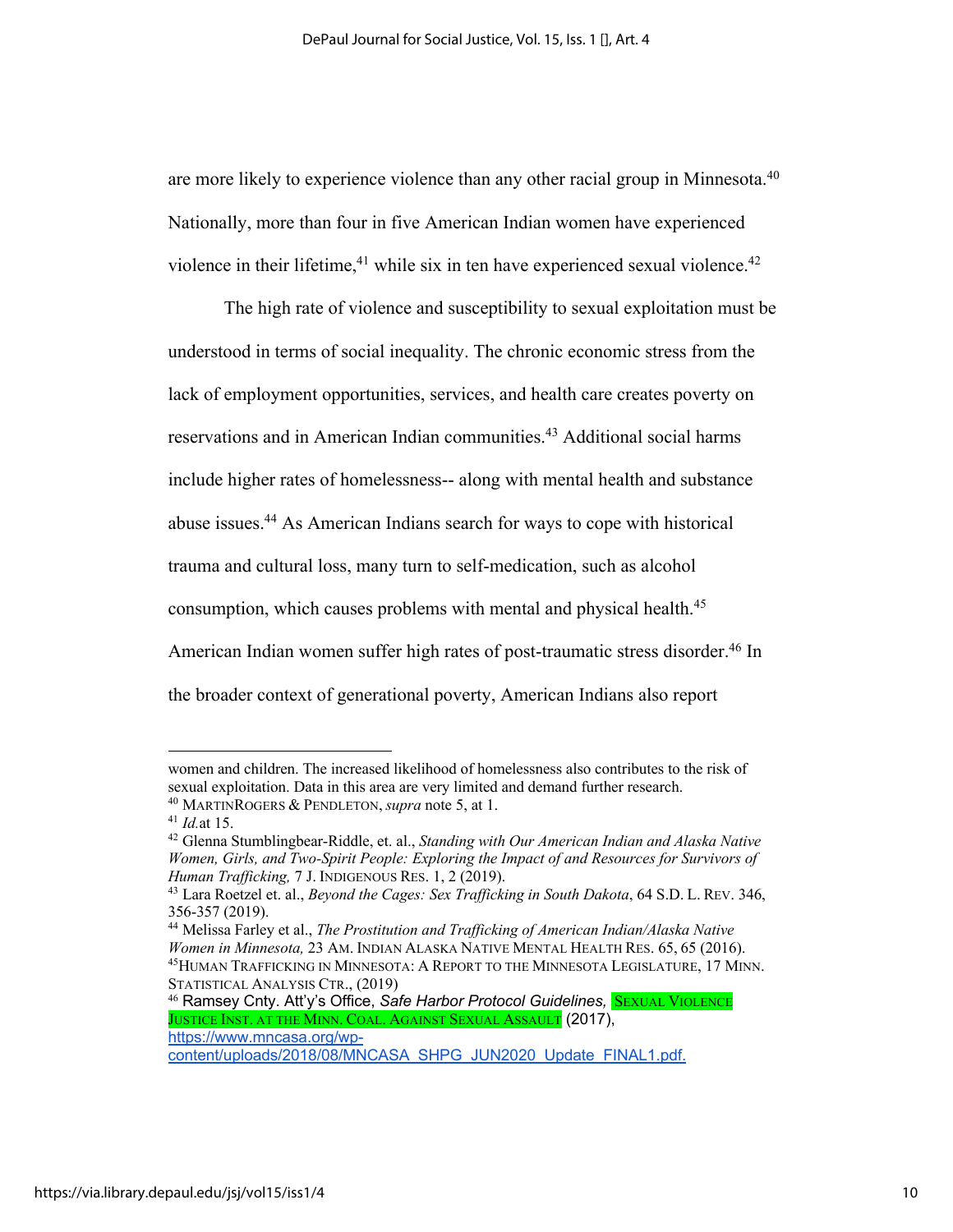are more likely to experience violence than any other racial group in Minnesota.<sup>40</sup> Nationally, more than four in five American Indian women have experienced violence in their lifetime,<sup>41</sup> while six in ten have experienced sexual violence.<sup>42</sup>

The high rate of violence and susceptibility to sexual exploitation must be understood in terms of social inequality. The chronic economic stress from the lack of employment opportunities, services, and health care creates poverty on reservations and in American Indian communities.<sup>43</sup> Additional social harms include higher rates of homelessness-- along with mental health and substance abuse issues. <sup>44</sup> As American Indians search for ways to cope with historical trauma and cultural loss, many turn to self-medication, such as alcohol consumption, which causes problems with mental and physical health.<sup>45</sup> American Indian women suffer high rates of post-traumatic stress disorder. <sup>46</sup> In the broader context of generational poverty, American Indians also report

women and children. The increased likelihood of homelessness also contributes to the risk of sexual exploitation. Data in this area are very limited and demand further research. <sup>40</sup> MARTINROGERS & PENDLETON, *supra* note 5, at 1.

<sup>41</sup> *Id.*at 15.

<sup>42</sup> Glenna Stumblingbear-Riddle, et. al., *Standing with Our American Indian and Alaska Native Women, Girls, and Two-Spirit People: Exploring the Impact of and Resources for Survivors of Human Trafficking,* 7 J. INDIGENOUS RES. 1, 2 (2019).

<sup>43</sup> Lara Roetzel et. al., *Beyond the Cages: Sex Trafficking in South Dakota*, 64 S.D. L. REV. 346, 356-357 (2019).

<sup>44</sup> Melissa Farley et al., *The Prostitution and Trafficking of American Indian/Alaska Native Women in Minnesota,* 23 AM. INDIAN ALASKA NATIVE MENTAL HEALTH RES. 65, 65 (2016). 45HUMAN TRAFFICKING IN MINNESOTA: A REPORT TO THE MINNESOTA LEGISLATURE, 17 MINN. STATISTICAL ANALYSIS CTR., (2019)

<sup>&</sup>lt;sup>46</sup> Ramsey Cnty. Att'y's Office, Safe Harbor Protocol Guidelines, **SEXUAL VIOLENCE** JUSTICE INST. AT THE MINN. COAL. AGAINST SEXUAL ASSAULT (2017), https://www.mncasa.org/wp-

content/uploads/2018/08/MNCASA\_SHPG\_JUN2020\_Update\_FINAL1.pdf.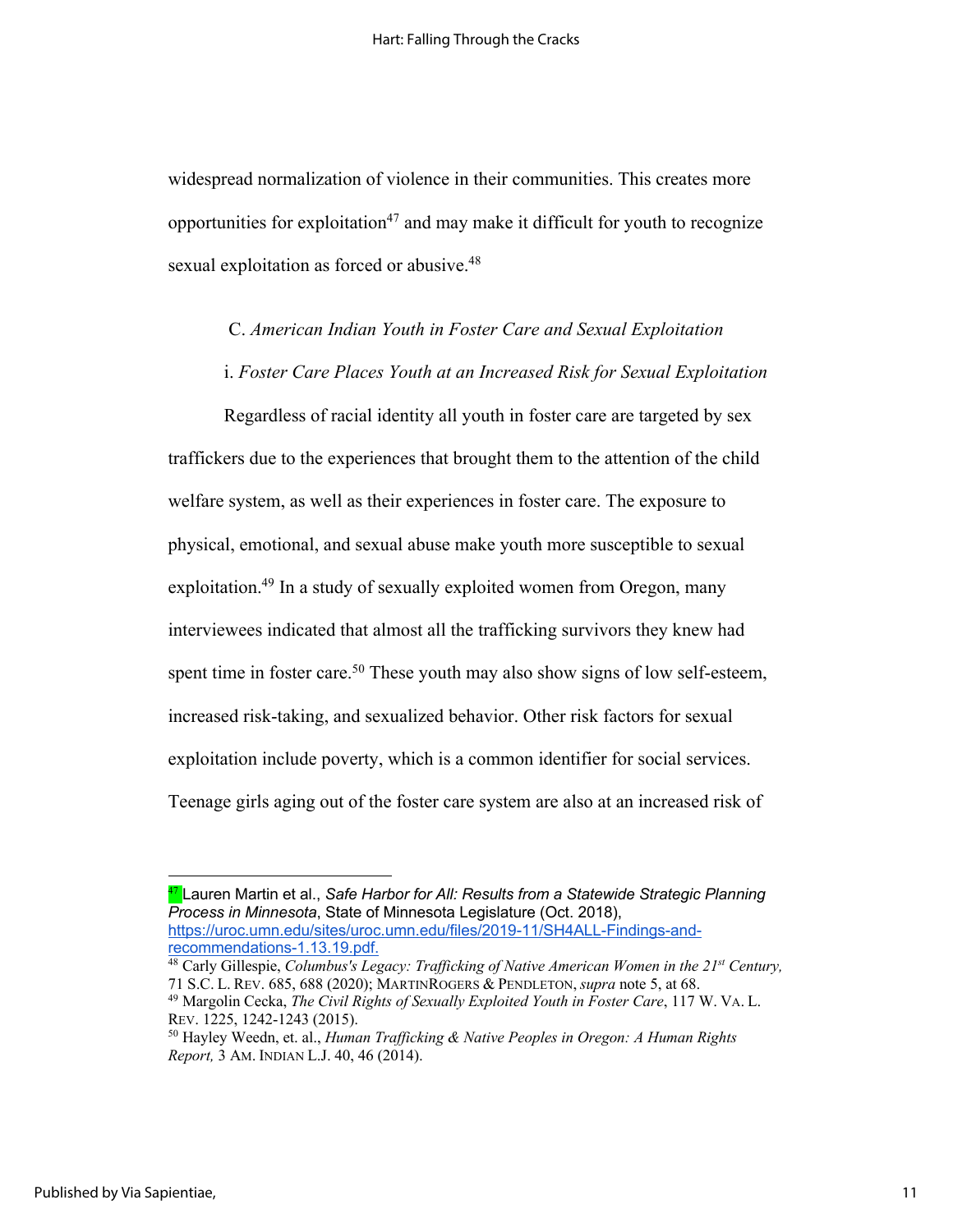widespread normalization of violence in their communities. This creates more opportunities for exploitation<sup>47</sup> and may make it difficult for youth to recognize sexual exploitation as forced or abusive.<sup>48</sup>

C. *American Indian Youth in Foster Care and Sexual Exploitation*

i. *Foster Care Places Youth at an Increased Risk for Sexual Exploitation*

Regardless of racial identity all youth in foster care are targeted by sex traffickers due to the experiences that brought them to the attention of the child welfare system, as well as their experiences in foster care. The exposure to physical, emotional, and sexual abuse make youth more susceptible to sexual exploitation.<sup>49</sup> In a study of sexually exploited women from Oregon, many interviewees indicated that almost all the trafficking survivors they knew had spent time in foster care.<sup>50</sup> These youth may also show signs of low self-esteem, increased risk-taking, and sexualized behavior. Other risk factors for sexual exploitation include poverty, which is a common identifier for social services. Teenage girls aging out of the foster care system are also at an increased risk of

<sup>47</sup> Lauren Martin et al., *Safe Harbor for All: Results from a Statewide Strategic Planning Process in Minnesota*, State of Minnesota Legislature (Oct. 2018), https://uroc.umn.edu/sites/uroc.umn.edu/files/2019-11/SH4ALL-Findings-andrecommendations-1.13.19.pdf.

<sup>48</sup> Carly Gillespie, *Columbus's Legacy: Trafficking of Native American Women in the 21st Century,*  71 S.C. L. REV. 685, 688 (2020); MARTINROGERS & PENDLETON, *supra* note 5, at 68. <sup>49</sup> Margolin Cecka, *The Civil Rights of Sexually Exploited Youth in Foster Care*, 117 W. VA. L.

REV. 1225, 1242-1243 (2015).

<sup>50</sup> Hayley Weedn, et. al., *Human Trafficking & Native Peoples in Oregon: A Human Rights Report,* 3 AM. INDIAN L.J. 40, 46 (2014).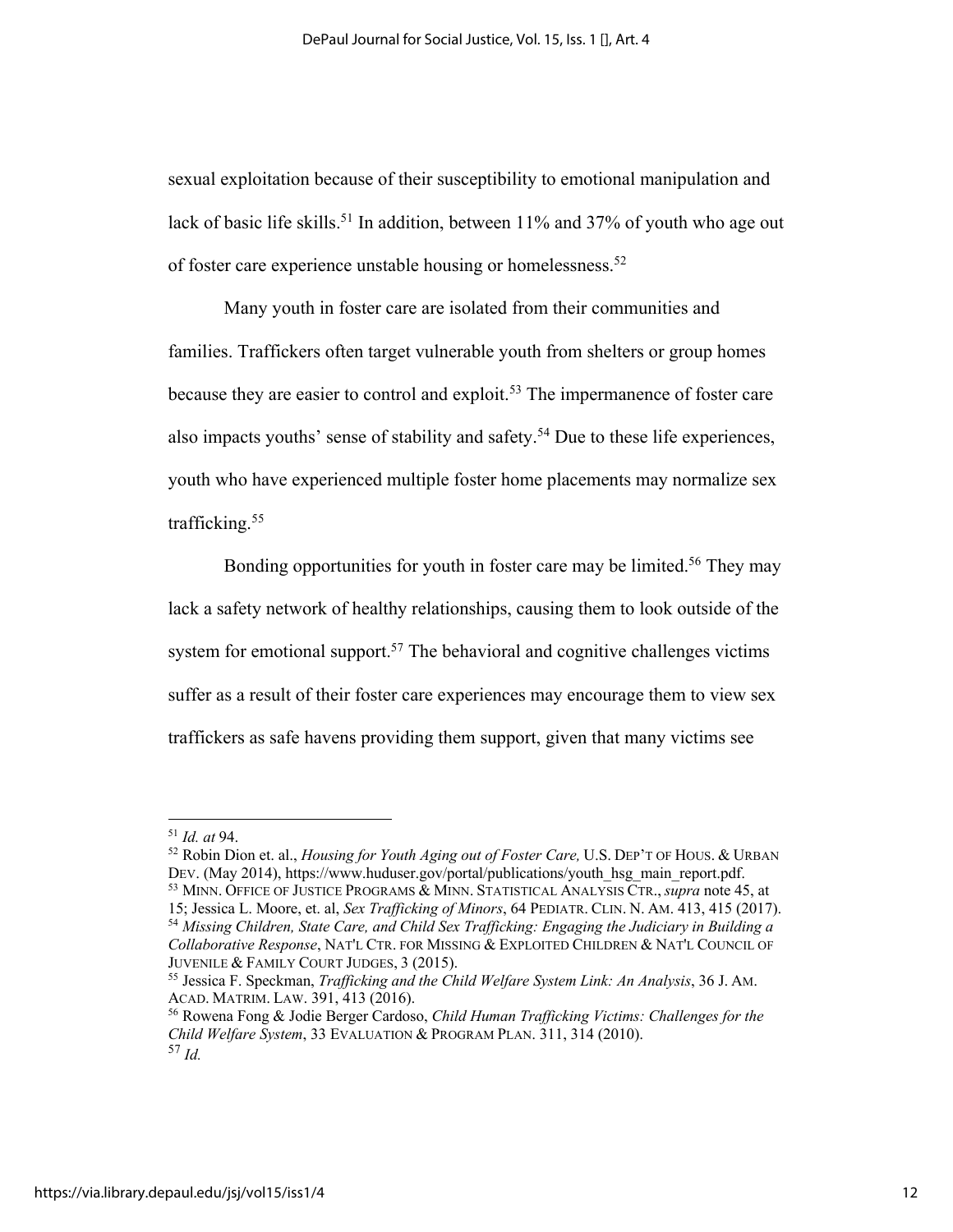sexual exploitation because of their susceptibility to emotional manipulation and lack of basic life skills.<sup>51</sup> In addition, between 11% and 37% of youth who age out of foster care experience unstable housing or homelessness.<sup>52</sup>

Many youth in foster care are isolated from their communities and families. Traffickers often target vulnerable youth from shelters or group homes because they are easier to control and exploit.<sup>53</sup> The impermanence of foster care also impacts youths' sense of stability and safety.<sup>54</sup> Due to these life experiences, youth who have experienced multiple foster home placements may normalize sex trafficking.55

Bonding opportunities for youth in foster care may be limited.<sup>56</sup> They may lack a safety network of healthy relationships, causing them to look outside of the system for emotional support.<sup>57</sup> The behavioral and cognitive challenges victims suffer as a result of their foster care experiences may encourage them to view sex traffickers as safe havens providing them support, given that many victims see

<sup>52</sup> Robin Dion et. al., *Housing for Youth Aging out of Foster Care,* U.S. DEP'T OF HOUS. & URBAN DEV. (May 2014), https://www.huduser.gov/portal/publications/youth\_hsg\_main\_report.pdf. <sup>53</sup> MINN. OFFICE OF JUSTICE PROGRAMS & MINN. STATISTICAL ANALYSIS CTR., *supra* note 45, at 15; Jessica L. Moore, et. al, *Sex Trafficking of Minors*, 64 PEDIATR. CLIN. N. AM. 413, 415 (2017). <sup>54</sup> *Missing Children, State Care, and Child Sex Trafficking: Engaging the Judiciary in Building a Collaborative Response*, NAT'L CTR. FOR MISSING & EXPLOITED CHILDREN & NAT'L COUNCIL OF JUVENILE & FAMILY COURT JUDGES, 3 (2015).

<sup>51</sup> *Id. at* 94.

<sup>55</sup> Jessica F. Speckman, *Trafficking and the Child Welfare System Link: An Analysis*, 36 J. AM. ACAD. MATRIM. LAW. 391, 413 (2016).

<sup>56</sup> Rowena Fong & Jodie Berger Cardoso, *Child Human Trafficking Victims: Challenges for the Child Welfare System*, 33 EVALUATION & PROGRAM PLAN. 311, 314 (2010). <sup>57</sup> *Id.*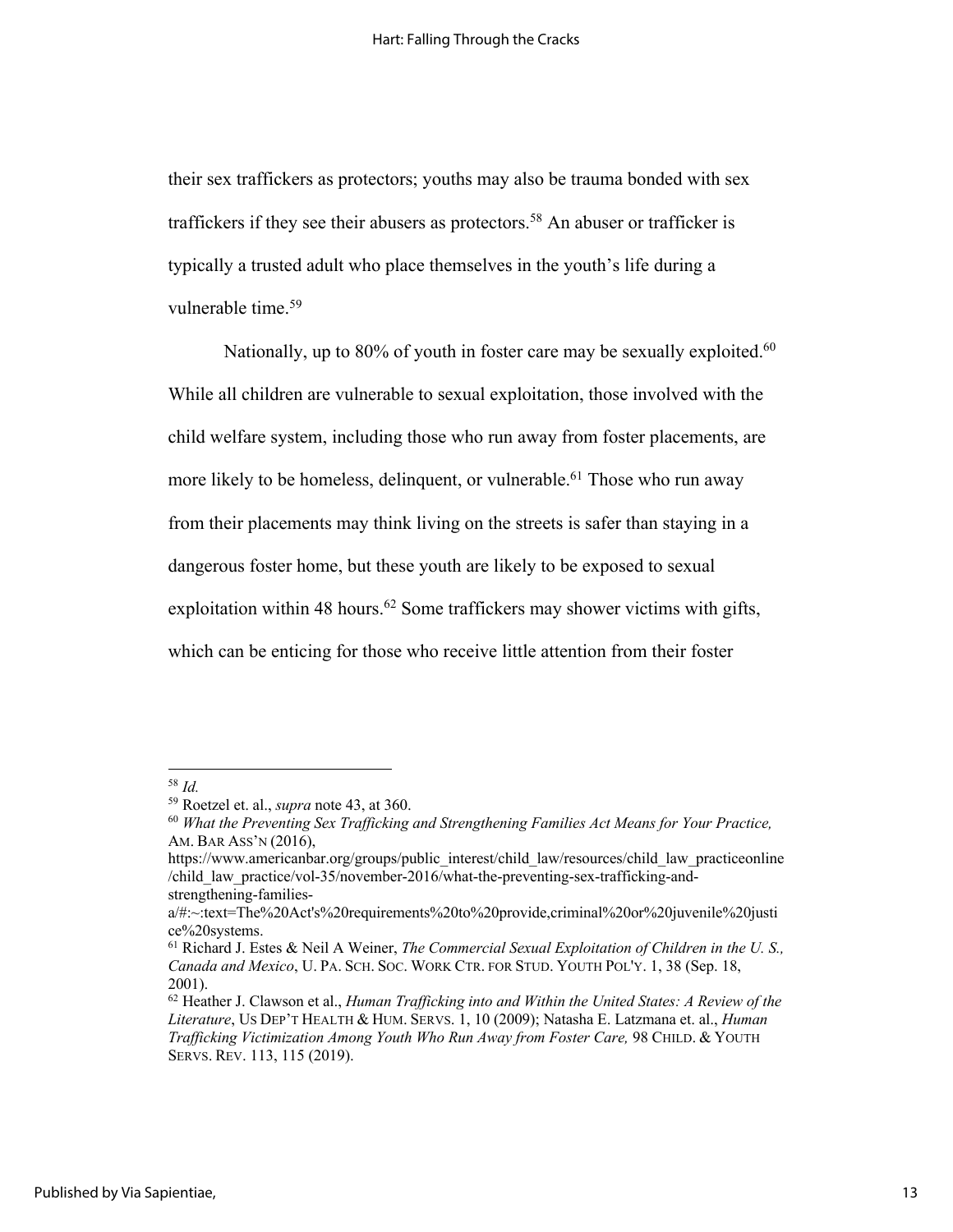their sex traffickers as protectors; youths may also be trauma bonded with sex traffickers if they see their abusers as protectors.<sup>58</sup> An abuser or trafficker is typically a trusted adult who place themselves in the youth's life during a vulnerable time.<sup>59</sup>

Nationally, up to 80% of youth in foster care may be sexually exploited.<sup>60</sup> While all children are vulnerable to sexual exploitation, those involved with the child welfare system, including those who run away from foster placements, are more likely to be homeless, delinquent, or vulnerable.<sup>61</sup> Those who run away from their placements may think living on the streets is safer than staying in a dangerous foster home, but these youth are likely to be exposed to sexual exploitation within 48 hours.<sup>62</sup> Some traffickers may shower victims with gifts, which can be enticing for those who receive little attention from their foster

<sup>58</sup> *Id.*

<sup>59</sup> Roetzel et. al., *supra* note 43, at 360.

<sup>60</sup> *What the Preventing Sex Trafficking and Strengthening Families Act Means for Your Practice,*  AM. BAR ASS'N (2016),

https://www.americanbar.org/groups/public\_interest/child\_law/resources/child\_law\_practiceonline /child\_law\_practice/vol-35/november-2016/what-the-preventing-sex-trafficking-andstrengthening-families-

a/#:~:text=The%20Act's%20requirements%20to%20provide,criminal%20or%20juvenile%20justi ce%20systems.

<sup>61</sup> Richard J. Estes & Neil A Weiner, *The Commercial Sexual Exploitation of Children in the U. S., Canada and Mexico*, U. PA. SCH. SOC. WORK CTR. FOR STUD. YOUTH POL'Y. 1, 38 (Sep. 18, 2001).

<sup>62</sup> Heather J. Clawson et al., *Human Trafficking into and Within the United States: A Review of the Literature*, US DEP'T HEALTH & HUM. SERVS. 1, 10 (2009); Natasha E. Latzmana et. al., *Human Trafficking Victimization Among Youth Who Run Away from Foster Care,* 98 CHILD. & YOUTH SERVS. REV. 113, 115 (2019).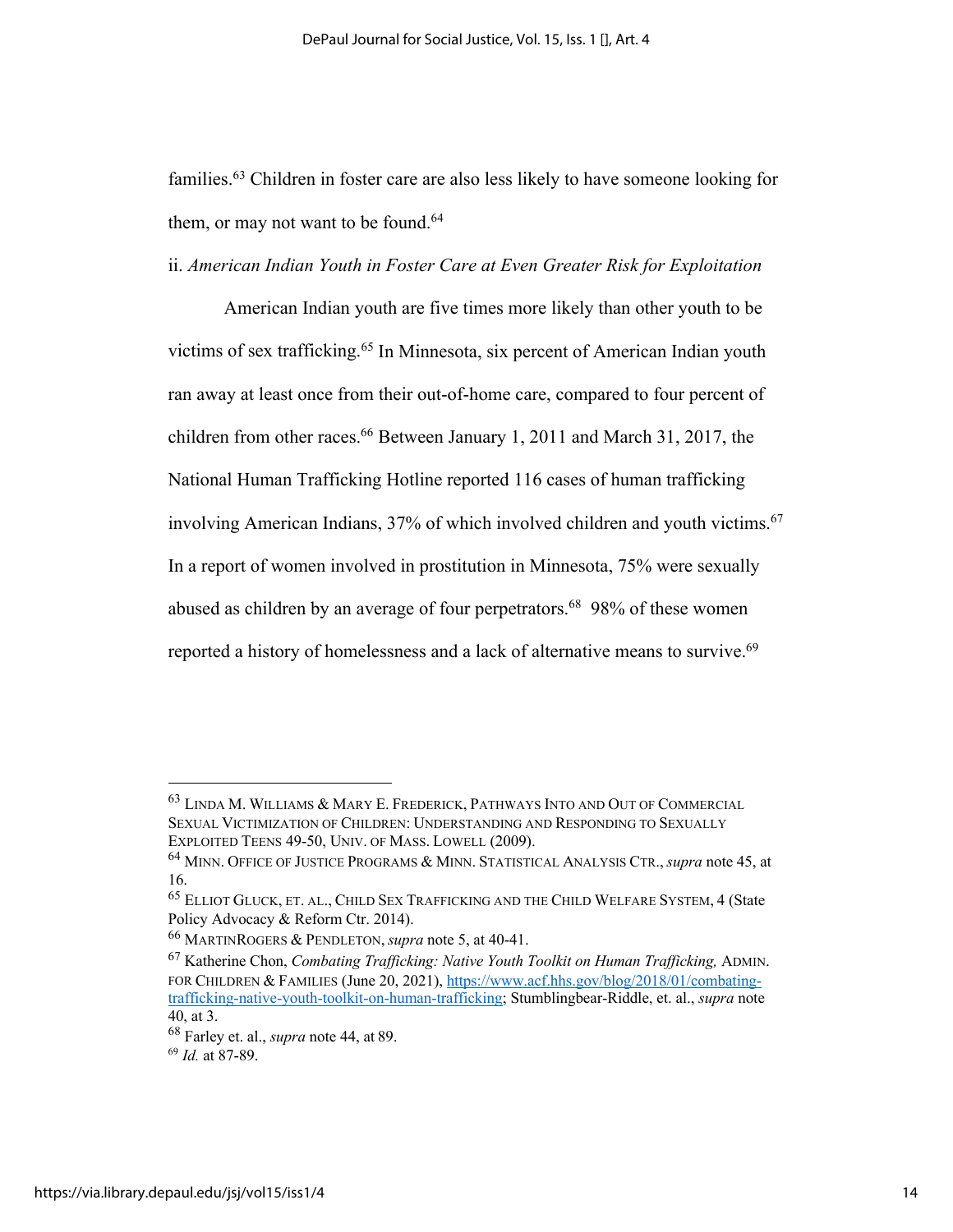families.63 Children in foster care are also less likely to have someone looking for them, or may not want to be found.<sup>64</sup>

ii. *American Indian Youth in Foster Care at Even Greater Risk for Exploitation*

American Indian youth are five times more likely than other youth to be victims of sex trafficking.<sup>65</sup> In Minnesota, six percent of American Indian youth ran away at least once from their out-of-home care, compared to four percent of children from other races.<sup>66</sup> Between January 1, 2011 and March 31, 2017, the National Human Trafficking Hotline reported 116 cases of human trafficking involving American Indians,  $37%$  of which involved children and youth victims.<sup>67</sup> In a report of women involved in prostitution in Minnesota, 75% were sexually abused as children by an average of four perpetrators.<sup>68</sup> 98% of these women reported a history of homelessness and a lack of alternative means to survive.<sup>69</sup>

<sup>63</sup> LINDA M. WILLIAMS & MARY E. FREDERICK, PATHWAYS INTO AND OUT OF COMMERCIAL SEXUAL VICTIMIZATION OF CHILDREN: UNDERSTANDING AND RESPONDING TO SEXUALLY EXPLOITED TEENS 49-50, UNIV. OF MASS. LOWELL (2009).

<sup>64</sup> MINN. OFFICE OF JUSTICE PROGRAMS & MINN. STATISTICAL ANALYSIS CTR., *supra* note 45, at 16.

<sup>65</sup> ELLIOT GLUCK, ET. AL., CHILD SEX TRAFFICKING AND THE CHILD WELFARE SYSTEM, 4 (State Policy Advocacy & Reform Ctr. 2014).

<sup>66</sup> MARTINROGERS & PENDLETON, *supra* note 5, at 40-41.

<sup>67</sup> Katherine Chon, *Combating Trafficking: Native Youth Toolkit on Human Trafficking,* ADMIN. FOR CHILDREN & FAMILIES (June 20, 2021), https://www.acf.hhs.gov/blog/2018/01/combatingtrafficking-native-youth-toolkit-on-human-trafficking; Stumblingbear-Riddle, et. al., *supra* note 40, at 3.

<sup>68</sup> Farley et. al., *supra* note 44, at 89.

<sup>69</sup> *Id.* at 87-89.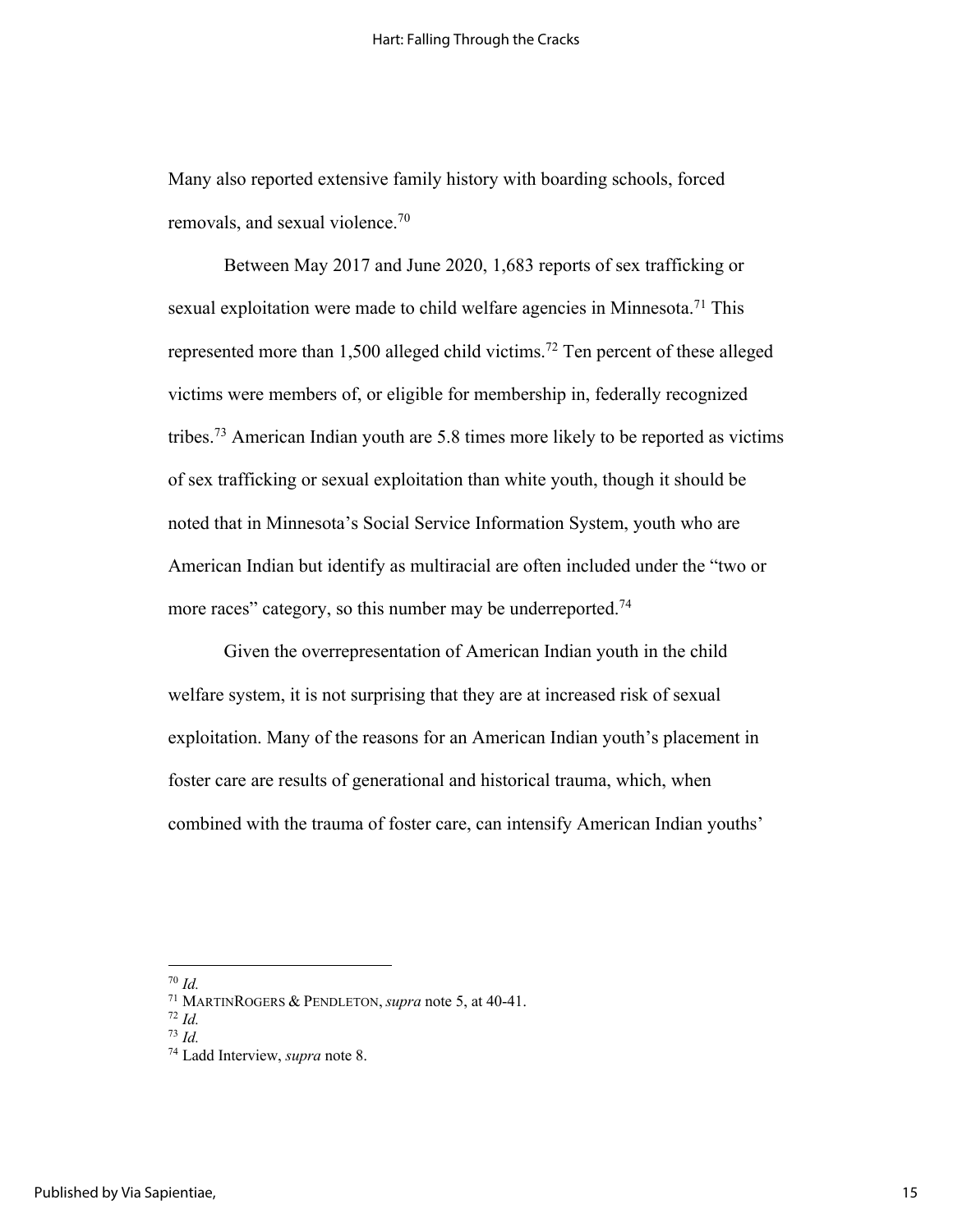Many also reported extensive family history with boarding schools, forced removals, and sexual violence.70

Between May 2017 and June 2020, 1,683 reports of sex trafficking or sexual exploitation were made to child welfare agencies in Minnesota.<sup>71</sup> This represented more than 1,500 alleged child victims.72 Ten percent of these alleged victims were members of, or eligible for membership in, federally recognized tribes.73 American Indian youth are 5.8 times more likely to be reported as victims of sex trafficking or sexual exploitation than white youth, though it should be noted that in Minnesota's Social Service Information System, youth who are American Indian but identify as multiracial are often included under the "two or more races" category, so this number may be underreported.<sup>74</sup>

Given the overrepresentation of American Indian youth in the child welfare system, it is not surprising that they are at increased risk of sexual exploitation. Many of the reasons for an American Indian youth's placement in foster care are results of generational and historical trauma, which, when combined with the trauma of foster care, can intensify American Indian youths'

<sup>70</sup> *Id.*

<sup>71</sup> MARTINROGERS & PENDLETON, *supra* note 5, at 40-41.

<sup>72</sup> *Id.*

<sup>73</sup> *Id.*

<sup>74</sup> Ladd Interview, *supra* note 8.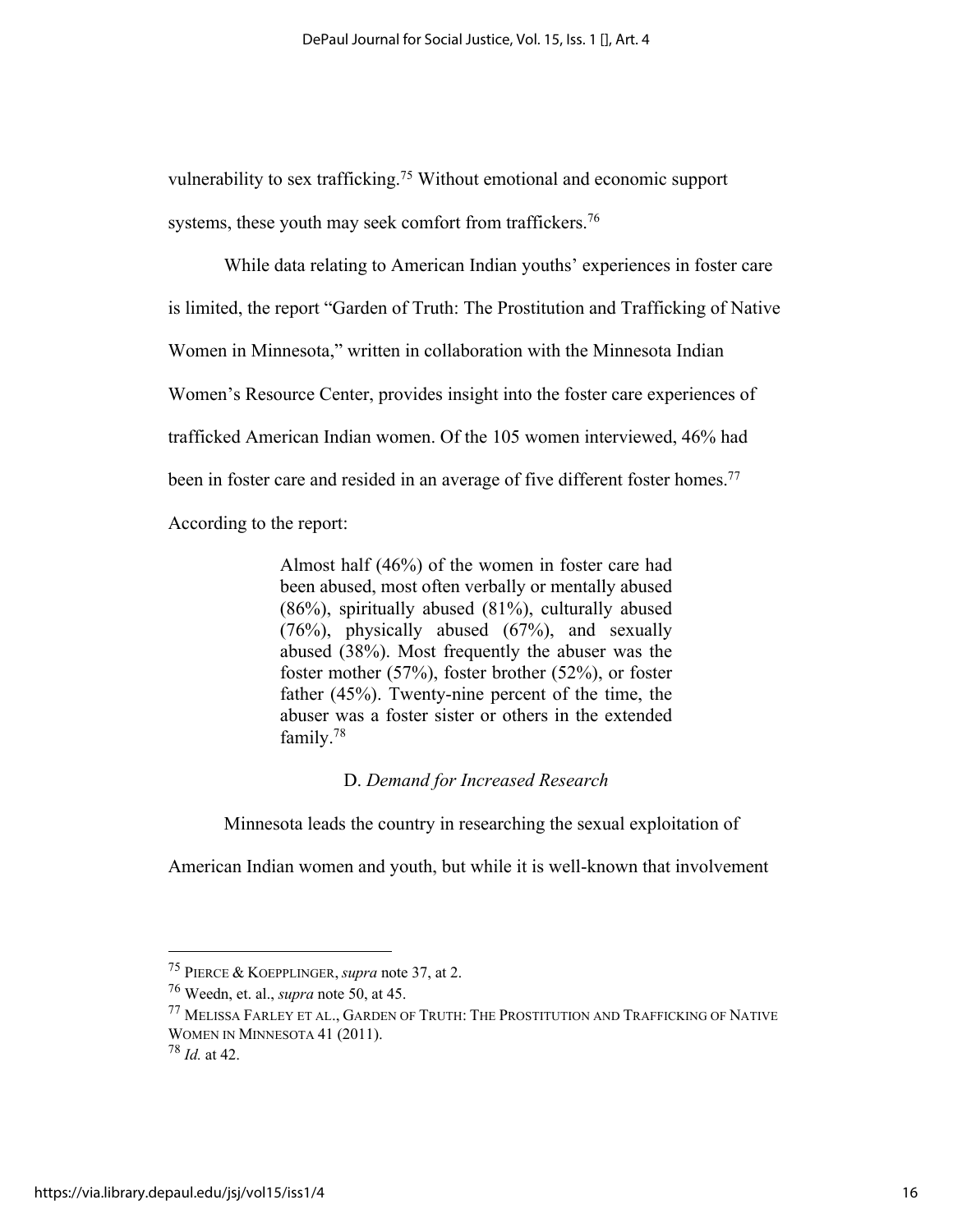vulnerability to sex trafficking.<sup>75</sup> Without emotional and economic support systems, these youth may seek comfort from traffickers.<sup>76</sup>

While data relating to American Indian youths' experiences in foster care is limited, the report "Garden of Truth: The Prostitution and Trafficking of Native Women in Minnesota," written in collaboration with the Minnesota Indian Women's Resource Center, provides insight into the foster care experiences of trafficked American Indian women. Of the 105 women interviewed, 46% had been in foster care and resided in an average of five different foster homes.<sup>77</sup> According to the report:

> Almost half (46%) of the women in foster care had been abused, most often verbally or mentally abused (86%), spiritually abused (81%), culturally abused (76%), physically abused (67%), and sexually abused (38%). Most frequently the abuser was the foster mother (57%), foster brother (52%), or foster father (45%). Twenty-nine percent of the time, the abuser was a foster sister or others in the extended family.78

## D. *Demand for Increased Research*

Minnesota leads the country in researching the sexual exploitation of

American Indian women and youth, but while it is well-known that involvement

<sup>75</sup> PIERCE & KOEPPLINGER, *supra* note 37, at 2.

<sup>76</sup> Weedn, et. al., *supra* note 50, at 45.

<sup>77</sup> MELISSA FARLEY ET AL., GARDEN OF TRUTH: THE PROSTITUTION AND TRAFFICKING OF NATIVE WOMEN IN MINNESOTA 41 (2011).

<sup>78</sup> *Id.* at 42.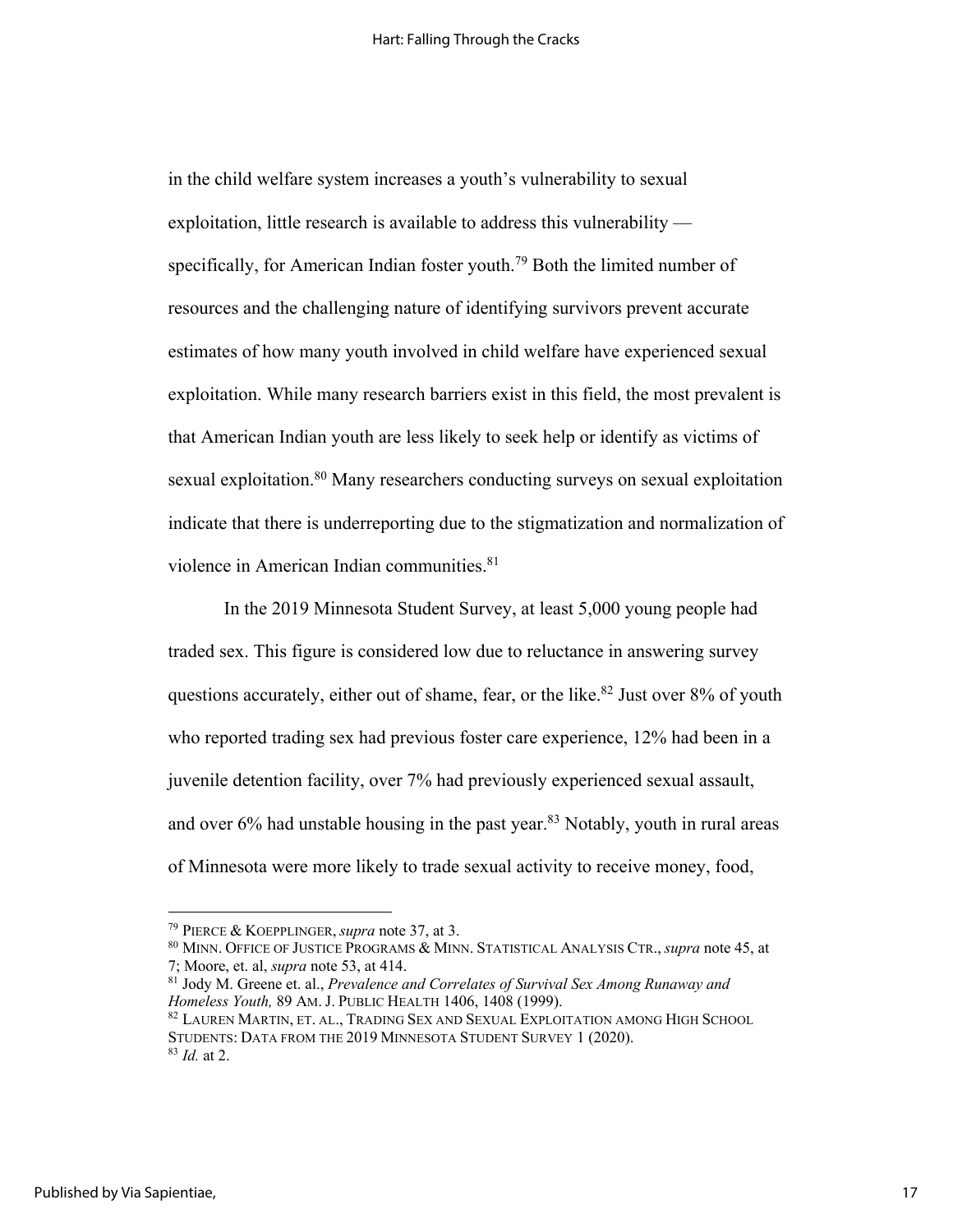in the child welfare system increases a youth's vulnerability to sexual exploitation, little research is available to address this vulnerability specifically, for American Indian foster youth.<sup>79</sup> Both the limited number of resources and the challenging nature of identifying survivors prevent accurate estimates of how many youth involved in child welfare have experienced sexual exploitation. While many research barriers exist in this field, the most prevalent is that American Indian youth are less likely to seek help or identify as victims of sexual exploitation.<sup>80</sup> Many researchers conducting surveys on sexual exploitation indicate that there is underreporting due to the stigmatization and normalization of violence in American Indian communities.<sup>81</sup>

In the 2019 Minnesota Student Survey, at least 5,000 young people had traded sex. This figure is considered low due to reluctance in answering survey questions accurately, either out of shame, fear, or the like.<sup>82</sup> Just over 8% of youth who reported trading sex had previous foster care experience, 12% had been in a juvenile detention facility, over 7% had previously experienced sexual assault, and over  $6\%$  had unstable housing in the past year.<sup>83</sup> Notably, youth in rural areas of Minnesota were more likely to trade sexual activity to receive money, food,

<sup>79</sup> PIERCE & KOEPPLINGER, *supra* note 37, at 3.

<sup>80</sup> MINN. OFFICE OF JUSTICE PROGRAMS & MINN. STATISTICAL ANALYSIS CTR., *supra* note 45, at 7; Moore, et. al, *supra* note 53, at 414.

<sup>81</sup> Jody M. Greene et. al., *Prevalence and Correlates of Survival Sex Among Runaway and Homeless Youth,* 89 AM. J. PUBLIC HEALTH 1406, 1408 (1999).

<sup>82</sup> LAUREN MARTIN, ET. AL., TRADING SEX AND SEXUAL EXPLOITATION AMONG HIGH SCHOOL STUDENTS: DATA FROM THE 2019 MINNESOTA STUDENT SURVEY 1 (2020). <sup>83</sup> *Id.* at 2.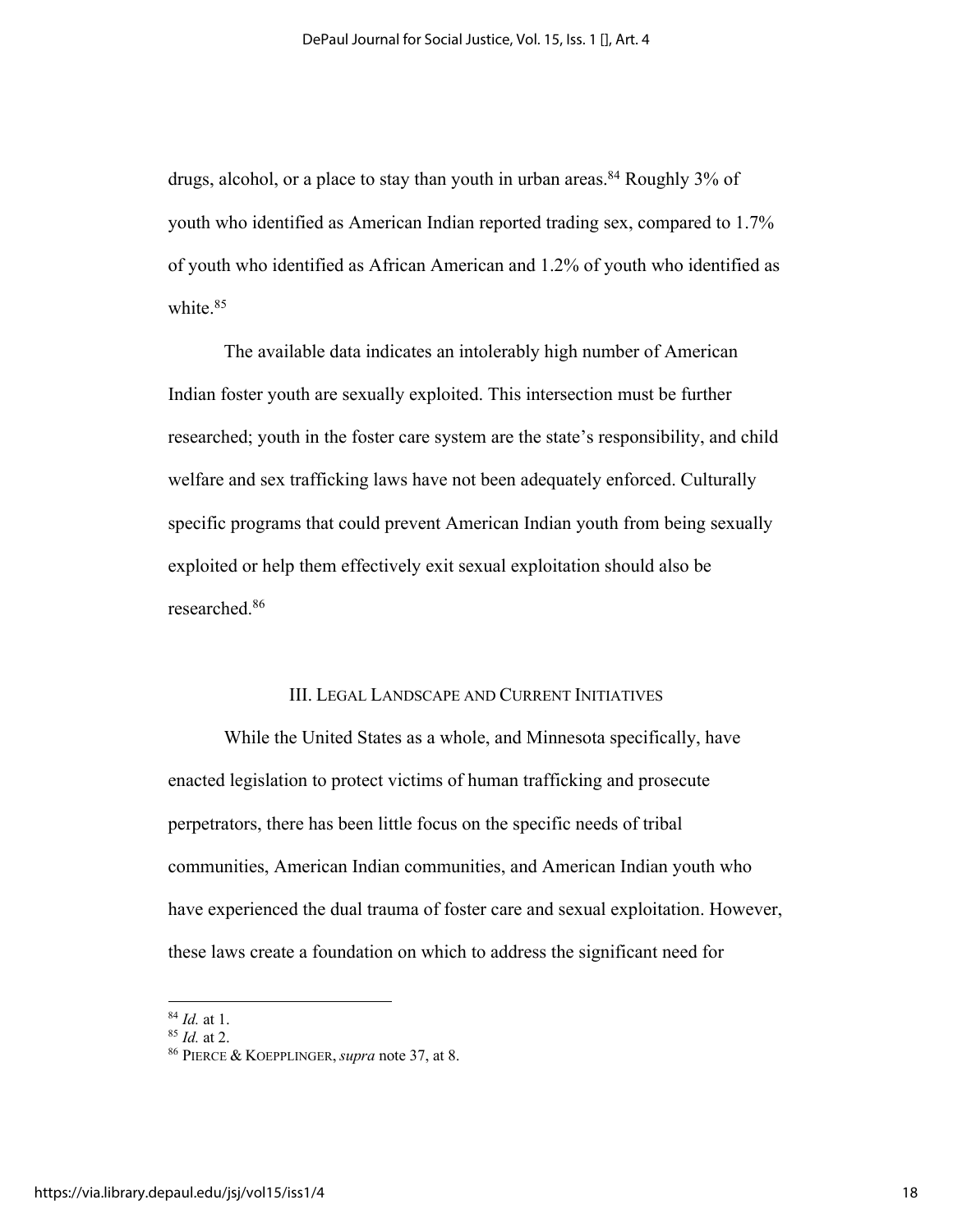drugs, alcohol, or a place to stay than youth in urban areas.<sup>84</sup> Roughly 3% of youth who identified as American Indian reported trading sex, compared to 1.7% of youth who identified as African American and 1.2% of youth who identified as white.<sup>85</sup>

The available data indicates an intolerably high number of American Indian foster youth are sexually exploited. This intersection must be further researched; youth in the foster care system are the state's responsibility, and child welfare and sex trafficking laws have not been adequately enforced. Culturally specific programs that could prevent American Indian youth from being sexually exploited or help them effectively exit sexual exploitation should also be researched. 86

### III. LEGAL LANDSCAPE AND CURRENT INITIATIVES

While the United States as a whole, and Minnesota specifically, have enacted legislation to protect victims of human trafficking and prosecute perpetrators, there has been little focus on the specific needs of tribal communities, American Indian communities, and American Indian youth who have experienced the dual trauma of foster care and sexual exploitation. However, these laws create a foundation on which to address the significant need for

<sup>84</sup> *Id.* at 1.

<sup>85</sup> *Id.* at 2.

<sup>86</sup> PIERCE & KOEPPLINGER, *supra* note 37, at 8.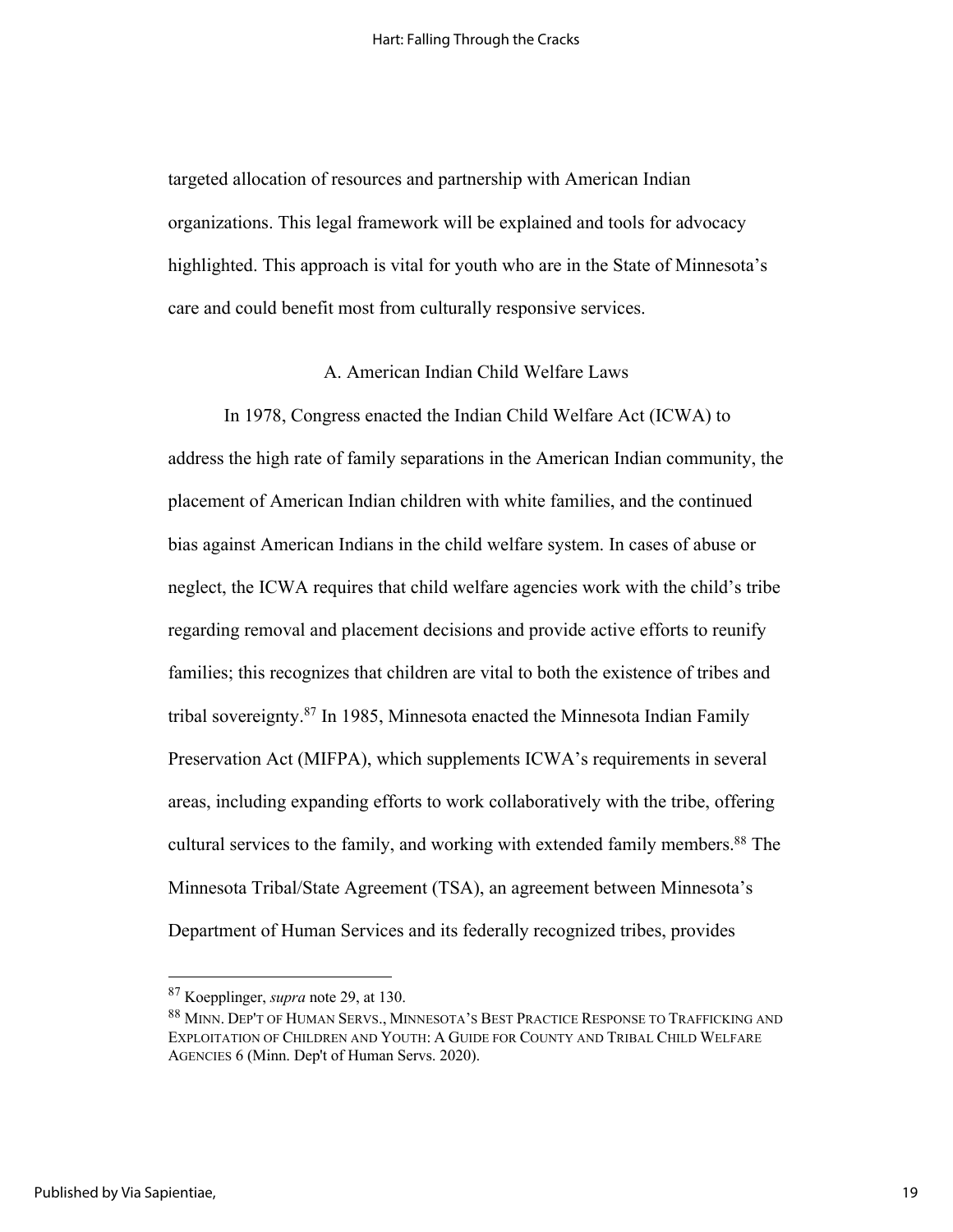targeted allocation of resources and partnership with American Indian organizations. This legal framework will be explained and tools for advocacy highlighted. This approach is vital for youth who are in the State of Minnesota's care and could benefit most from culturally responsive services.

### A. American Indian Child Welfare Laws

In 1978, Congress enacted the Indian Child Welfare Act (ICWA) to address the high rate of family separations in the American Indian community, the placement of American Indian children with white families, and the continued bias against American Indians in the child welfare system. In cases of abuse or neglect, the ICWA requires that child welfare agencies work with the child's tribe regarding removal and placement decisions and provide active efforts to reunify families; this recognizes that children are vital to both the existence of tribes and tribal sovereignty. <sup>87</sup> In 1985, Minnesota enacted the Minnesota Indian Family Preservation Act (MIFPA), which supplements ICWA's requirements in several areas, including expanding efforts to work collaboratively with the tribe, offering cultural services to the family, and working with extended family members.<sup>88</sup> The Minnesota Tribal/State Agreement (TSA), an agreement between Minnesota's Department of Human Services and its federally recognized tribes, provides

<sup>87</sup> Koepplinger, *supra* note 29, at 130.

<sup>88</sup> MINN. DEP'T OF HUMAN SERVS., MINNESOTA'S BEST PRACTICE RESPONSE TO TRAFFICKING AND EXPLOITATION OF CHILDREN AND YOUTH: A GUIDE FOR COUNTY AND TRIBAL CHILD WELFARE AGENCIES 6 (Minn. Dep't of Human Servs. 2020).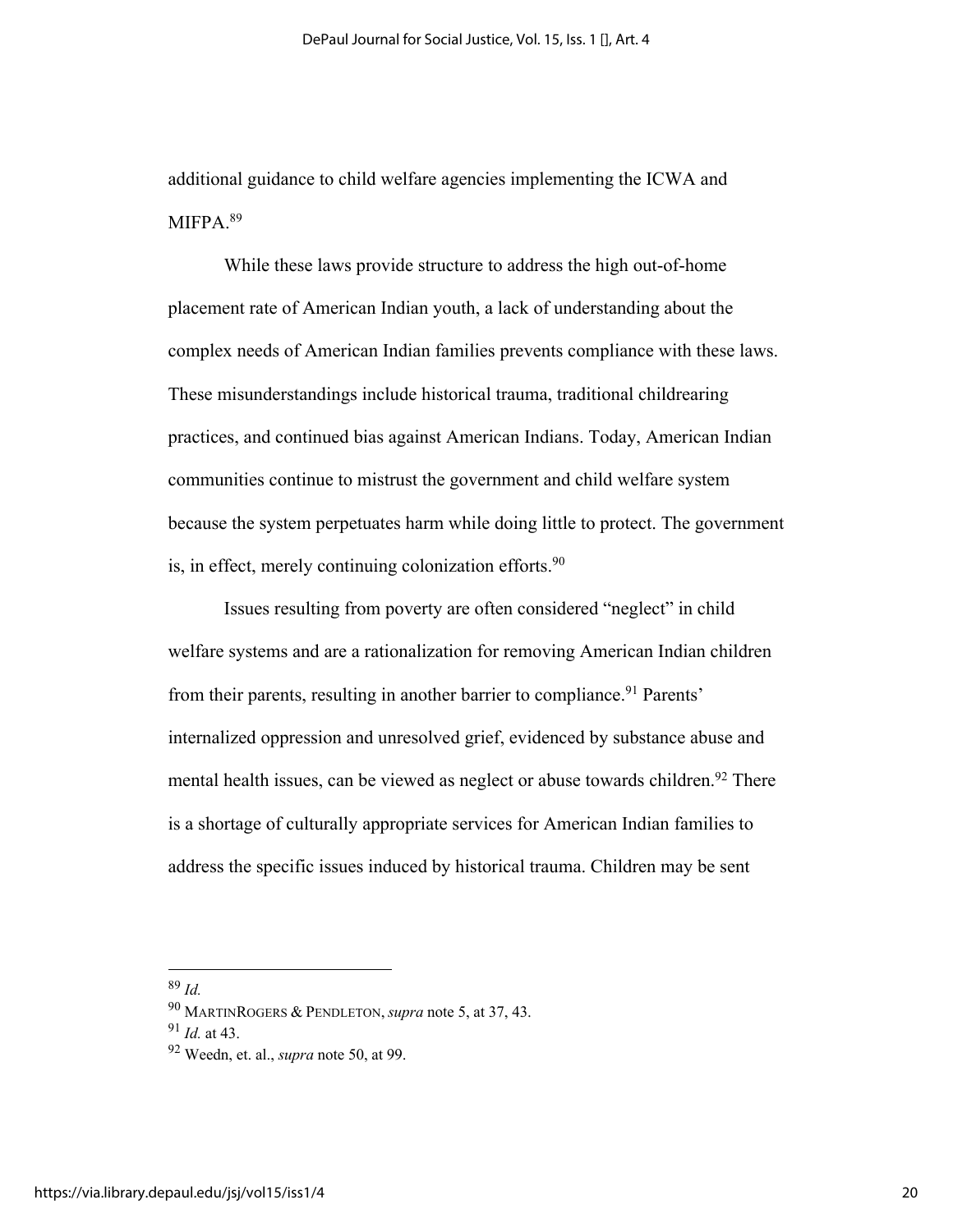additional guidance to child welfare agencies implementing the ICWA and MIFPA.<sup>89</sup>

While these laws provide structure to address the high out-of-home placement rate of American Indian youth, a lack of understanding about the complex needs of American Indian families prevents compliance with these laws. These misunderstandings include historical trauma, traditional childrearing practices, and continued bias against American Indians. Today, American Indian communities continue to mistrust the government and child welfare system because the system perpetuates harm while doing little to protect. The government is, in effect, merely continuing colonization efforts.<sup>90</sup>

Issues resulting from poverty are often considered "neglect" in child welfare systems and are a rationalization for removing American Indian children from their parents, resulting in another barrier to compliance.<sup>91</sup> Parents' internalized oppression and unresolved grief, evidenced by substance abuse and mental health issues, can be viewed as neglect or abuse towards children.<sup>92</sup> There is a shortage of culturally appropriate services for American Indian families to address the specific issues induced by historical trauma. Children may be sent

<sup>89</sup> *Id.*

<sup>90</sup> MARTINROGERS & PENDLETON, *supra* note 5, at 37, 43.

<sup>91</sup> *Id.* at 43.

<sup>92</sup> Weedn, et. al., *supra* note 50, at 99.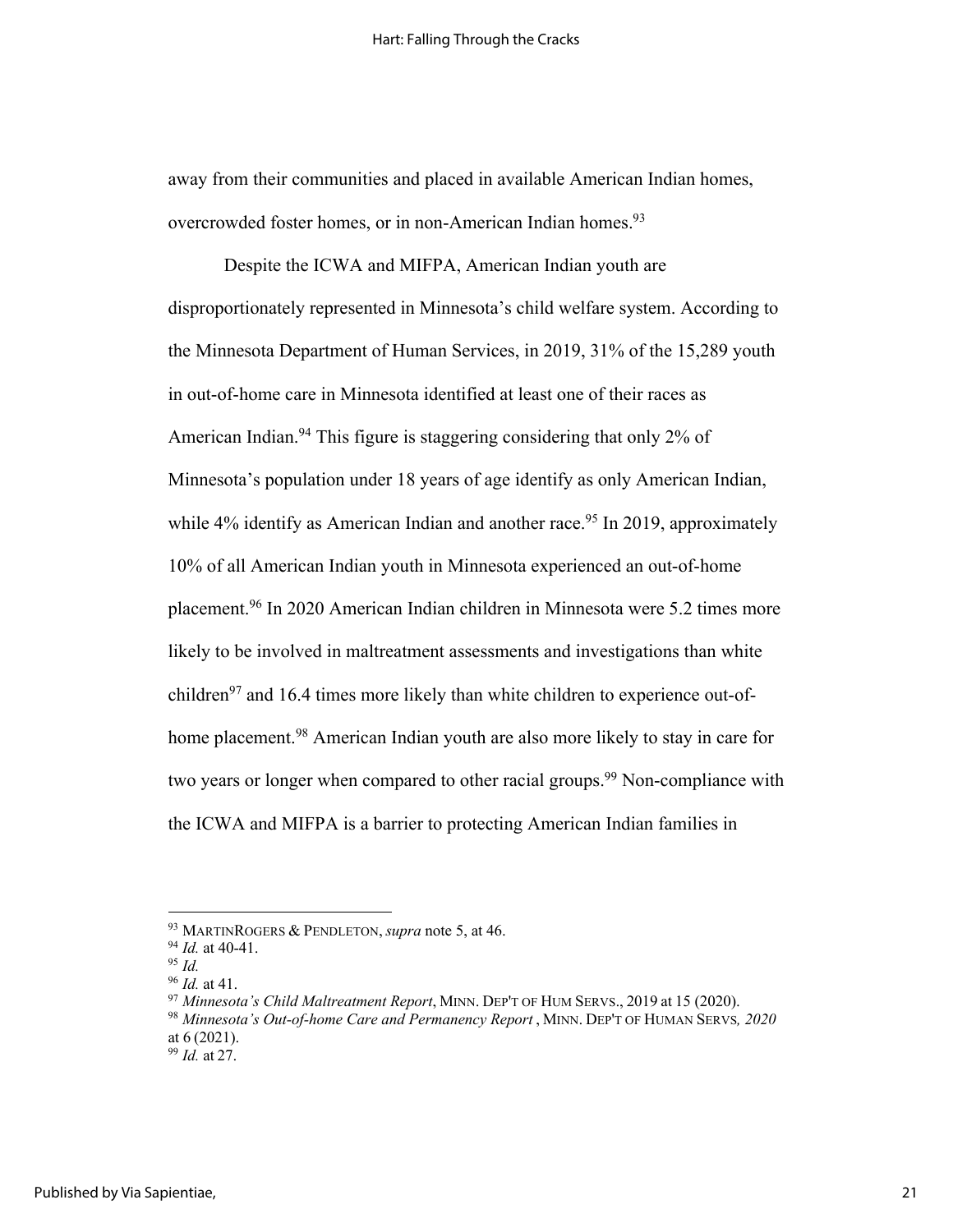away from their communities and placed in available American Indian homes, overcrowded foster homes, or in non-American Indian homes.<sup>93</sup>

Despite the ICWA and MIFPA, American Indian youth are disproportionately represented in Minnesota's child welfare system. According to the Minnesota Department of Human Services, in 2019, 31% of the 15,289 youth in out-of-home care in Minnesota identified at least one of their races as American Indian.<sup>94</sup> This figure is staggering considering that only 2% of Minnesota's population under 18 years of age identify as only American Indian, while  $4\%$  identify as American Indian and another race.<sup>95</sup> In 2019, approximately 10% of all American Indian youth in Minnesota experienced an out-of-home placement.96 In 2020 American Indian children in Minnesota were 5.2 times more likely to be involved in maltreatment assessments and investigations than white children $97$  and 16.4 times more likely than white children to experience out-ofhome placement.<sup>98</sup> American Indian youth are also more likely to stay in care for two years or longer when compared to other racial groups.<sup>99</sup> Non-compliance with the ICWA and MIFPA is a barrier to protecting American Indian families in

<sup>93</sup> MARTINROGERS & PENDLETON, *supra* note 5, at 46.

<sup>94</sup> *Id.* at 40-41.

<sup>95</sup> *Id.*

<sup>96</sup> *Id.* at 41.

<sup>97</sup> *Minnesota's Child Maltreatment Report*, MINN. DEP'T OF HUM SERVS., 2019 at 15 (2020).

<sup>98</sup> *Minnesota's Out-of-home Care and Permanency Report* , MINN. DEP'T OF HUMAN SERVS*, 2020* at 6 (2021).

<sup>99</sup> *Id.* at 27.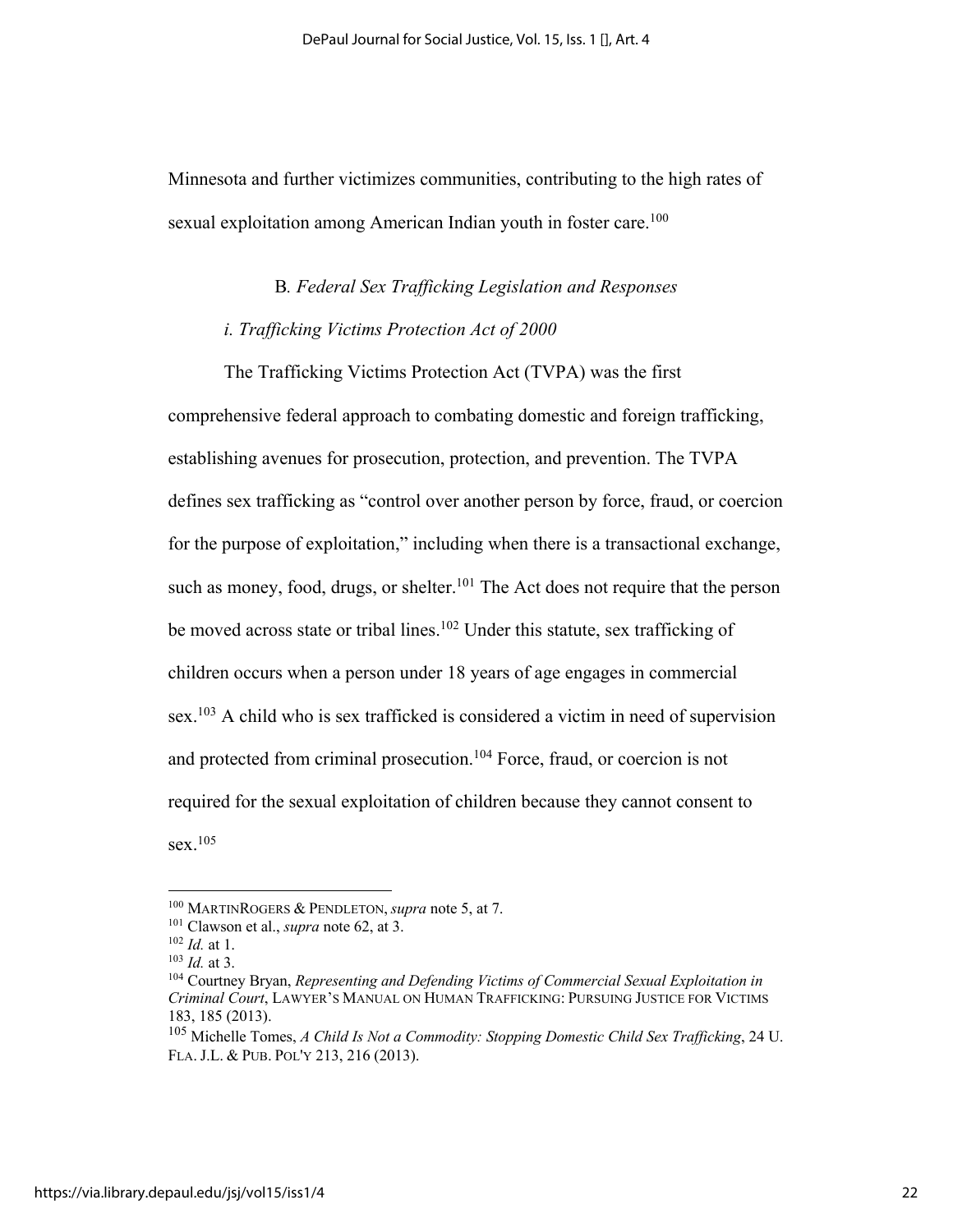Minnesota and further victimizes communities, contributing to the high rates of sexual exploitation among American Indian youth in foster care.<sup>100</sup>

### B*. Federal Sex Trafficking Legislation and Responses*

#### *i. Trafficking Victims Protection Act of 2000*

The Trafficking Victims Protection Act (TVPA) was the first comprehensive federal approach to combating domestic and foreign trafficking, establishing avenues for prosecution, protection, and prevention. The TVPA defines sex trafficking as "control over another person by force, fraud, or coercion for the purpose of exploitation," including when there is a transactional exchange, such as money, food, drugs, or shelter.<sup>101</sup> The Act does not require that the person be moved across state or tribal lines.<sup>102</sup> Under this statute, sex trafficking of children occurs when a person under 18 years of age engages in commercial sex.<sup>103</sup> A child who is sex trafficked is considered a victim in need of supervision and protected from criminal prosecution.104 Force, fraud, or coercion is not required for the sexual exploitation of children because they cannot consent to  $sex.<sup>105</sup>$ 

<sup>100</sup> MARTINROGERS & PENDLETON, *supra* note 5, at 7.

<sup>101</sup> Clawson et al., *supra* note 62, at 3.

<sup>102</sup> *Id.* at 1.

 $103$  *Id.* at 3.

<sup>104</sup> Courtney Bryan, *Representing and Defending Victims of Commercial Sexual Exploitation in Criminal Court*, LAWYER'S MANUAL ON HUMAN TRAFFICKING: PURSUING JUSTICE FOR VICTIMS 183, 185 (2013).

<sup>105</sup> Michelle Tomes, *A Child Is Not a Commodity: Stopping Domestic Child Sex Trafficking*, 24 U. FLA. J.L. & PUB. POL'Y 213, 216 (2013).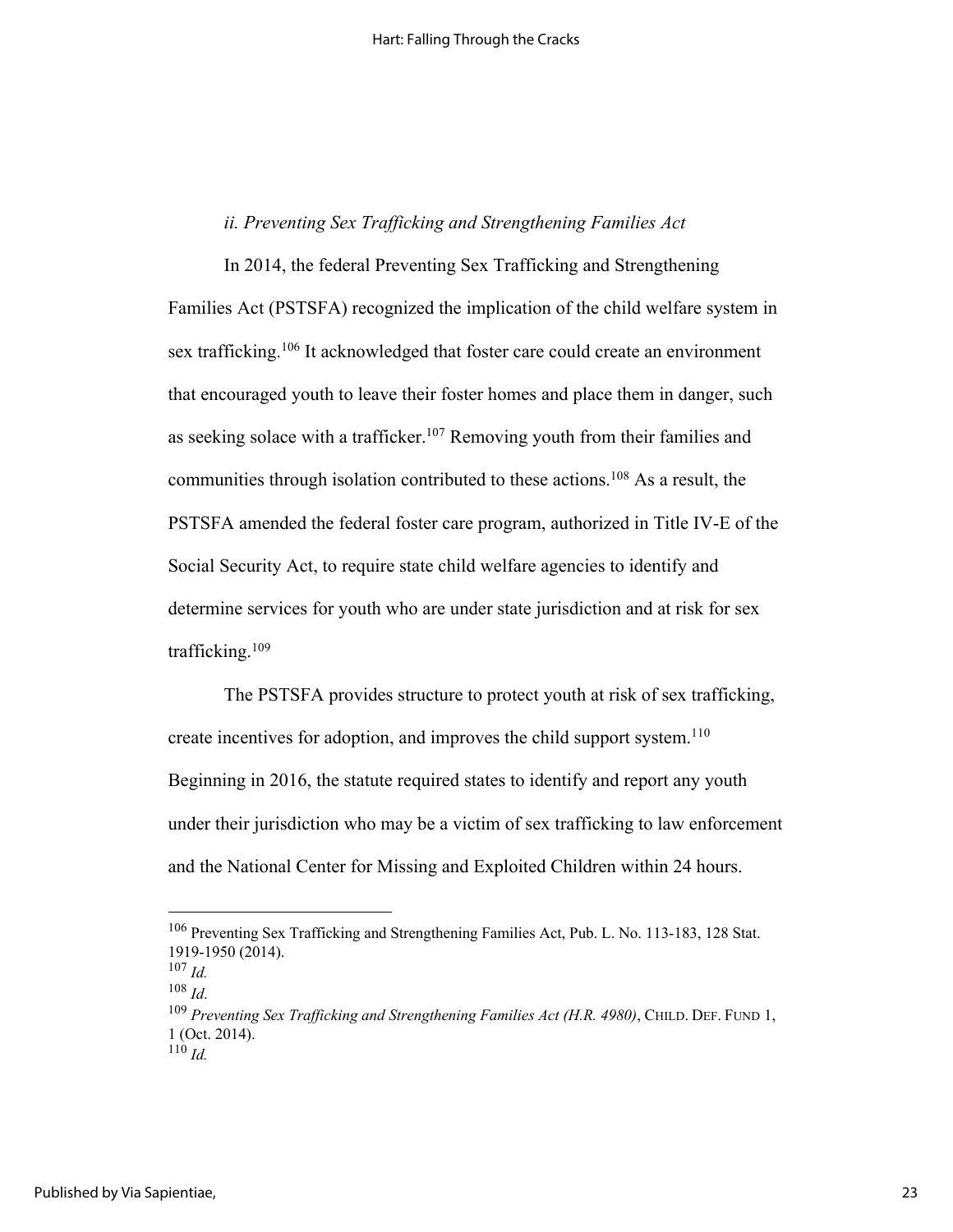# *ii. Preventing Sex Trafficking and Strengthening Families Act*

In 2014, the federal Preventing Sex Trafficking and Strengthening Families Act (PSTSFA) recognized the implication of the child welfare system in sex trafficking.<sup>106</sup> It acknowledged that foster care could create an environment that encouraged youth to leave their foster homes and place them in danger, such as seeking solace with a trafficker.<sup>107</sup> Removing youth from their families and communities through isolation contributed to these actions.<sup>108</sup> As a result, the PSTSFA amended the federal foster care program, authorized in Title IV-E of the Social Security Act, to require state child welfare agencies to identify and determine services for youth who are under state jurisdiction and at risk for sex trafficking.109

The PSTSFA provides structure to protect youth at risk of sex trafficking, create incentives for adoption, and improves the child support system.<sup>110</sup> Beginning in 2016, the statute required states to identify and report any youth under their jurisdiction who may be a victim of sex trafficking to law enforcement and the National Center for Missing and Exploited Children within 24 hours.

<sup>106</sup> Preventing Sex Trafficking and Strengthening Families Act, Pub. L. No. 113-183, 128 Stat. 1919-1950 (2014).

<sup>107</sup> *Id.*

<sup>&</sup>lt;sup>108</sup> *Id.* 108 *Id.* 109 *Preventing Sex Trafficking and Strengthening Families Act (H.R. 4980)*, CHILD. DEF. FUND 1, 1 (Oct. 2014).  $^{110}$  *Id.*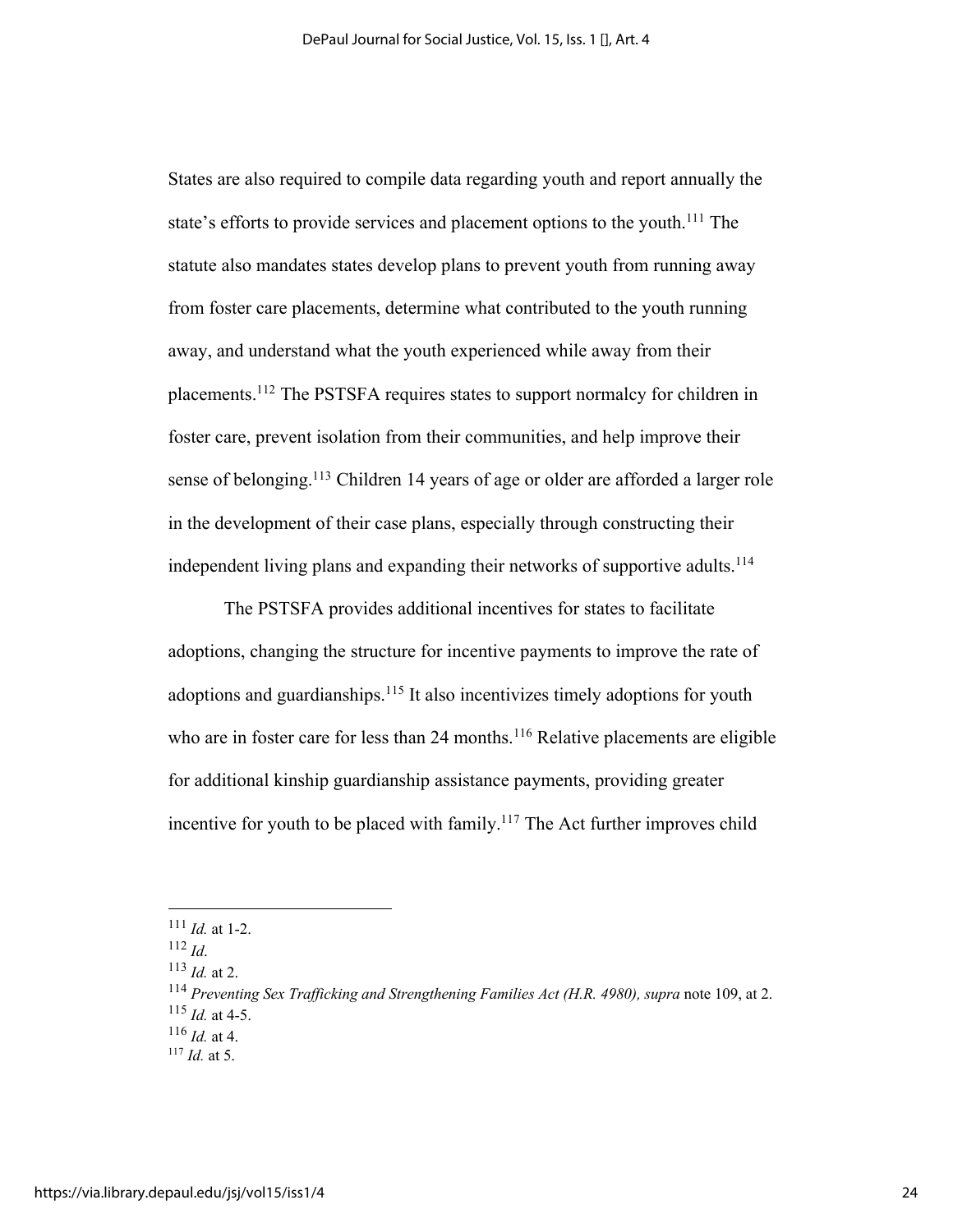States are also required to compile data regarding youth and report annually the state's efforts to provide services and placement options to the youth.<sup>111</sup> The statute also mandates states develop plans to prevent youth from running away from foster care placements, determine what contributed to the youth running away, and understand what the youth experienced while away from their placements. <sup>112</sup> The PSTSFA requires states to support normalcy for children in foster care, prevent isolation from their communities, and help improve their sense of belonging.<sup>113</sup> Children 14 years of age or older are afforded a larger role in the development of their case plans, especially through constructing their independent living plans and expanding their networks of supportive adults.<sup>114</sup>

The PSTSFA provides additional incentives for states to facilitate adoptions, changing the structure for incentive payments to improve the rate of adoptions and guardianships.<sup>115</sup> It also incentivizes timely adoptions for youth who are in foster care for less than 24 months.<sup>116</sup> Relative placements are eligible for additional kinship guardianship assistance payments, providing greater incentive for youth to be placed with family.<sup>117</sup> The Act further improves child

<sup>111</sup> *Id.* at 1-2.

 $112$  *Id.* 

<sup>113</sup> *Id.* at 2.

<sup>114</sup> *Preventing Sex Trafficking and Strengthening Families Act (H.R. 4980), supra* note 109, at 2. <sup>115</sup> *Id.* at 4-5.

 $^{116}$  *Id.* at 4.

<sup>117</sup> *Id.* at 5.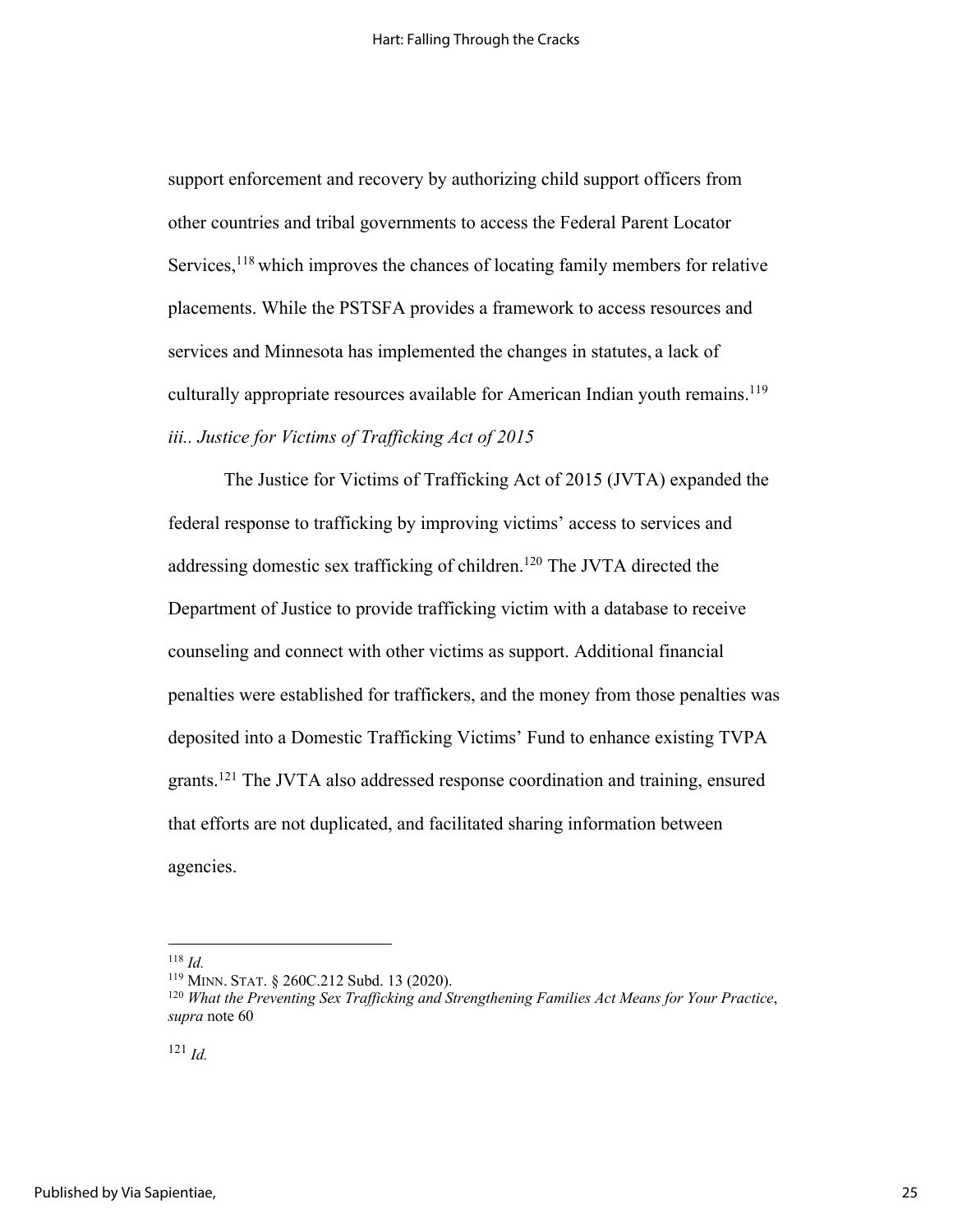support enforcement and recovery by authorizing child support officers from other countries and tribal governments to access the Federal Parent Locator Services,<sup>118</sup> which improves the chances of locating family members for relative placements. While the PSTSFA provides a framework to access resources and services and Minnesota has implemented the changes in statutes, a lack of culturally appropriate resources available for American Indian youth remains. 119 *iii.. Justice for Victims of Trafficking Act of 2015*

The Justice for Victims of Trafficking Act of 2015 (JVTA) expanded the federal response to trafficking by improving victims' access to services and addressing domestic sex trafficking of children.120 The JVTA directed the Department of Justice to provide trafficking victim with a database to receive counseling and connect with other victims as support. Additional financial penalties were established for traffickers, and the money from those penalties was deposited into a Domestic Trafficking Victims' Fund to enhance existing TVPA grants.121 The JVTA also addressed response coordination and training, ensured that efforts are not duplicated, and facilitated sharing information between agencies.

<sup>118</sup> *Id.*

<sup>119</sup> MINN. STAT. § 260C.212 Subd. 13 (2020).

<sup>120</sup> *What the Preventing Sex Trafficking and Strengthening Families Act Means for Your Practice*, *supra* note 60

<sup>121</sup> *Id.*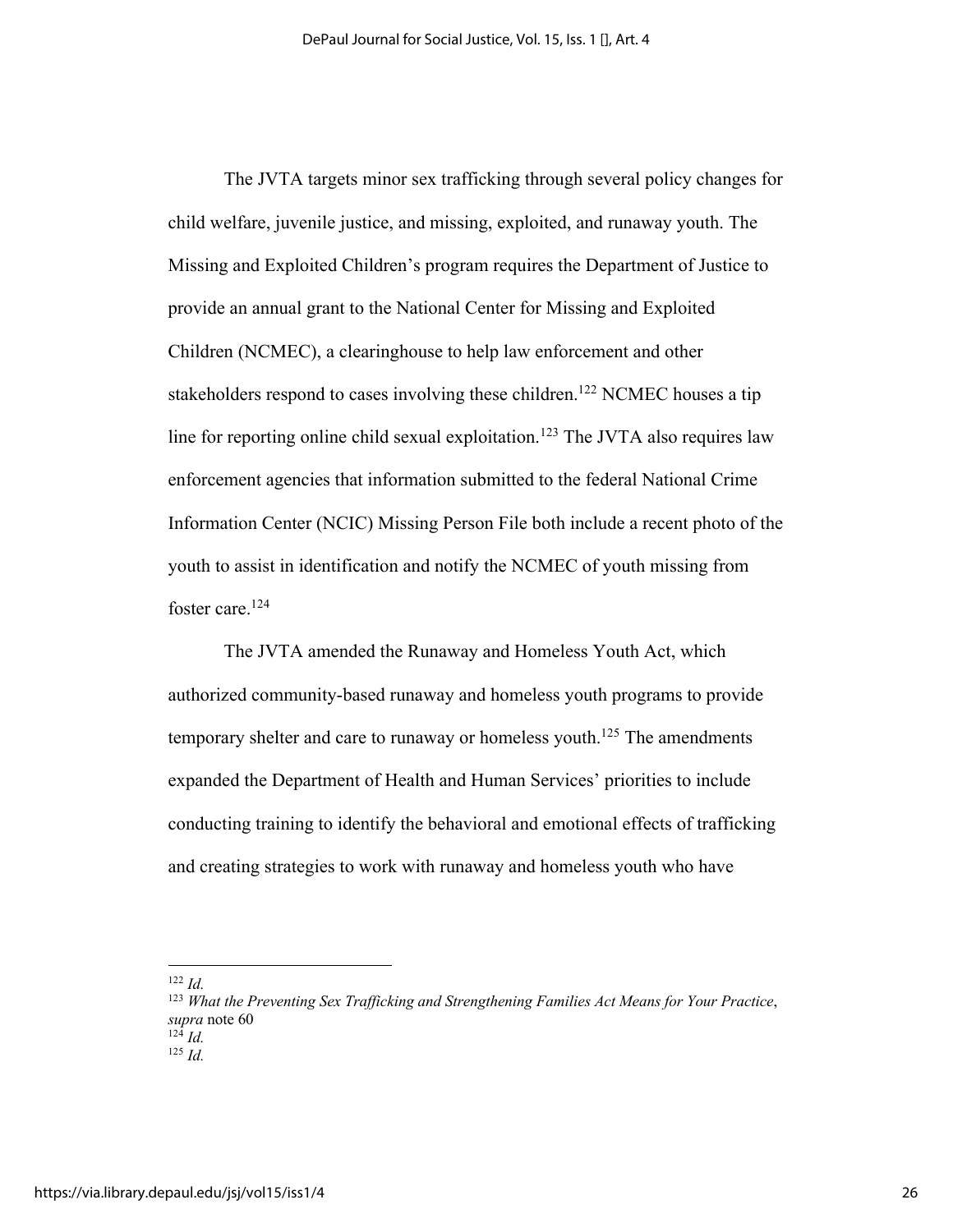The JVTA targets minor sex trafficking through several policy changes for child welfare, juvenile justice, and missing, exploited, and runaway youth. The Missing and Exploited Children's program requires the Department of Justice to provide an annual grant to the National Center for Missing and Exploited Children (NCMEC), a clearinghouse to help law enforcement and other stakeholders respond to cases involving these children.<sup>122</sup> NCMEC houses a tip line for reporting online child sexual exploitation.<sup>123</sup> The JVTA also requires law enforcement agencies that information submitted to the federal National Crime Information Center (NCIC) Missing Person File both include a recent photo of the youth to assist in identification and notify the NCMEC of youth missing from foster care.<sup>124</sup>

The JVTA amended the Runaway and Homeless Youth Act, which authorized community-based runaway and homeless youth programs to provide temporary shelter and care to runaway or homeless youth.<sup>125</sup> The amendments expanded the Department of Health and Human Services' priorities to include conducting training to identify the behavioral and emotional effects of trafficking and creating strategies to work with runaway and homeless youth who have

<sup>122</sup> *Id.*

<sup>123</sup> *What the Preventing Sex Trafficking and Strengthening Families Act Means for Your Practice*, *supra* note 60  $^{124}$  *Id.* 

 $125$  *Id.*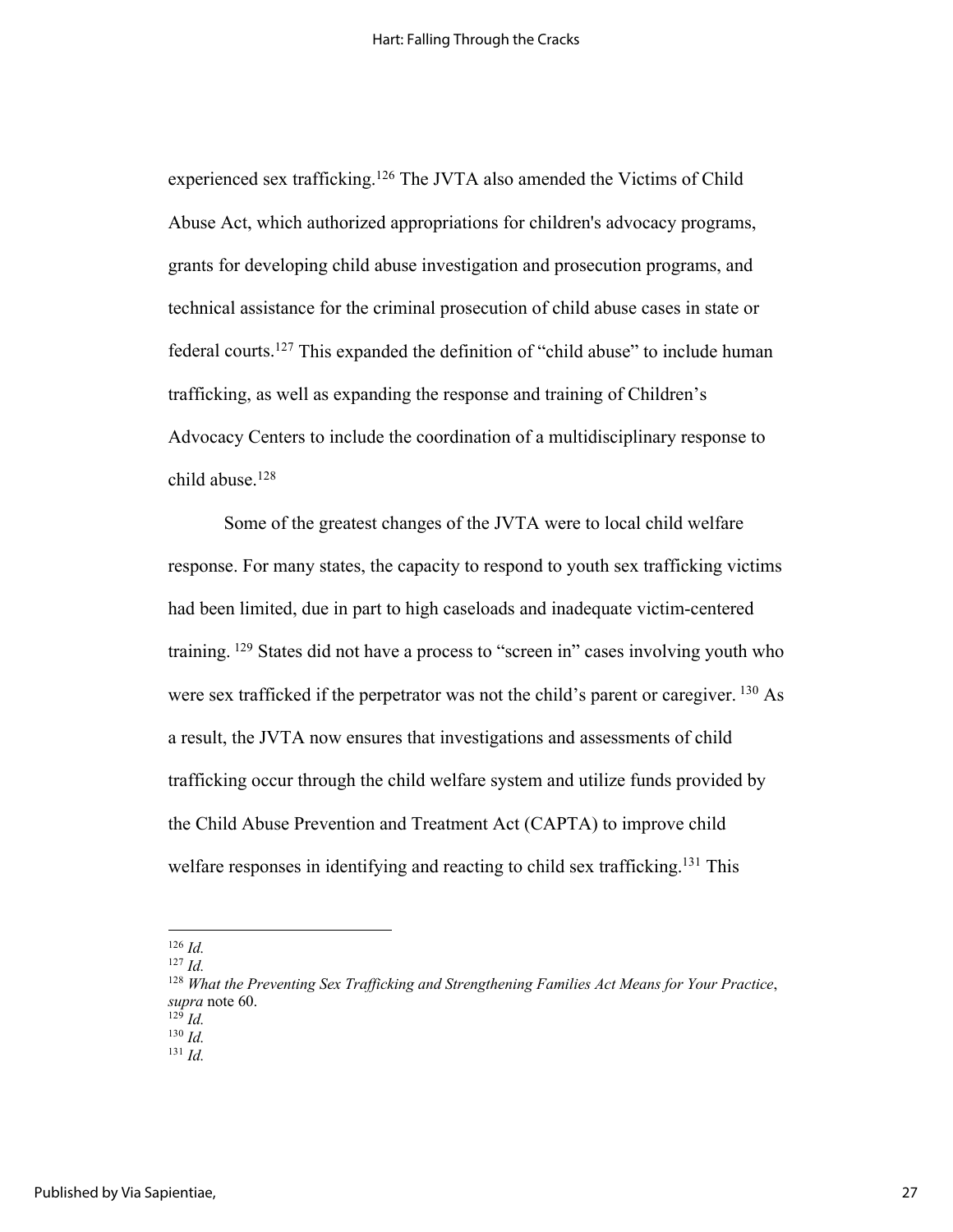experienced sex trafficking.<sup>126</sup> The JVTA also amended the Victims of Child Abuse Act, which authorized appropriations for children's advocacy programs, grants for developing child abuse investigation and prosecution programs, and technical assistance for the criminal prosecution of child abuse cases in state or federal courts.127 This expanded the definition of "child abuse" to include human trafficking, as well as expanding the response and training of Children's Advocacy Centers to include the coordination of a multidisciplinary response to child abuse.128

Some of the greatest changes of the JVTA were to local child welfare response. For many states, the capacity to respond to youth sex trafficking victims had been limited, due in part to high caseloads and inadequate victim-centered training. <sup>129</sup> States did not have a process to "screen in" cases involving youth who were sex trafficked if the perpetrator was not the child's parent or caregiver.  $^{130}$  As a result, the JVTA now ensures that investigations and assessments of child trafficking occur through the child welfare system and utilize funds provided by the Child Abuse Prevention and Treatment Act (CAPTA) to improve child welfare responses in identifying and reacting to child sex trafficking.<sup>131</sup> This

<sup>126</sup> *Id.*

<sup>127</sup> *Id.*

<sup>128</sup> *What the Preventing Sex Trafficking and Strengthening Families Act Means for Your Practice*, *supra* note 60.  $^{129}$  *Id.* 

<sup>130</sup> *Id.*

 $^{131}$  *Id.*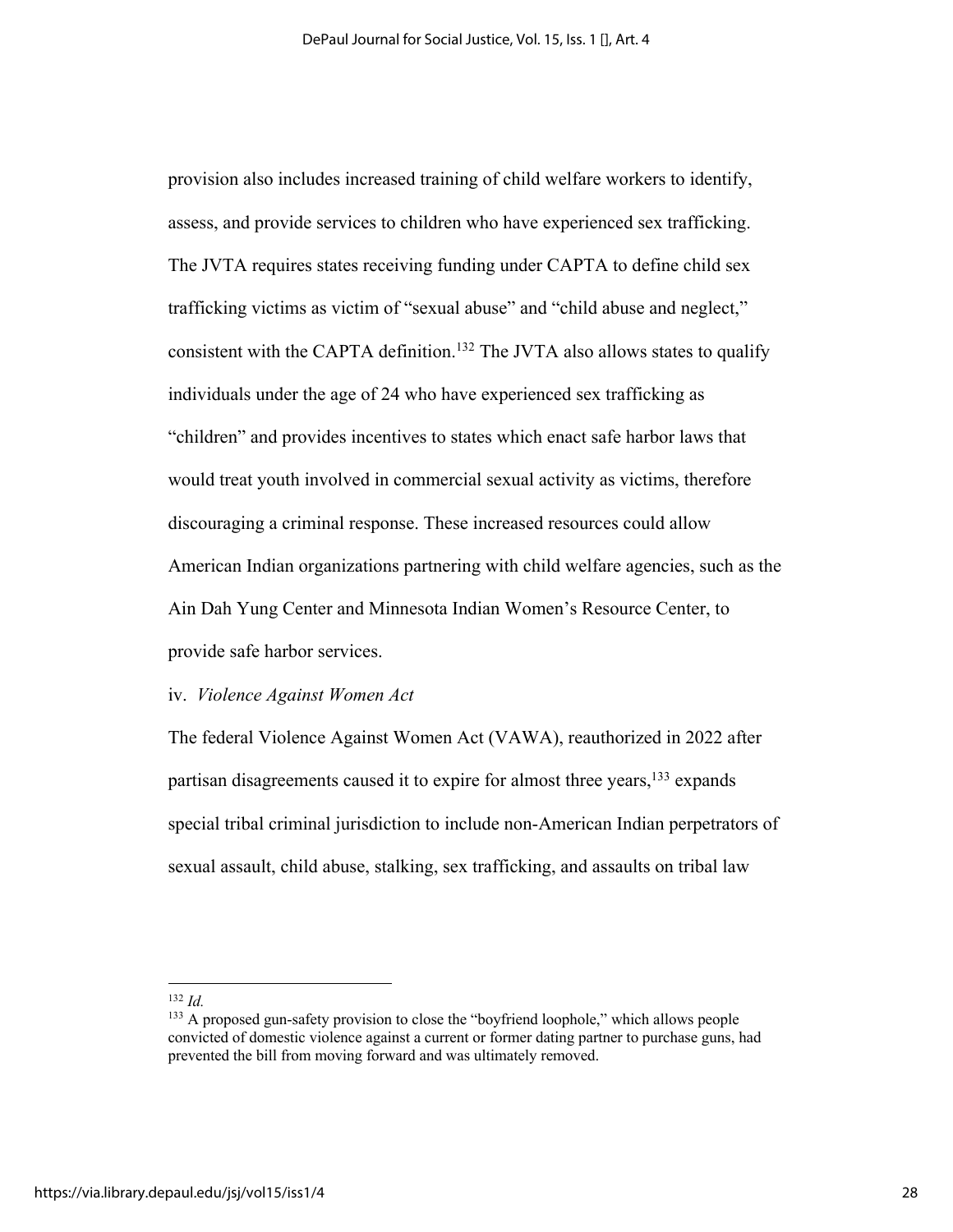provision also includes increased training of child welfare workers to identify, assess, and provide services to children who have experienced sex trafficking. The JVTA requires states receiving funding under CAPTA to define child sex trafficking victims as victim of "sexual abuse" and "child abuse and neglect," consistent with the CAPTA definition.<sup>132</sup> The JVTA also allows states to qualify individuals under the age of 24 who have experienced sex trafficking as "children" and provides incentives to states which enact safe harbor laws that would treat youth involved in commercial sexual activity as victims, therefore discouraging a criminal response. These increased resources could allow American Indian organizations partnering with child welfare agencies, such as the Ain Dah Yung Center and Minnesota Indian Women's Resource Center, to provide safe harbor services.

### iv. *Violence Against Women Act*

The federal Violence Against Women Act (VAWA), reauthorized in 2022 after partisan disagreements caused it to expire for almost three years, <sup>133</sup> expands special tribal criminal jurisdiction to include non-American Indian perpetrators of sexual assault, child abuse, stalking, sex trafficking, and assaults on tribal law

<sup>132</sup> *Id.*

<sup>&</sup>lt;sup>133</sup> A proposed gun-safety provision to close the "boyfriend loophole," which allows people convicted of domestic violence against a current or former dating partner to purchase guns, had prevented the bill from moving forward and was ultimately removed.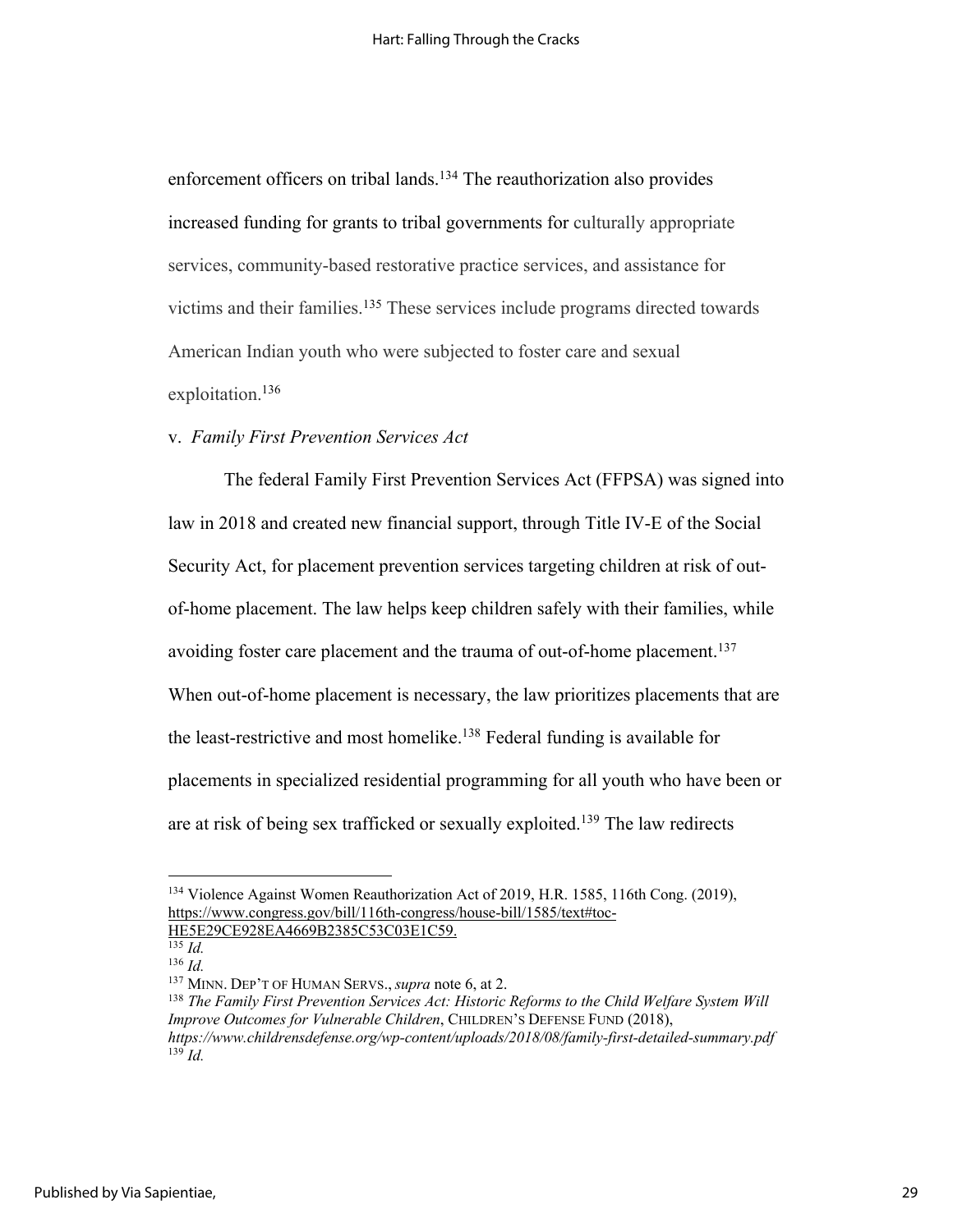enforcement officers on tribal lands.<sup>134</sup> The reauthorization also provides increased funding for grants to tribal governments for culturally appropriate services, community-based restorative practice services, and assistance for victims and their families.135 These services include programs directed towards American Indian youth who were subjected to foster care and sexual exploitation. 136

## v. *Family First Prevention Services Act*

The federal Family First Prevention Services Act (FFPSA) was signed into law in 2018 and created new financial support, through Title IV-E of the Social Security Act, for placement prevention services targeting children at risk of outof-home placement. The law helps keep children safely with their families, while avoiding foster care placement and the trauma of out-of-home placement.<sup>137</sup> When out-of-home placement is necessary, the law prioritizes placements that are the least-restrictive and most homelike.<sup>138</sup> Federal funding is available for placements in specialized residential programming for all youth who have been or are at risk of being sex trafficked or sexually exploited. <sup>139</sup> The law redirects

<sup>134</sup> Violence Against Women Reauthorization Act of 2019, H.R. 1585, 116th Cong. (2019), https://www.congress.gov/bill/116th-congress/house-bill/1585/text#toc-HE5E29CE928EA4669B2385C53C03E1C59.

 $\frac{135}{13}$  *Id.* 

<sup>136</sup> *Id.*

<sup>137</sup> MINN. DEP'T OF HUMAN SERVS., *supra* note 6, at 2.

<sup>138</sup> *The Family First Prevention Services Act: Historic Reforms to the Child Welfare System Will Improve Outcomes for Vulnerable Children*, CHILDREN'S DEFENSE FUND (2018), *https://www.childrensdefense.org/wp-content/uploads/2018/08/family-first-detailed-summary.pdf* <sup>139</sup> *Id.*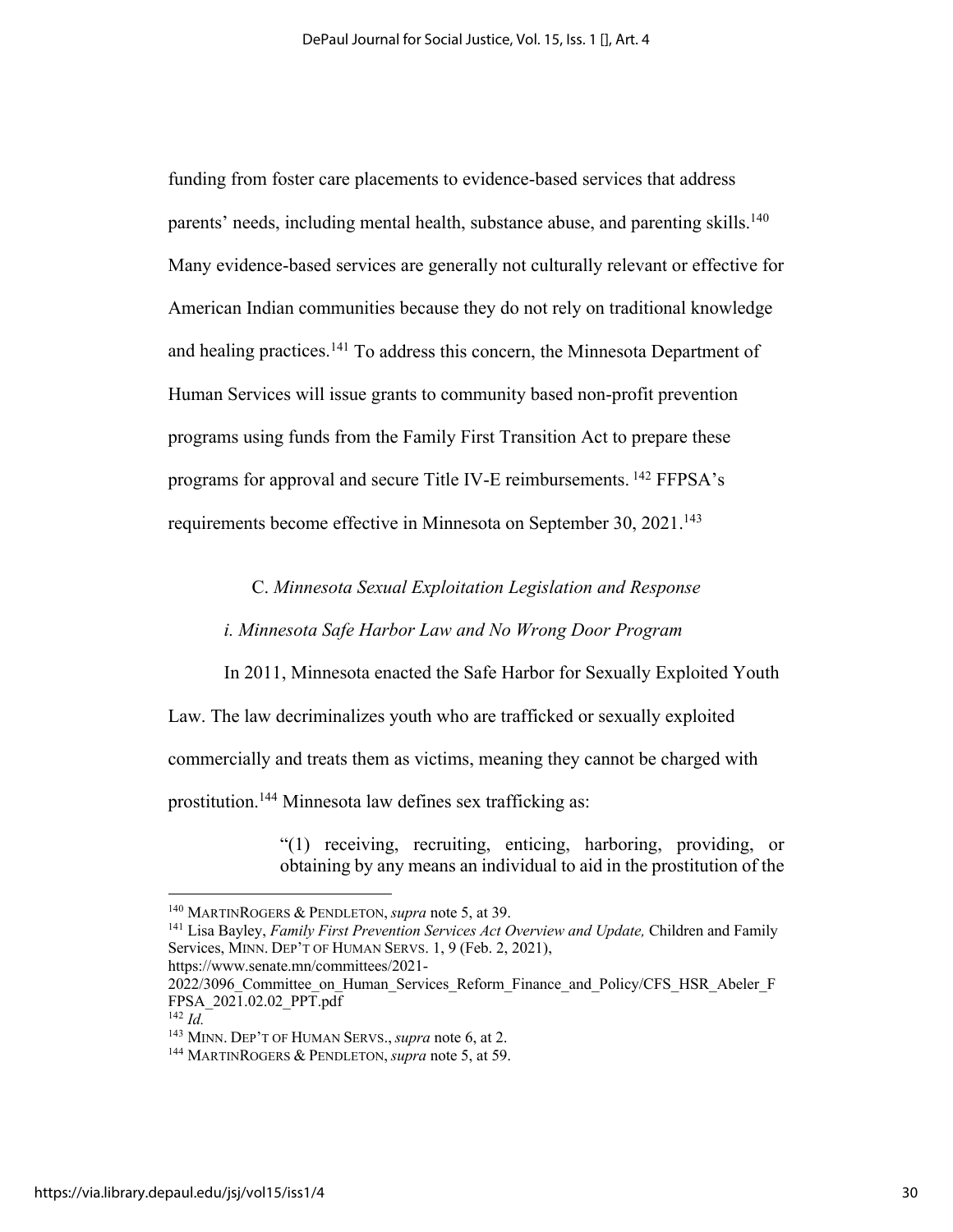funding from foster care placements to evidence-based services that address parents' needs, including mental health, substance abuse, and parenting skills.<sup>140</sup> Many evidence-based services are generally not culturally relevant or effective for American Indian communities because they do not rely on traditional knowledge and healing practices.<sup>141</sup> To address this concern, the Minnesota Department of Human Services will issue grants to community based non-profit prevention programs using funds from the Family First Transition Act to prepare these programs for approval and secure Title IV-E reimbursements. <sup>142</sup> FFPSA's requirements become effective in Minnesota on September 30, 2021.<sup>143</sup>

### C. *Minnesota Sexual Exploitation Legislation and Response*

#### *i. Minnesota Safe Harbor Law and No Wrong Door Program*

In 2011, Minnesota enacted the Safe Harbor for Sexually Exploited Youth Law. The law decriminalizes youth who are trafficked or sexually exploited commercially and treats them as victims, meaning they cannot be charged with prostitution.144 Minnesota law defines sex trafficking as:

> "(1) receiving, recruiting, enticing, harboring, providing, or obtaining by any means an individual to aid in the prostitution of the

<sup>140</sup> MARTINROGERS & PENDLETON, *supra* note 5, at 39.

<sup>141</sup> Lisa Bayley, *Family First Prevention Services Act Overview and Update,* Children and Family Services, MINN. DEP'T OF HUMAN SERVS. 1, 9 (Feb. 2, 2021), https://www.senate.mn/committees/2021-

<sup>2022/3096</sup> Committee on Human Services Reform Finance and Policy/CFS HSR\_Abeler F FPSA\_2021.02.02\_PPT.pdf

<sup>142</sup> *Id.*

<sup>143</sup> MINN. DEP'T OF HUMAN SERVS., *supra* note 6, at 2.

<sup>144</sup> MARTINROGERS & PENDLETON, *supra* note 5, at 59.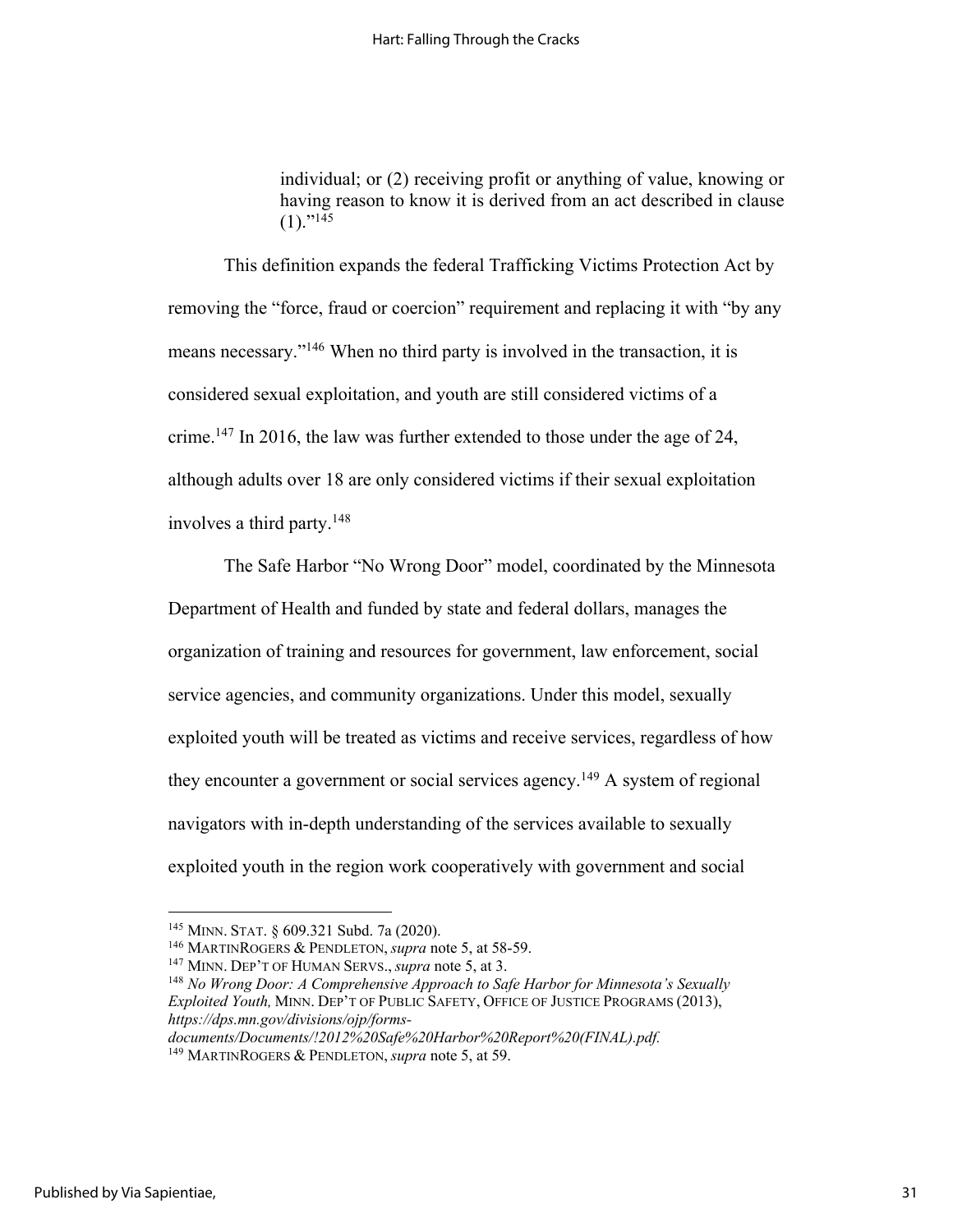individual; or (2) receiving profit or anything of value, knowing or having reason to know it is derived from an act described in clause  $(1).$ "<sup>145</sup>

This definition expands the federal Trafficking Victims Protection Act by removing the "force, fraud or coercion" requirement and replacing it with "by any means necessary."146 When no third party is involved in the transaction, it is considered sexual exploitation, and youth are still considered victims of a crime.<sup>147</sup> In 2016, the law was further extended to those under the age of 24, although adults over 18 are only considered victims if their sexual exploitation involves a third party.148

The Safe Harbor "No Wrong Door" model, coordinated by the Minnesota Department of Health and funded by state and federal dollars, manages the organization of training and resources for government, law enforcement, social service agencies, and community organizations. Under this model, sexually exploited youth will be treated as victims and receive services, regardless of how they encounter a government or social services agency.<sup>149</sup> A system of regional navigators with in-depth understanding of the services available to sexually exploited youth in the region work cooperatively with government and social

*documents/Documents/!2012%20Safe%20Harbor%20Report%20(FINAL).pdf.*

<sup>145</sup> MINN. STAT. § 609.321 Subd. 7a (2020).

<sup>146</sup> MARTINROGERS & PENDLETON, *supra* note 5, at 58-59.

<sup>147</sup> MINN. DEP'T OF HUMAN SERVS., *supra* note 5, at 3.

<sup>148</sup> *No Wrong Door: A Comprehensive Approach to Safe Harbor for Minnesota's Sexually Exploited Youth,* MINN. DEP'T OF PUBLIC SAFETY, OFFICE OF JUSTICE PROGRAMS (2013), *https://dps.mn.gov/divisions/ojp/forms-*

<sup>149</sup> MARTINROGERS & PENDLETON, *supra* note 5, at 59.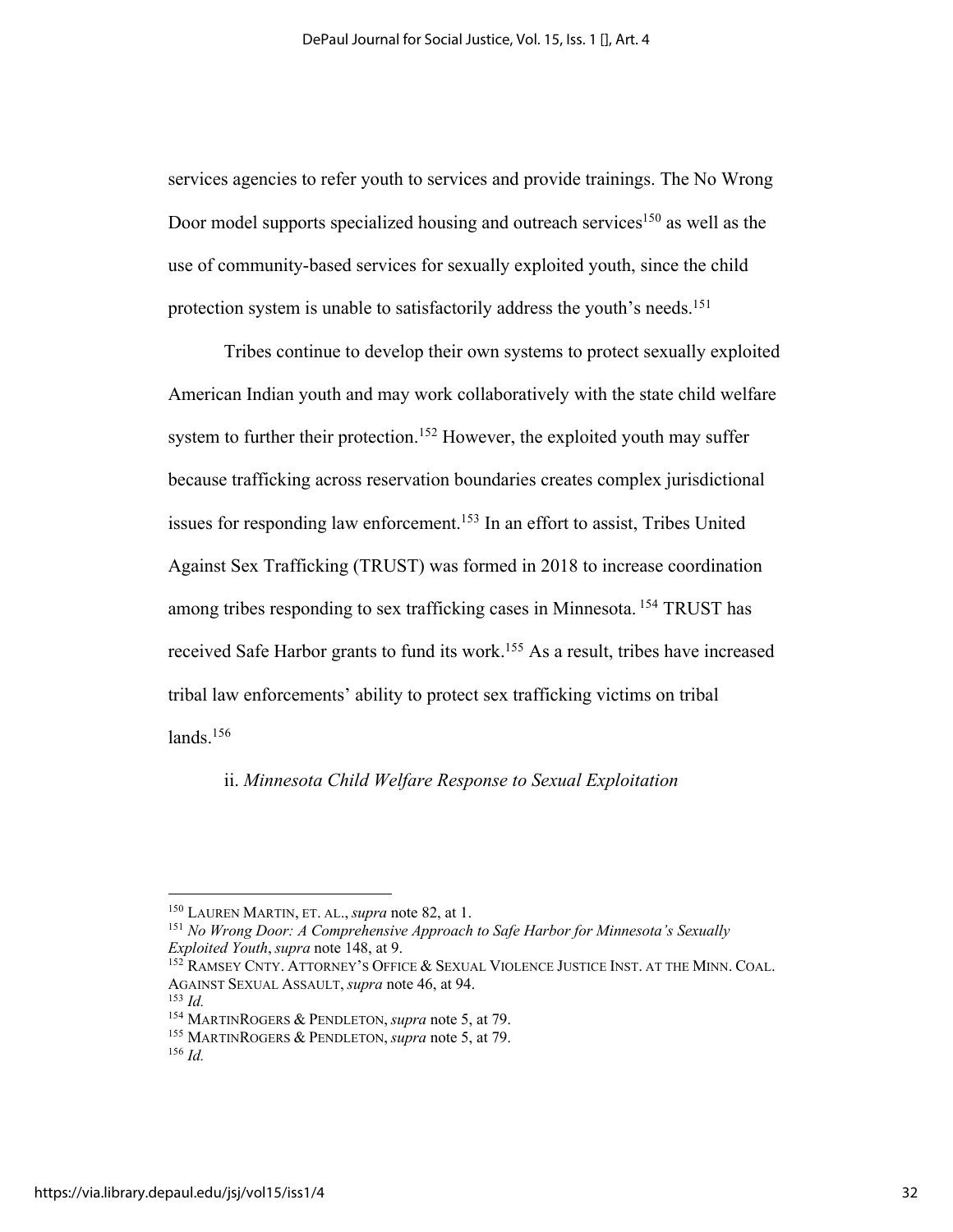services agencies to refer youth to services and provide trainings. The No Wrong Door model supports specialized housing and outreach services<sup>150</sup> as well as the use of community-based services for sexually exploited youth, since the child protection system is unable to satisfactorily address the youth's needs.<sup>151</sup>

Tribes continue to develop their own systems to protect sexually exploited American Indian youth and may work collaboratively with the state child welfare system to further their protection.<sup>152</sup> However, the exploited youth may suffer because trafficking across reservation boundaries creates complex jurisdictional issues for responding law enforcement.<sup>153</sup> In an effort to assist, Tribes United Against Sex Trafficking (TRUST) was formed in 2018 to increase coordination among tribes responding to sex trafficking cases in Minnesota. <sup>154</sup> TRUST has received Safe Harbor grants to fund its work.<sup>155</sup> As a result, tribes have increased tribal law enforcements' ability to protect sex trafficking victims on tribal  $lands.<sup>156</sup>$ 

### ii. *Minnesota Child Welfare Response to Sexual Exploitation*

<sup>150</sup> LAUREN MARTIN, ET. AL., *supra* note 82, at 1.

<sup>151</sup> *No Wrong Door: A Comprehensive Approach to Safe Harbor for Minnesota's Sexually Exploited Youth*, *supra* note 148, at 9.

<sup>&</sup>lt;sup>152</sup> RAMSEY CNTY. ATTORNEY'S OFFICE & SEXUAL VIOLENCE JUSTICE INST. AT THE MINN. COAL. AGAINST SEXUAL ASSAULT, *supra* note 46, at 94.

<sup>153</sup> *Id.*

<sup>154</sup> MARTINROGERS & PENDLETON, *supra* note 5, at 79.

<sup>155</sup> MARTINROGERS & PENDLETON, *supra* note 5, at 79.

<sup>156</sup> *Id.*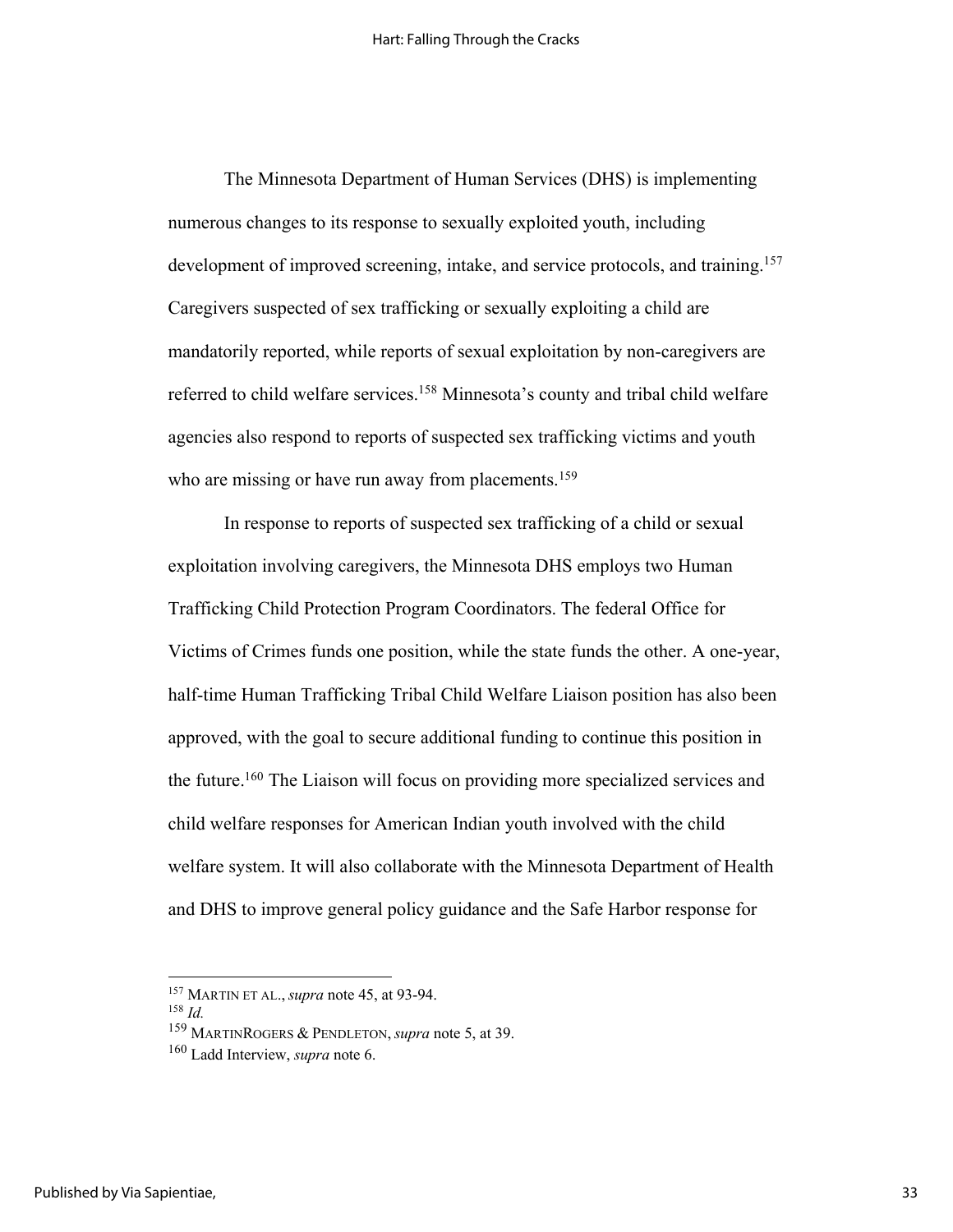The Minnesota Department of Human Services (DHS) is implementing numerous changes to its response to sexually exploited youth, including development of improved screening, intake, and service protocols, and training.<sup>157</sup> Caregivers suspected of sex trafficking or sexually exploiting a child are mandatorily reported, while reports of sexual exploitation by non-caregivers are referred to child welfare services.158 Minnesota's county and tribal child welfare agencies also respond to reports of suspected sex trafficking victims and youth who are missing or have run away from placements.<sup>159</sup>

In response to reports of suspected sex trafficking of a child or sexual exploitation involving caregivers, the Minnesota DHS employs two Human Trafficking Child Protection Program Coordinators. The federal Office for Victims of Crimes funds one position, while the state funds the other. A one-year, half-time Human Trafficking Tribal Child Welfare Liaison position has also been approved, with the goal to secure additional funding to continue this position in the future.<sup>160</sup> The Liaison will focus on providing more specialized services and child welfare responses for American Indian youth involved with the child welfare system. It will also collaborate with the Minnesota Department of Health and DHS to improve general policy guidance and the Safe Harbor response for

<sup>158</sup> *Id.*

<sup>157</sup> MARTIN ET AL., *supra* note 45, at 93-94.

<sup>159</sup> MARTINROGERS & PENDLETON, *supra* note 5, at 39.

<sup>160</sup> Ladd Interview, *supra* note 6.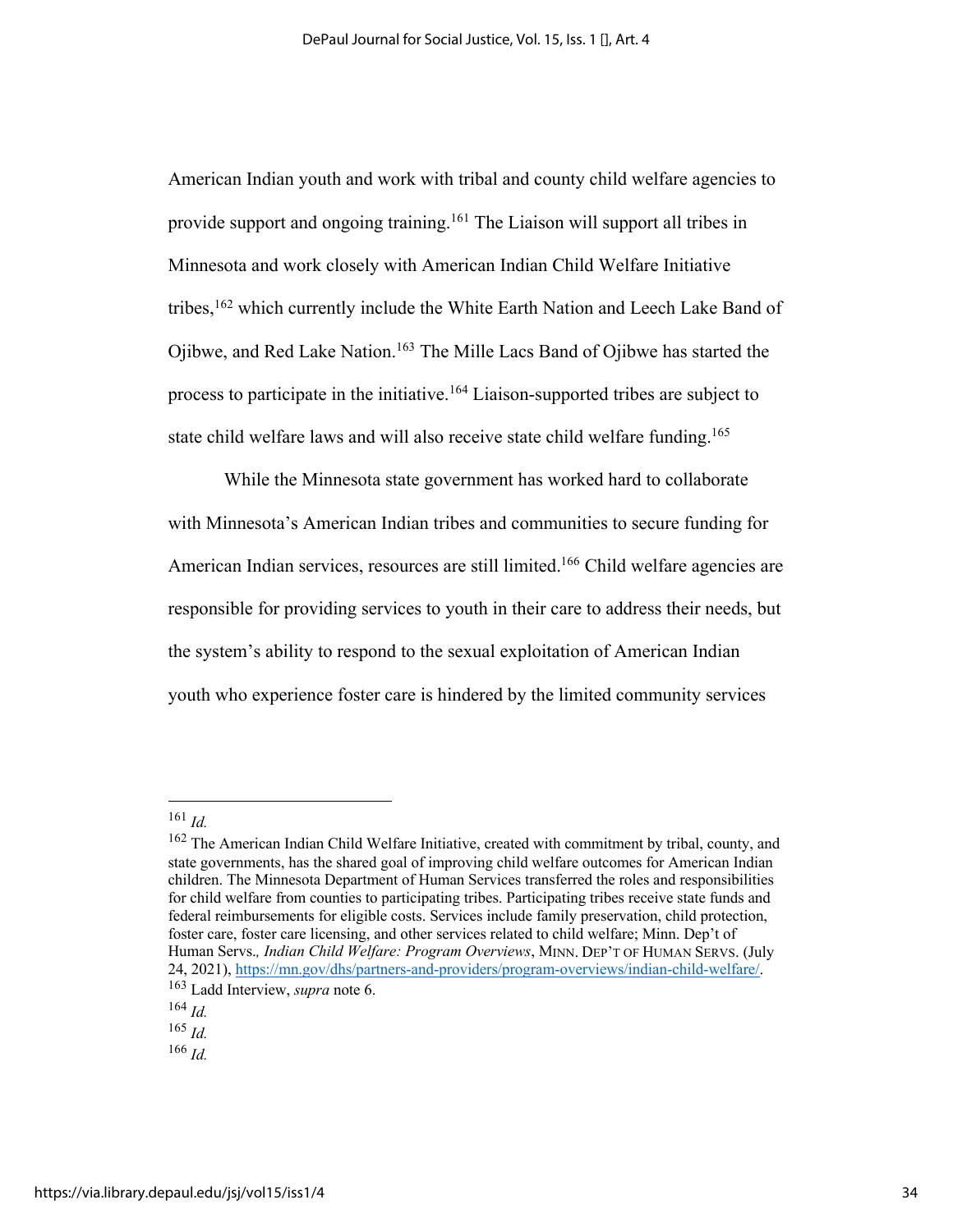American Indian youth and work with tribal and county child welfare agencies to provide support and ongoing training.<sup>161</sup> The Liaison will support all tribes in Minnesota and work closely with American Indian Child Welfare Initiative tribes,<sup>162</sup> which currently include the White Earth Nation and Leech Lake Band of Ojibwe, and Red Lake Nation. <sup>163</sup> The Mille Lacs Band of Ojibwe has started the process to participate in the initiative.<sup>164</sup> Liaison-supported tribes are subject to state child welfare laws and will also receive state child welfare funding.<sup>165</sup>

While the Minnesota state government has worked hard to collaborate with Minnesota's American Indian tribes and communities to secure funding for American Indian services, resources are still limited.<sup>166</sup> Child welfare agencies are responsible for providing services to youth in their care to address their needs, but the system's ability to respond to the sexual exploitation of American Indian youth who experience foster care is hindered by the limited community services

<sup>161</sup> *Id.*

<sup>&</sup>lt;sup>162</sup> The American Indian Child Welfare Initiative, created with commitment by tribal, county, and state governments, has the shared goal of improving child welfare outcomes for American Indian children. The Minnesota Department of Human Services transferred the roles and responsibilities for child welfare from counties to participating tribes. Participating tribes receive state funds and federal reimbursements for eligible costs. Services include family preservation, child protection, foster care, foster care licensing, and other services related to child welfare; Minn. Dep't of Human Servs.*, Indian Child Welfare: Program Overviews*, MINN. DEP'T OF HUMAN SERVS. (July 24, 2021), https://mn.gov/dhs/partners-and-providers/program-overviews/indian-child-welfare/. 163 Ladd Interview, *supra* note 6.

<sup>164</sup> *Id.*

<sup>165</sup> *Id.*

<sup>166</sup> *Id.*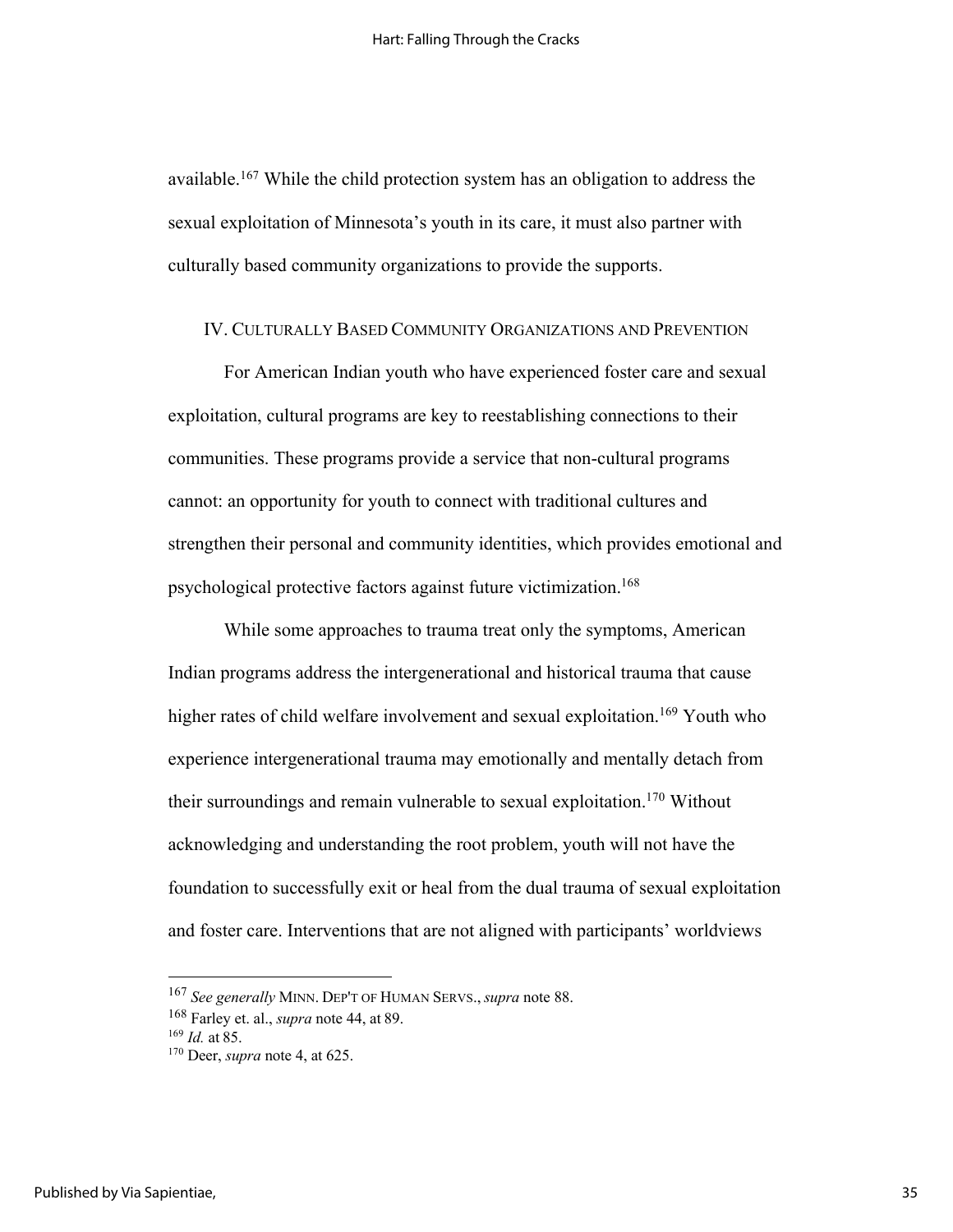available.167 While the child protection system has an obligation to address the sexual exploitation of Minnesota's youth in its care, it must also partner with culturally based community organizations to provide the supports.

#### IV. CULTURALLY BASED COMMUNITY ORGANIZATIONS AND PREVENTION

For American Indian youth who have experienced foster care and sexual exploitation, cultural programs are key to reestablishing connections to their communities. These programs provide a service that non-cultural programs cannot: an opportunity for youth to connect with traditional cultures and strengthen their personal and community identities, which provides emotional and psychological protective factors against future victimization.168

While some approaches to trauma treat only the symptoms, American Indian programs address the intergenerational and historical trauma that cause higher rates of child welfare involvement and sexual exploitation.<sup>169</sup> Youth who experience intergenerational trauma may emotionally and mentally detach from their surroundings and remain vulnerable to sexual exploitation.<sup>170</sup> Without acknowledging and understanding the root problem, youth will not have the foundation to successfully exit or heal from the dual trauma of sexual exploitation and foster care. Interventions that are not aligned with participants' worldviews

<sup>167</sup> *See generally* MINN. DEP'T OF HUMAN SERVS., *supra* note 88.

<sup>168</sup> Farley et. al., *supra* note 44, at 89.

<sup>169</sup> *Id.* at 85.

<sup>170</sup> Deer, *supra* note 4, at 625.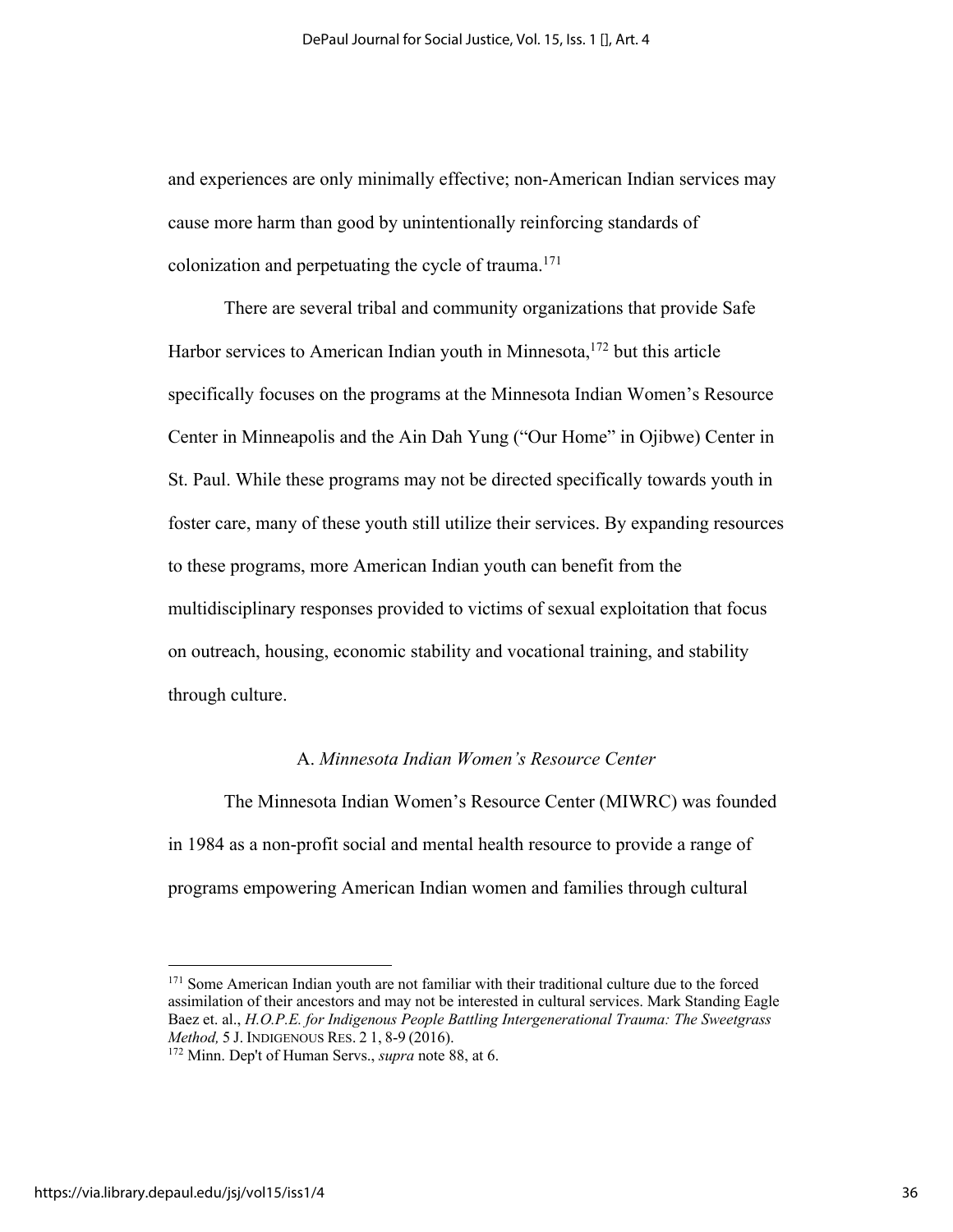and experiences are only minimally effective; non-American Indian services may cause more harm than good by unintentionally reinforcing standards of colonization and perpetuating the cycle of trauma. 171

There are several tribal and community organizations that provide Safe Harbor services to American Indian youth in Minnesota,<sup>172</sup> but this article specifically focuses on the programs at the Minnesota Indian Women's Resource Center in Minneapolis and the Ain Dah Yung ("Our Home" in Ojibwe) Center in St. Paul. While these programs may not be directed specifically towards youth in foster care, many of these youth still utilize their services. By expanding resources to these programs, more American Indian youth can benefit from the multidisciplinary responses provided to victims of sexual exploitation that focus on outreach, housing, economic stability and vocational training, and stability through culture.

#### A. *Minnesota Indian Women's Resource Center*

The Minnesota Indian Women's Resource Center (MIWRC) was founded in 1984 as a non-profit social and mental health resource to provide a range of programs empowering American Indian women and families through cultural

<sup>&</sup>lt;sup>171</sup> Some American Indian youth are not familiar with their traditional culture due to the forced assimilation of their ancestors and may not be interested in cultural services. Mark Standing Eagle Baez et. al., *H.O.P.E. for Indigenous People Battling Intergenerational Trauma: The Sweetgrass Method,* 5 J. INDIGENOUS RES. 2 1, 8-9 (2016).

<sup>172</sup> Minn. Dep't of Human Servs., *supra* note 88, at 6.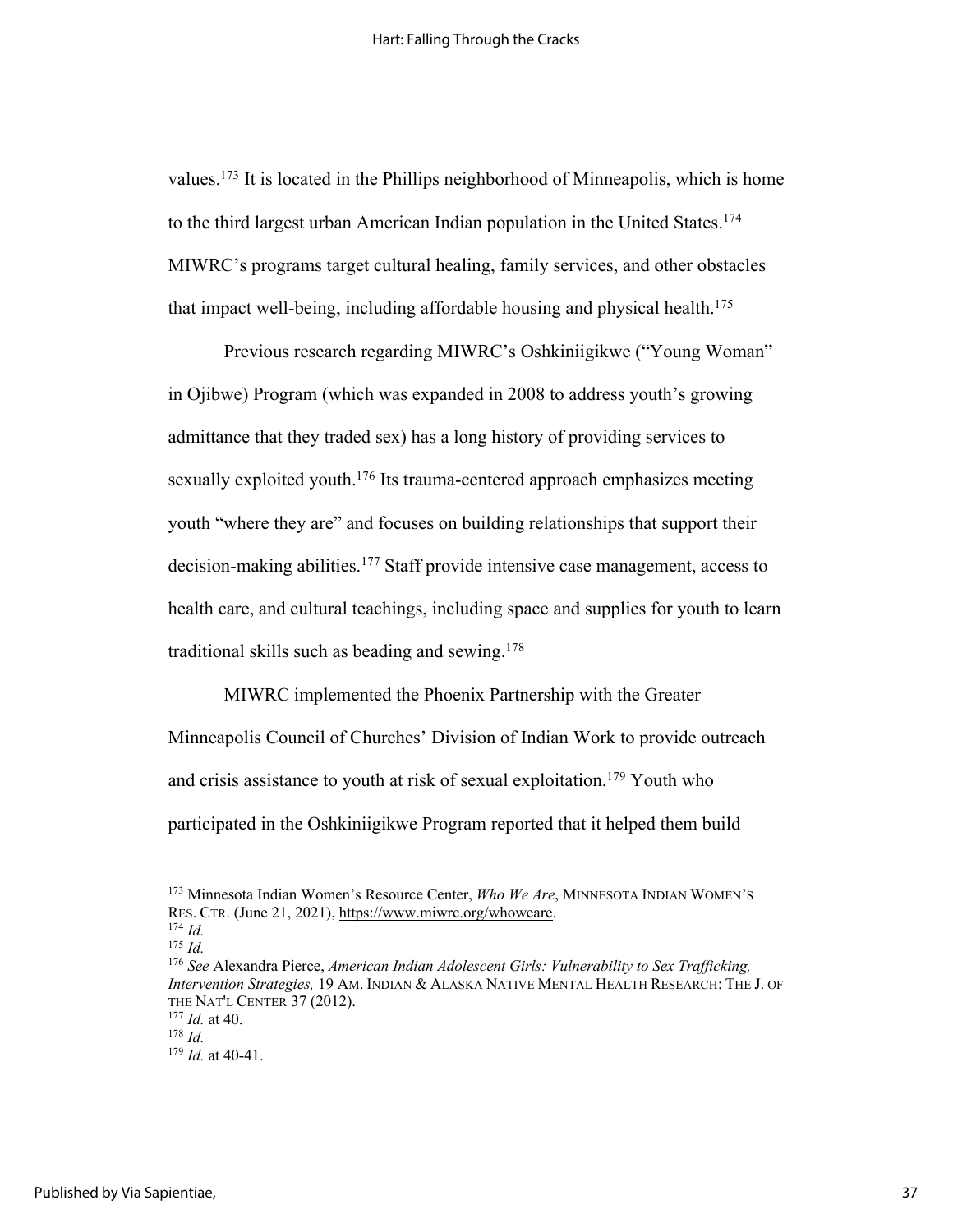values.<sup>173</sup> It is located in the Phillips neighborhood of Minneapolis, which is home to the third largest urban American Indian population in the United States.<sup>174</sup> MIWRC's programs target cultural healing, family services, and other obstacles that impact well-being, including affordable housing and physical health.<sup>175</sup>

Previous research regarding MIWRC's Oshkiniigikwe ("Young Woman" in Ojibwe) Program (which was expanded in 2008 to address youth's growing admittance that they traded sex) has a long history of providing services to sexually exploited youth.<sup>176</sup> Its trauma-centered approach emphasizes meeting youth "where they are" and focuses on building relationships that support their decision-making abilities.<sup>177</sup> Staff provide intensive case management, access to health care, and cultural teachings, including space and supplies for youth to learn traditional skills such as beading and sewing. 178

MIWRC implemented the Phoenix Partnership with the Greater Minneapolis Council of Churches' Division of Indian Work to provide outreach and crisis assistance to youth at risk of sexual exploitation.<sup>179</sup> Youth who participated in the Oshkiniigikwe Program reported that it helped them build

<sup>173</sup> Minnesota Indian Women's Resource Center, *Who We Are*, MINNESOTA INDIAN WOMEN'S RES. CTR. (June 21, 2021), https://www.miwrc.org/whoweare.

<sup>174</sup> *Id.* <sup>175</sup> *Id.*

<sup>176</sup> *See* Alexandra Pierce, *American Indian Adolescent Girls: Vulnerability to Sex Trafficking, Intervention Strategies,* 19 AM. INDIAN & ALASKA NATIVE MENTAL HEALTH RESEARCH: THE J. OF THE NAT'L CENTER 37 (2012).

<sup>177</sup> *Id.* at 40.

<sup>178</sup> *Id.*

<sup>179</sup> *Id.* at 40-41.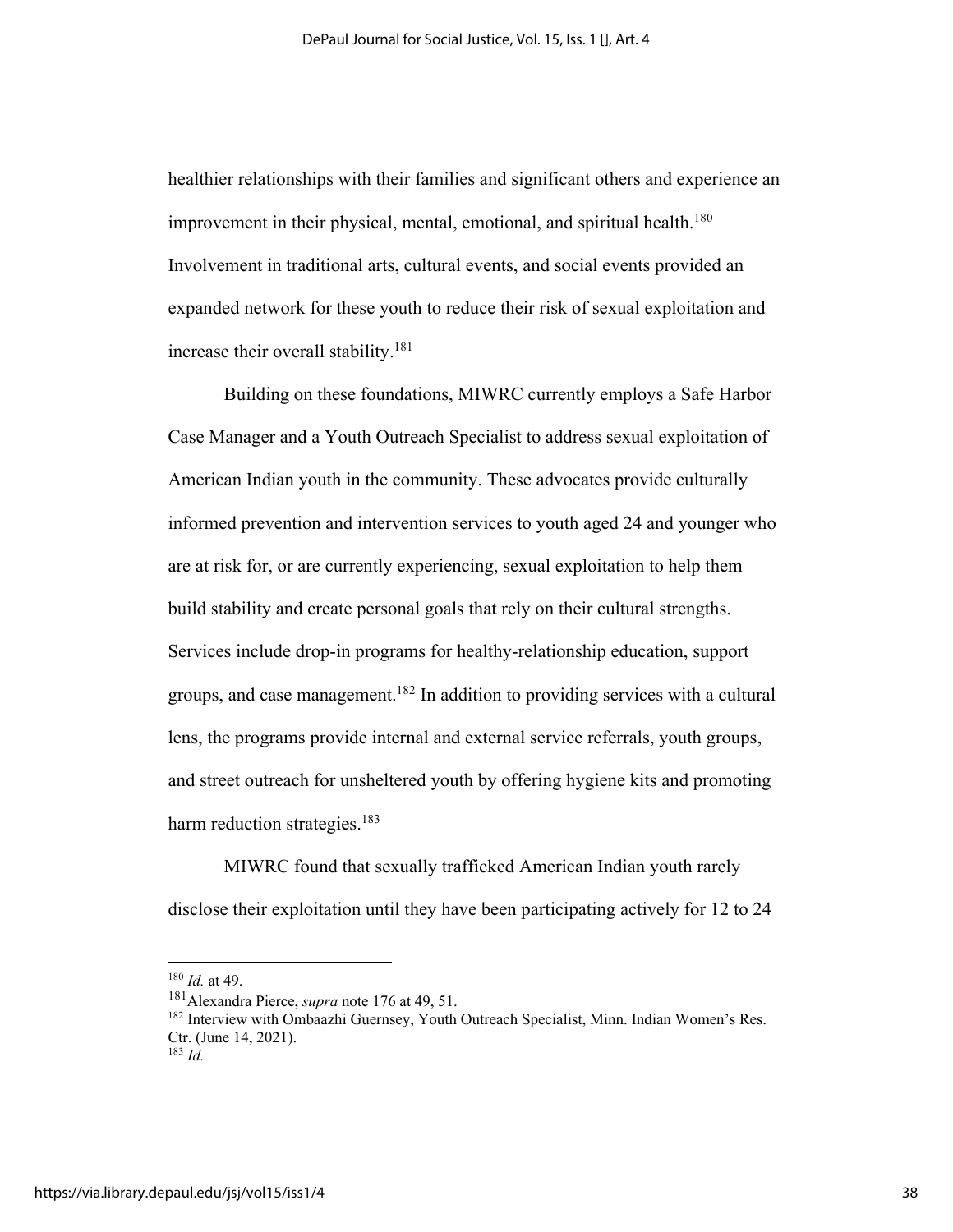healthier relationships with their families and significant others and experience an improvement in their physical, mental, emotional, and spiritual health.<sup>180</sup> Involvement in traditional arts, cultural events, and social events provided an expanded network for these youth to reduce their risk of sexual exploitation and increase their overall stability.181

Building on these foundations, MIWRC currently employs a Safe Harbor Case Manager and a Youth Outreach Specialist to address sexual exploitation of American Indian youth in the community. These advocates provide culturally informed prevention and intervention services to youth aged 24 and younger who are at risk for, or are currently experiencing, sexual exploitation to help them build stability and create personal goals that rely on their cultural strengths. Services include drop-in programs for healthy-relationship education, support groups, and case management.<sup>182</sup> In addition to providing services with a cultural lens, the programs provide internal and external service referrals, youth groups, and street outreach for unsheltered youth by offering hygiene kits and promoting harm reduction strategies.<sup>183</sup>

MIWRC found that sexually trafficked American Indian youth rarely disclose their exploitation until they have been participating actively for 12 to 24

<sup>180</sup> *Id.* at 49.

<sup>181</sup>Alexandra Pierce, *supra* note 176 at 49, 51.

<sup>&</sup>lt;sup>182</sup> Interview with Ombaazhi Guernsey, Youth Outreach Specialist, Minn. Indian Women's Res. Ctr. (June 14, 2021).

 $^{183}$  *Id.*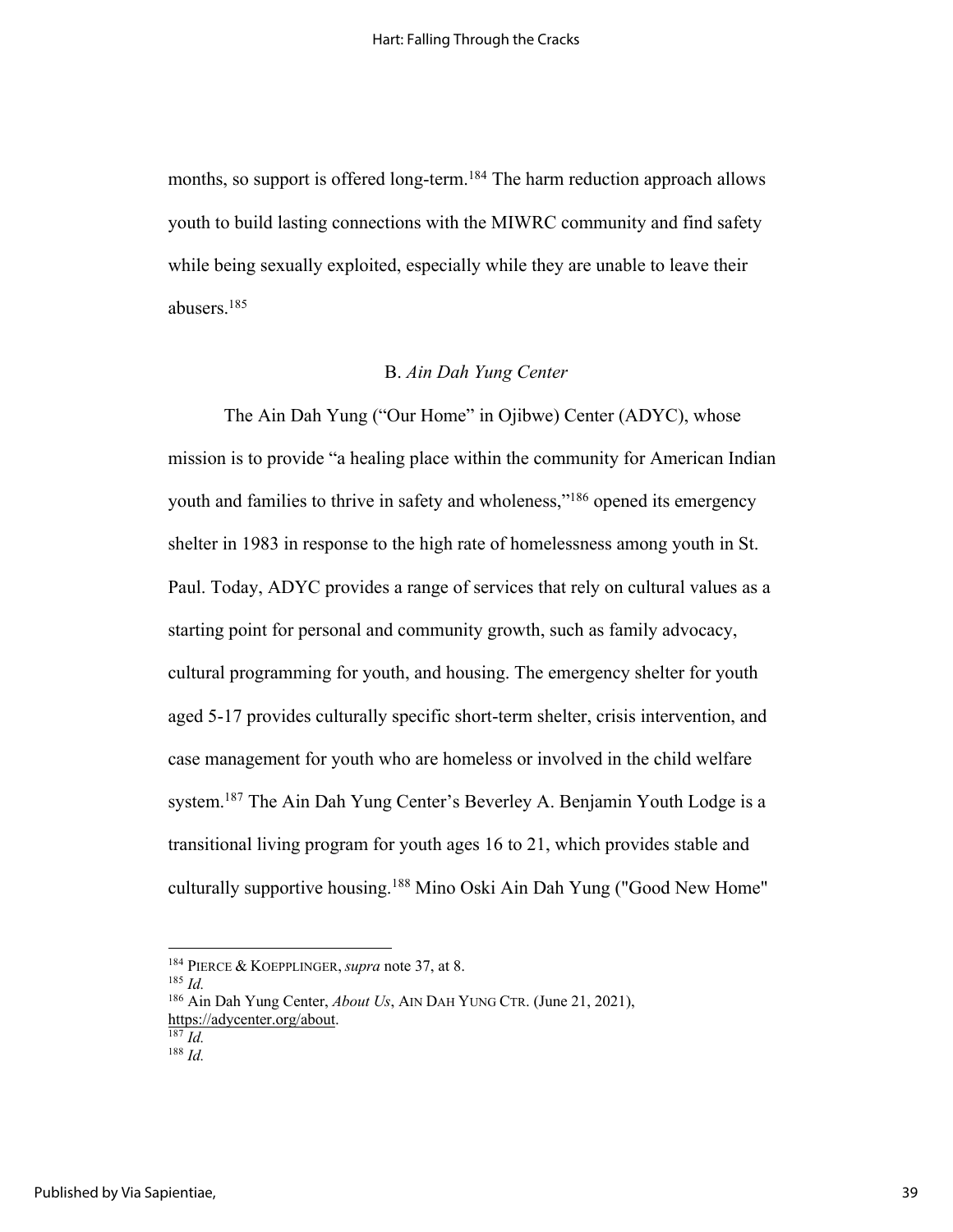months, so support is offered long-term.<sup>184</sup> The harm reduction approach allows youth to build lasting connections with the MIWRC community and find safety while being sexually exploited, especially while they are unable to leave their abusers. 185

### B. *Ain Dah Yung Center*

The Ain Dah Yung ("Our Home" in Ojibwe) Center (ADYC), whose mission is to provide "a healing place within the community for American Indian youth and families to thrive in safety and wholeness,"<sup>186</sup> opened its emergency shelter in 1983 in response to the high rate of homelessness among youth in St. Paul. Today, ADYC provides a range of services that rely on cultural values as a starting point for personal and community growth, such as family advocacy, cultural programming for youth, and housing. The emergency shelter for youth aged 5-17 provides culturally specific short-term shelter, crisis intervention, and case management for youth who are homeless or involved in the child welfare system.<sup>187</sup> The Ain Dah Yung Center's Beverley A. Benjamin Youth Lodge is a transitional living program for youth ages 16 to 21, which provides stable and culturally supportive housing.<sup>188</sup> Mino Oski Ain Dah Yung ("Good New Home"

<sup>185</sup> *Id.*

<sup>184</sup> PIERCE & KOEPPLINGER, *supra* note 37, at 8.

<sup>186</sup> Ain Dah Yung Center, *About Us*, AIN DAH YUNG CTR. (June 21, 2021), https://adycenter.org/about.

 $\overline{^{187}$ *Id.* 

<sup>188</sup> *Id.*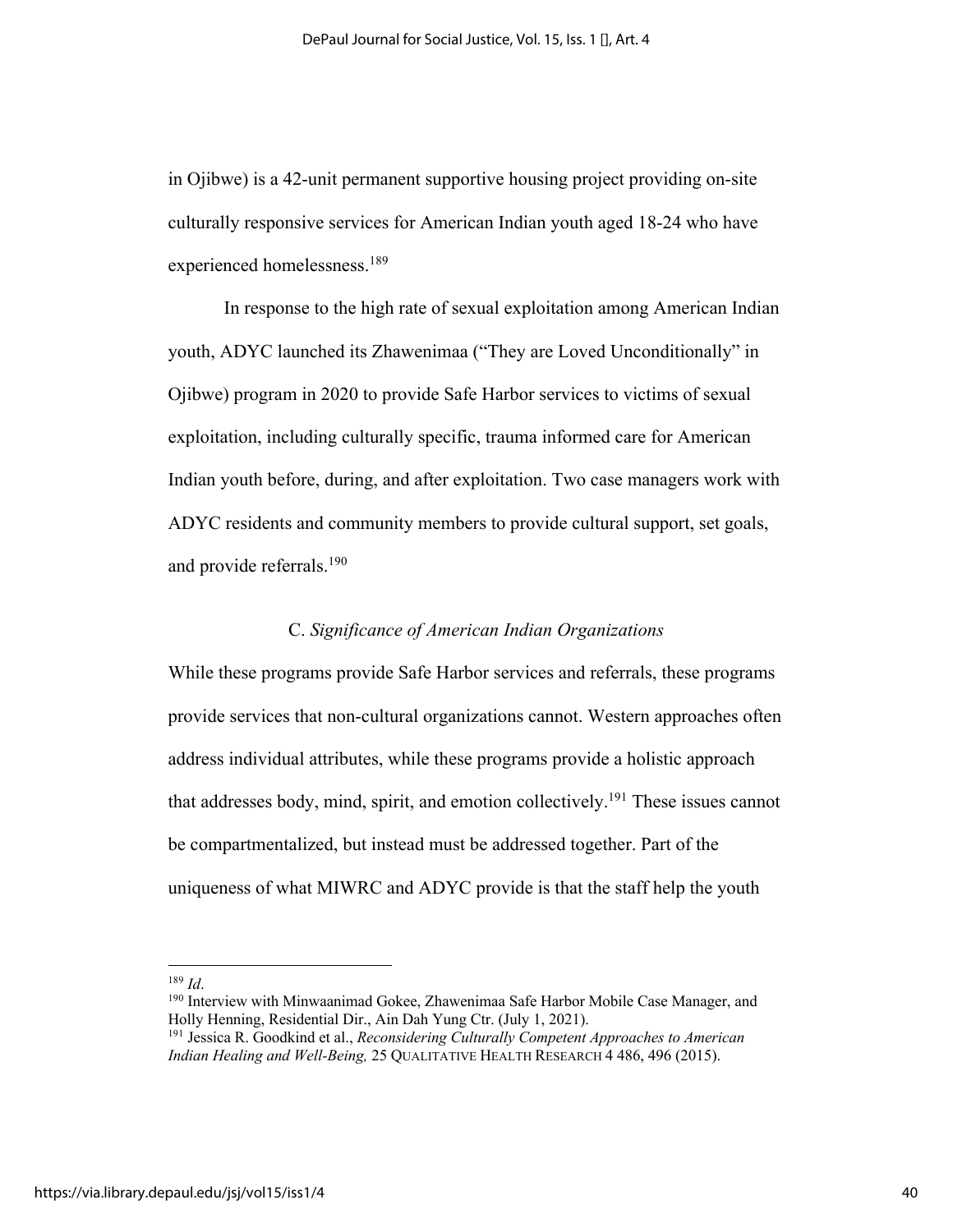in Ojibwe) is a 42-unit permanent supportive housing project providing on-site culturally responsive services for American Indian youth aged 18-24 who have experienced homelessness.189

In response to the high rate of sexual exploitation among American Indian youth, ADYC launched its Zhawenimaa ("They are Loved Unconditionally" in Ojibwe) program in 2020 to provide Safe Harbor services to victims of sexual exploitation, including culturally specific, trauma informed care for American Indian youth before, during, and after exploitation. Two case managers work with ADYC residents and community members to provide cultural support, set goals, and provide referrals.190

#### C. *Significance of American Indian Organizations*

While these programs provide Safe Harbor services and referrals, these programs provide services that non-cultural organizations cannot. Western approaches often address individual attributes, while these programs provide a holistic approach that addresses body, mind, spirit, and emotion collectively.191 These issues cannot be compartmentalized, but instead must be addressed together. Part of the uniqueness of what MIWRC and ADYC provide is that the staff help the youth

<sup>189</sup> *Id*.

<sup>&</sup>lt;sup>190</sup> Interview with Minwaanimad Gokee, Zhawenimaa Safe Harbor Mobile Case Manager, and Holly Henning, Residential Dir., Ain Dah Yung Ctr. (July 1, 2021).

<sup>191</sup> Jessica R. Goodkind et al., *Reconsidering Culturally Competent Approaches to American Indian Healing and Well-Being,* 25 QUALITATIVE HEALTH RESEARCH 4 486, 496 (2015).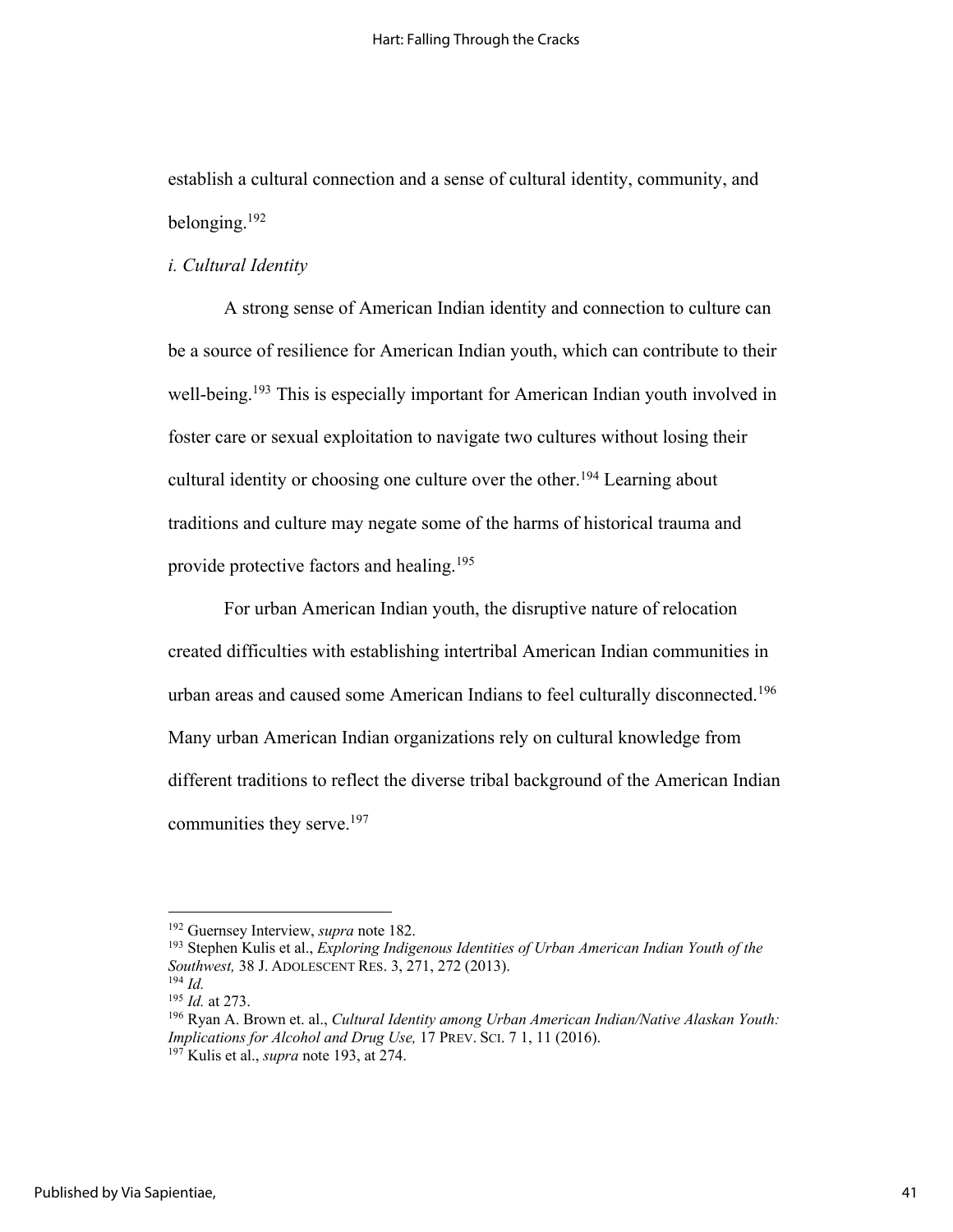establish a cultural connection and a sense of cultural identity, community, and belonging.192

### *i. Cultural Identity*

A strong sense of American Indian identity and connection to culture can be a source of resilience for American Indian youth, which can contribute to their well-being.<sup>193</sup> This is especially important for American Indian youth involved in foster care or sexual exploitation to navigate two cultures without losing their cultural identity or choosing one culture over the other.<sup>194</sup> Learning about traditions and culture may negate some of the harms of historical trauma and provide protective factors and healing. 195

For urban American Indian youth, the disruptive nature of relocation created difficulties with establishing intertribal American Indian communities in urban areas and caused some American Indians to feel culturally disconnected.<sup>196</sup> Many urban American Indian organizations rely on cultural knowledge from different traditions to reflect the diverse tribal background of the American Indian communities they serve.<sup>197</sup>

<sup>192</sup> Guernsey Interview, *supra* note 182.

<sup>193</sup> Stephen Kulis et al., *Exploring Indigenous Identities of Urban American Indian Youth of the Southwest,* 38 J. ADOLESCENT RES. 3, 271, 272 (2013).

<sup>194</sup> *Id.*

<sup>195</sup> *Id.* at 273.

<sup>196</sup> Ryan A. Brown et. al., *Cultural Identity among Urban American Indian/Native Alaskan Youth: Implications for Alcohol and Drug Use,* 17 PREV. SCI. 7 1, 11 (2016). <sup>197</sup> Kulis et al., *supra* note 193, at 274.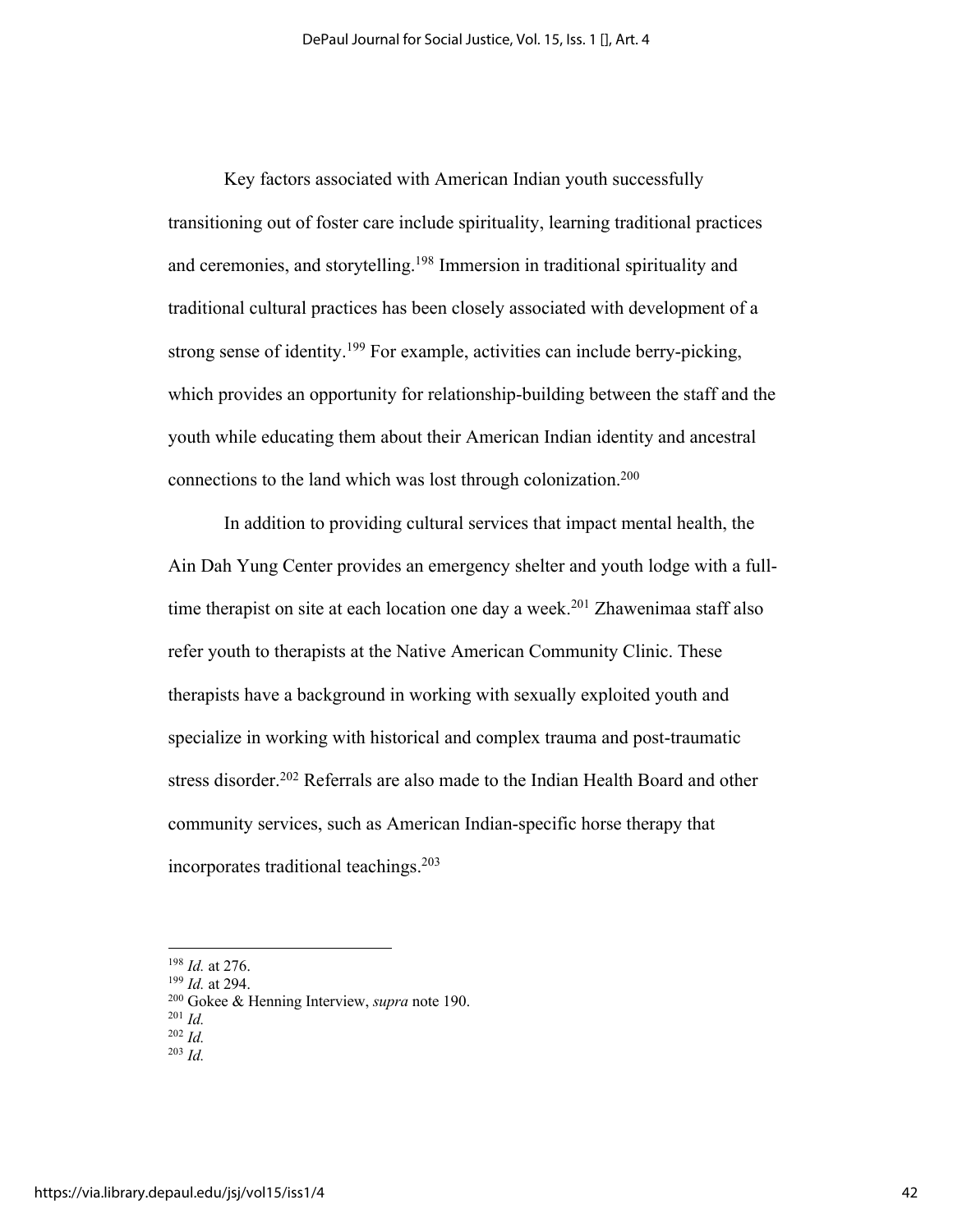Key factors associated with American Indian youth successfully transitioning out of foster care include spirituality, learning traditional practices and ceremonies, and storytelling.<sup>198</sup> Immersion in traditional spirituality and traditional cultural practices has been closely associated with development of a strong sense of identity.<sup>199</sup> For example, activities can include berry-picking, which provides an opportunity for relationship-building between the staff and the youth while educating them about their American Indian identity and ancestral connections to the land which was lost through colonization.<sup>200</sup>

In addition to providing cultural services that impact mental health, the Ain Dah Yung Center provides an emergency shelter and youth lodge with a fulltime therapist on site at each location one day a week.<sup>201</sup> Zhawenimaa staff also refer youth to therapists at the Native American Community Clinic. These therapists have a background in working with sexually exploited youth and specialize in working with historical and complex trauma and post-traumatic stress disorder.<sup>202</sup> Referrals are also made to the Indian Health Board and other community services, such as American Indian-specific horse therapy that incorporates traditional teachings.203

<sup>198</sup> *Id.* at 276.

<sup>199</sup> *Id.* at 294.

<sup>200</sup> Gokee & Henning Interview, *supra* note 190.

<sup>201</sup> *Id.*

<sup>202</sup> *Id.*

<sup>203</sup> *Id.*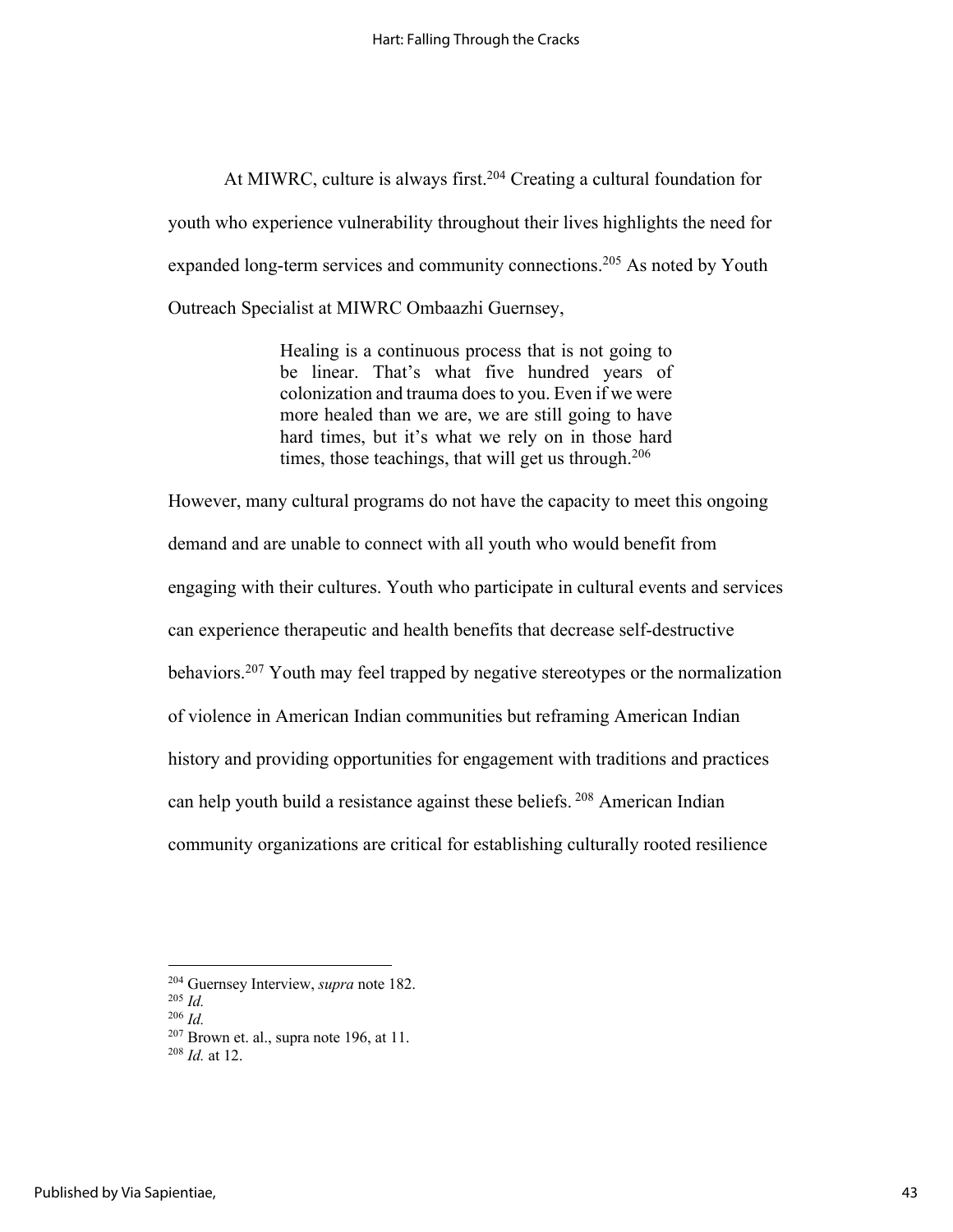At MIWRC, culture is always first.<sup>204</sup> Creating a cultural foundation for youth who experience vulnerability throughout their lives highlights the need for expanded long-term services and community connections.<sup>205</sup> As noted by Youth Outreach Specialist at MIWRC Ombaazhi Guernsey,

> Healing is a continuous process that is not going to be linear. That's what five hundred years of colonization and trauma does to you. Even if we were more healed than we are, we are still going to have hard times, but it's what we rely on in those hard times, those teachings, that will get us through.<sup>206</sup>

However, many cultural programs do not have the capacity to meet this ongoing demand and are unable to connect with all youth who would benefit from engaging with their cultures. Youth who participate in cultural events and services can experience therapeutic and health benefits that decrease self-destructive behaviors.<sup>207</sup> Youth may feel trapped by negative stereotypes or the normalization of violence in American Indian communities but reframing American Indian history and providing opportunities for engagement with traditions and practices can help youth build a resistance against these beliefs. <sup>208</sup> American Indian community organizations are critical for establishing culturally rooted resilience

<sup>204</sup> Guernsey Interview, *supra* note 182.

<sup>205</sup> *Id.*

<sup>206</sup> *Id.*

<sup>207</sup> Brown et. al., supra note 196, at 11.

<sup>208</sup> *Id.* at 12.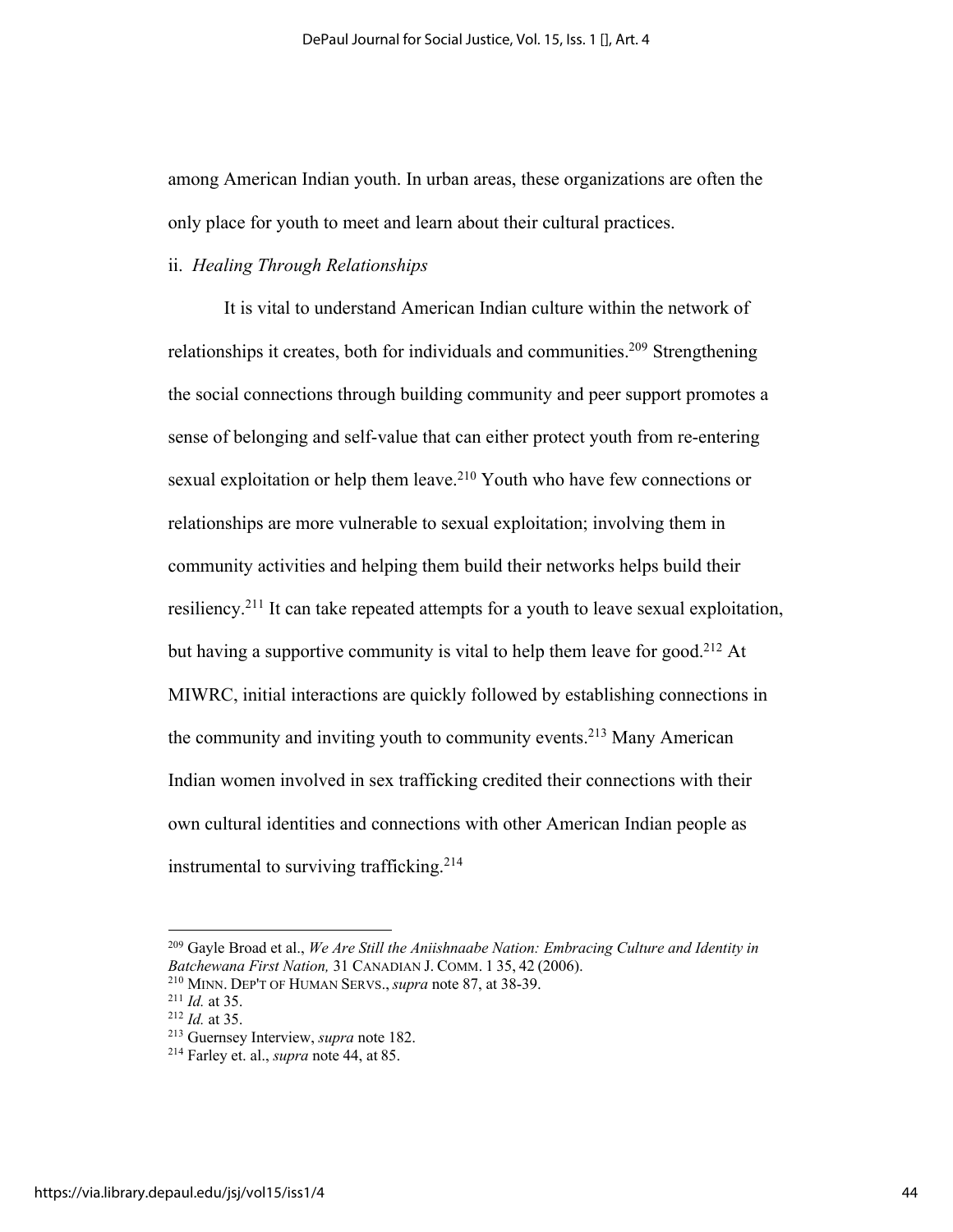among American Indian youth. In urban areas, these organizations are often the only place for youth to meet and learn about their cultural practices.

# ii. *Healing Through Relationships*

It is vital to understand American Indian culture within the network of relationships it creates, both for individuals and communities.<sup>209</sup> Strengthening the social connections through building community and peer support promotes a sense of belonging and self-value that can either protect youth from re-entering sexual exploitation or help them leave.<sup>210</sup> Youth who have few connections or relationships are more vulnerable to sexual exploitation; involving them in community activities and helping them build their networks helps build their resiliency.211 It can take repeated attempts for a youth to leave sexual exploitation, but having a supportive community is vital to help them leave for good.<sup>212</sup> At MIWRC, initial interactions are quickly followed by establishing connections in the community and inviting youth to community events.<sup>213</sup> Many American Indian women involved in sex trafficking credited their connections with their own cultural identities and connections with other American Indian people as instrumental to surviving trafficking.<sup>214</sup>

<sup>209</sup> Gayle Broad et al., *We Are Still the Aniishnaabe Nation: Embracing Culture and Identity in Batchewana First Nation,* 31 CANADIAN J. COMM. 1 35, 42 (2006).

<sup>210</sup> MINN. DEP'T OF HUMAN SERVS., *supra* note 87, at 38-39.

<sup>211</sup> *Id.* at 35.

<sup>212</sup> *Id.* at 35.

<sup>213</sup> Guernsey Interview, *supra* note 182.

<sup>214</sup> Farley et. al., *supra* note 44, at 85.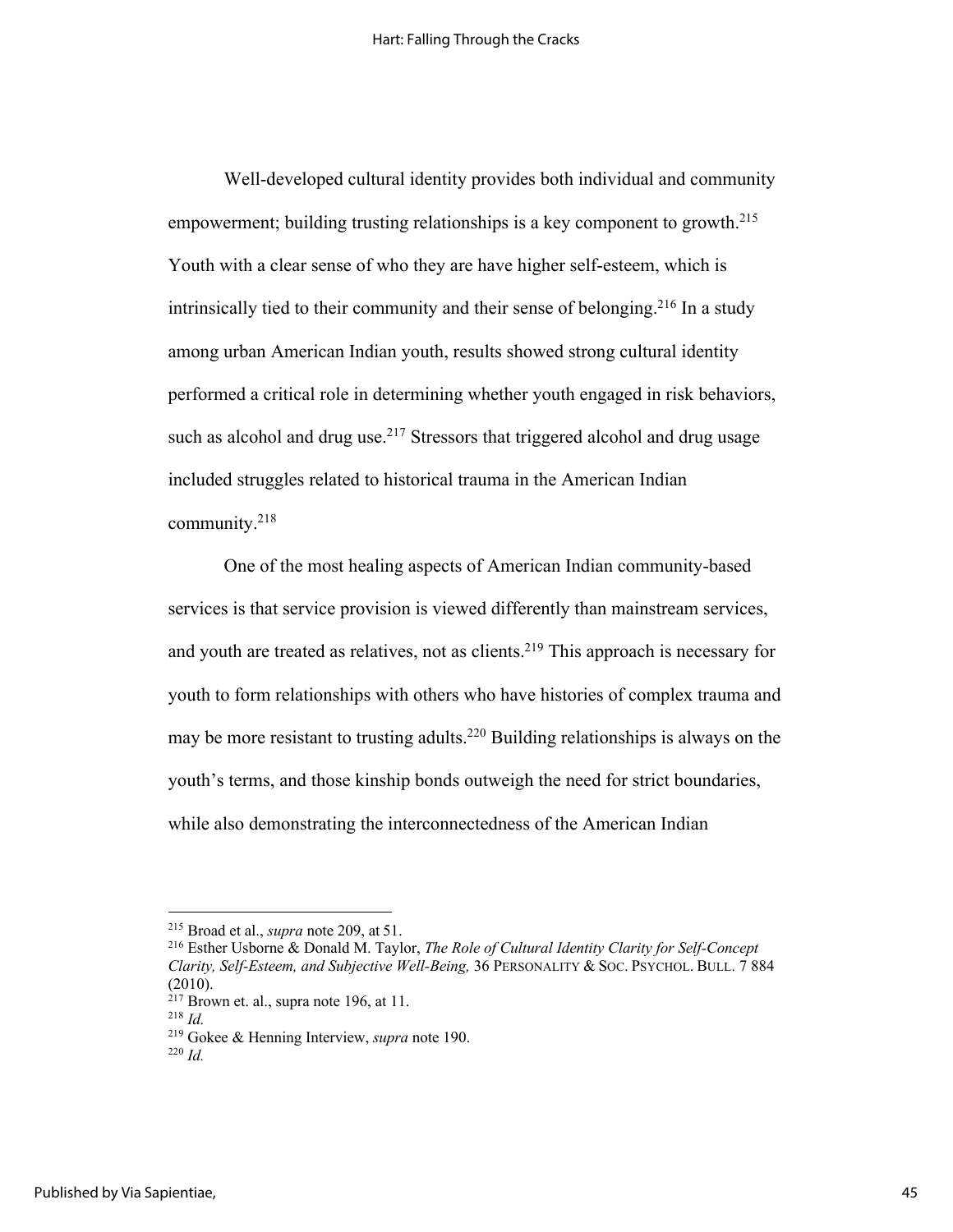Well-developed cultural identity provides both individual and community empowerment; building trusting relationships is a key component to growth.<sup>215</sup> Youth with a clear sense of who they are have higher self-esteem, which is intrinsically tied to their community and their sense of belonging.<sup>216</sup> In a study among urban American Indian youth, results showed strong cultural identity performed a critical role in determining whether youth engaged in risk behaviors, such as alcohol and drug use.<sup>217</sup> Stressors that triggered alcohol and drug usage included struggles related to historical trauma in the American Indian community.218

One of the most healing aspects of American Indian community-based services is that service provision is viewed differently than mainstream services, and youth are treated as relatives, not as clients.<sup>219</sup> This approach is necessary for youth to form relationships with others who have histories of complex trauma and may be more resistant to trusting adults.220 Building relationships is always on the youth's terms, and those kinship bonds outweigh the need for strict boundaries, while also demonstrating the interconnectedness of the American Indian

<sup>215</sup> Broad et al., *supra* note 209, at 51.

<sup>216</sup> Esther Usborne & Donald M. Taylor, *The Role of Cultural Identity Clarity for Self-Concept Clarity, Self-Esteem, and Subjective Well-Being,* 36 PERSONALITY & SOC. PSYCHOL. BULL. 7 884 (2010).

 $^{217}$  Brown et. al., supra note 196, at 11.

<sup>218</sup> *Id.*

<sup>219</sup> Gokee & Henning Interview, *supra* note 190.

<sup>220</sup> *Id.*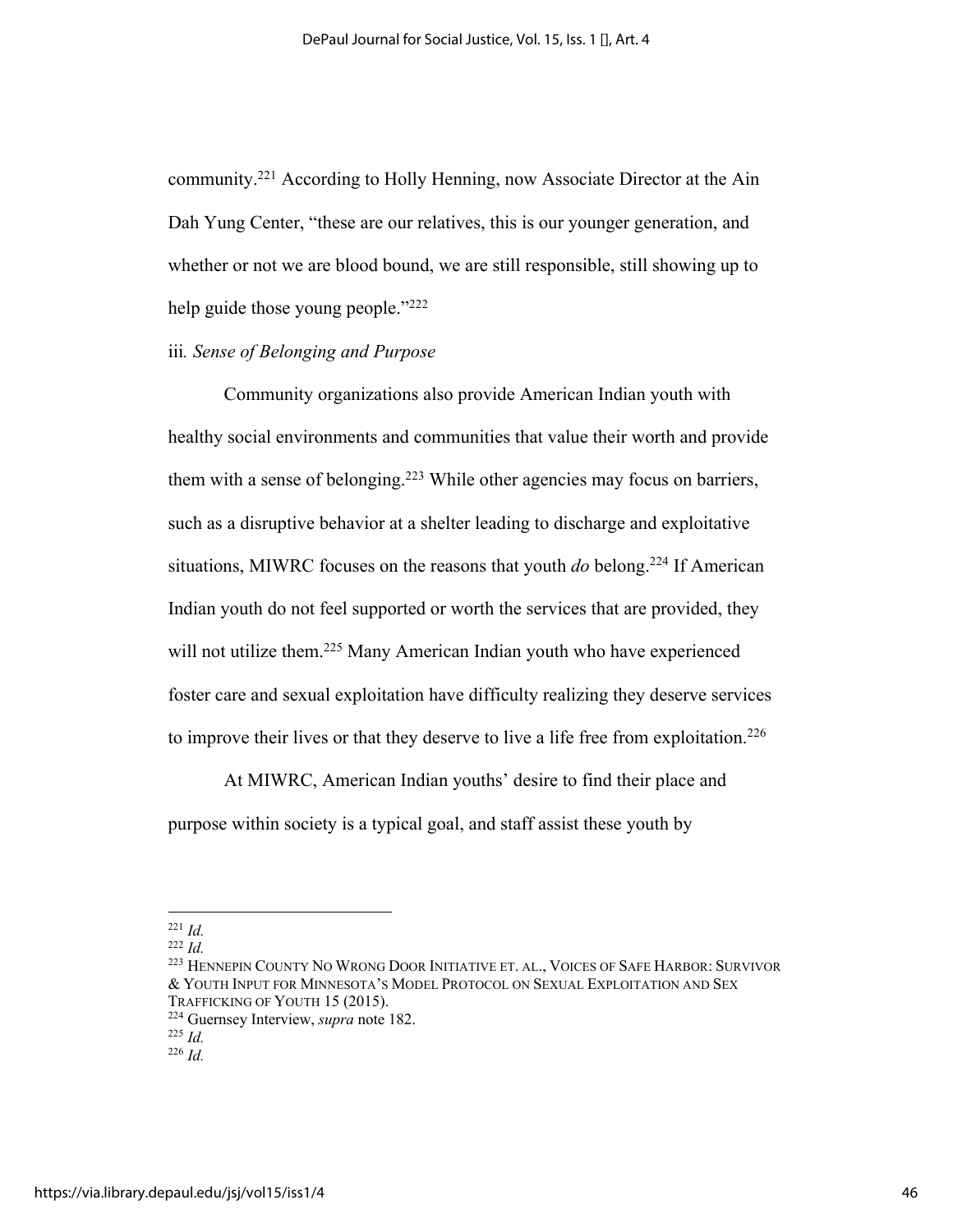community.221 According to Holly Henning, now Associate Director at the Ain Dah Yung Center, "these are our relatives, this is our younger generation, and whether or not we are blood bound, we are still responsible, still showing up to help guide those young people."<sup>222</sup>

## iii*. Sense of Belonging and Purpose*

Community organizations also provide American Indian youth with healthy social environments and communities that value their worth and provide them with a sense of belonging.<sup>223</sup> While other agencies may focus on barriers, such as a disruptive behavior at a shelter leading to discharge and exploitative situations, MIWRC focuses on the reasons that youth *do* belong.224 If American Indian youth do not feel supported or worth the services that are provided, they will not utilize them.<sup>225</sup> Many American Indian youth who have experienced foster care and sexual exploitation have difficulty realizing they deserve services to improve their lives or that they deserve to live a life free from exploitation.<sup>226</sup>

At MIWRC, American Indian youths' desire to find their place and purpose within society is a typical goal, and staff assist these youth by

<sup>221</sup> *Id.*

<sup>222</sup> *Id.*

<sup>223</sup> HENNEPIN COUNTY NO WRONG DOOR INITIATIVE ET. AL., VOICES OF SAFE HARBOR: SURVIVOR & YOUTH INPUT FOR MINNESOTA'S MODEL PROTOCOL ON SEXUAL EXPLOITATION AND SEX TRAFFICKING OF YOUTH 15 (2015).

<sup>224</sup> Guernsey Interview, *supra* note 182.

<sup>225</sup> *Id.*

<sup>226</sup> *Id.*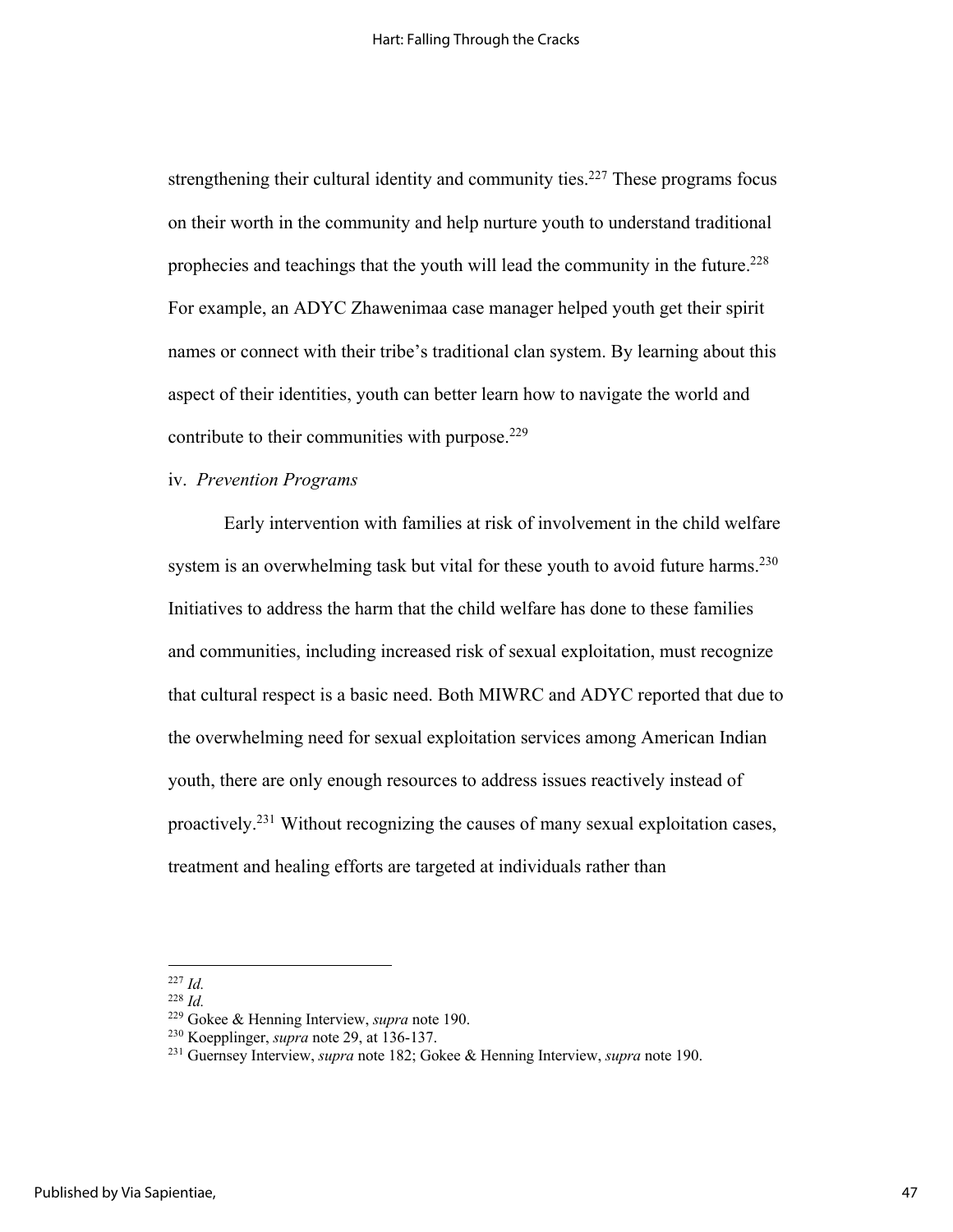strengthening their cultural identity and community ties.<sup>227</sup> These programs focus on their worth in the community and help nurture youth to understand traditional prophecies and teachings that the youth will lead the community in the future.<sup>228</sup> For example, an ADYC Zhawenimaa case manager helped youth get their spirit names or connect with their tribe's traditional clan system. By learning about this aspect of their identities, youth can better learn how to navigate the world and contribute to their communities with purpose. $229$ 

#### iv. *Prevention Programs*

Early intervention with families at risk of involvement in the child welfare system is an overwhelming task but vital for these youth to avoid future harms.<sup>230</sup> Initiatives to address the harm that the child welfare has done to these families and communities, including increased risk of sexual exploitation, must recognize that cultural respect is a basic need. Both MIWRC and ADYC reported that due to the overwhelming need for sexual exploitation services among American Indian youth, there are only enough resources to address issues reactively instead of proactively.<sup>231</sup> Without recognizing the causes of many sexual exploitation cases, treatment and healing efforts are targeted at individuals rather than

<sup>227</sup> *Id.*

<sup>228</sup> *Id.*

<sup>229</sup> Gokee & Henning Interview, *supra* note 190.

<sup>230</sup> Koepplinger, *supra* note 29, at 136-137.

<sup>231</sup> Guernsey Interview, *supra* note 182; Gokee & Henning Interview, *supra* note 190.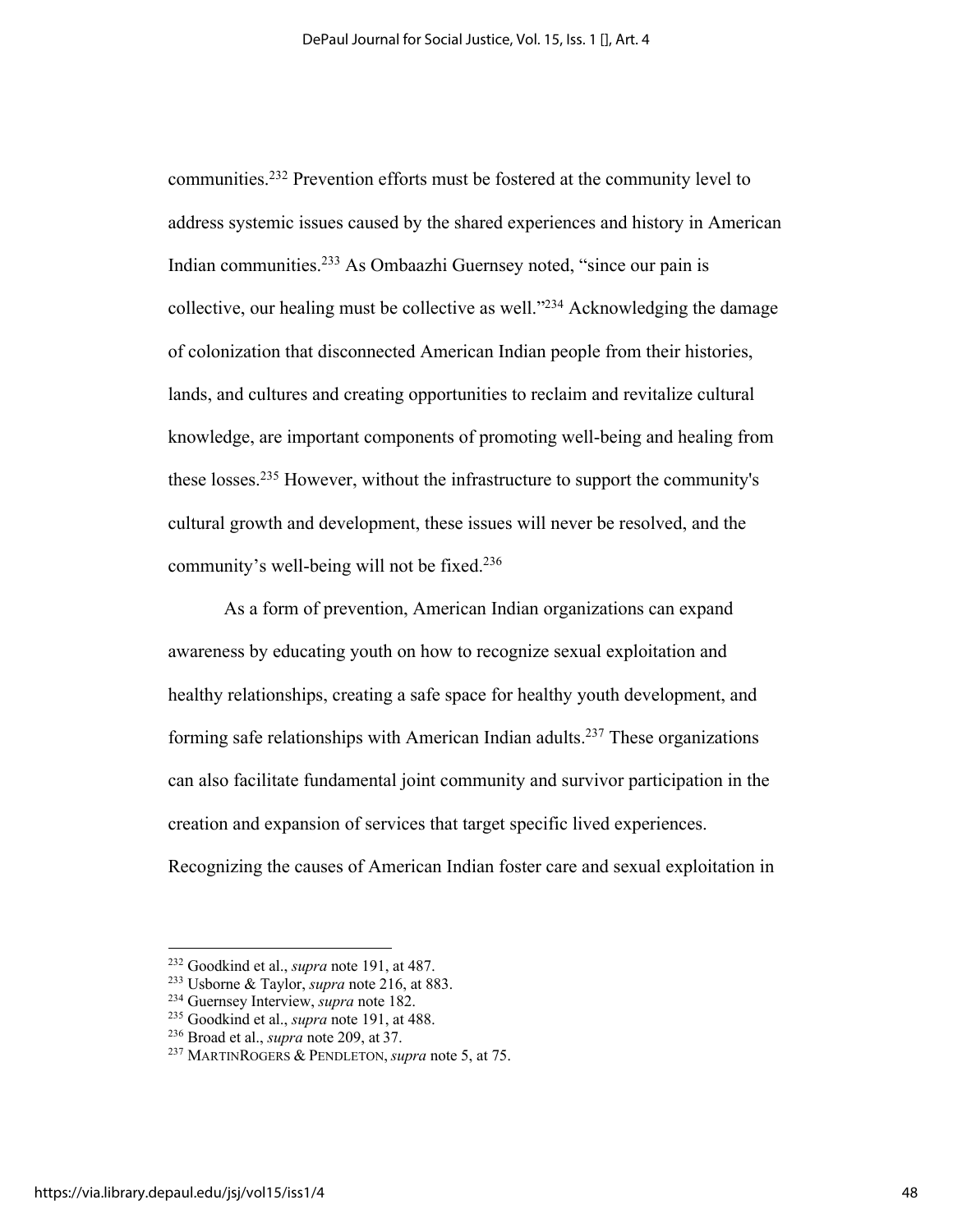communities. <sup>232</sup> Prevention efforts must be fostered at the community level to address systemic issues caused by the shared experiences and history in American Indian communities.233 As Ombaazhi Guernsey noted, "since our pain is collective, our healing must be collective as well. $^{234}$  Acknowledging the damage of colonization that disconnected American Indian people from their histories, lands, and cultures and creating opportunities to reclaim and revitalize cultural knowledge, are important components of promoting well-being and healing from these losses.235 However, without the infrastructure to support the community's cultural growth and development, these issues will never be resolved, and the community's well-being will not be fixed.236

As a form of prevention, American Indian organizations can expand awareness by educating youth on how to recognize sexual exploitation and healthy relationships, creating a safe space for healthy youth development, and forming safe relationships with American Indian adults.<sup>237</sup> These organizations can also facilitate fundamental joint community and survivor participation in the creation and expansion of services that target specific lived experiences. Recognizing the causes of American Indian foster care and sexual exploitation in

<sup>232</sup> Goodkind et al., *supra* note 191, at 487.

<sup>233</sup> Usborne & Taylor, *supra* note 216, at 883.

<sup>234</sup> Guernsey Interview, *supra* note 182.

<sup>235</sup> Goodkind et al., *supra* note 191, at 488.

<sup>236</sup> Broad et al., *supra* note 209, at 37.

<sup>237</sup> MARTINROGERS & PENDLETON, *supra* note 5, at 75.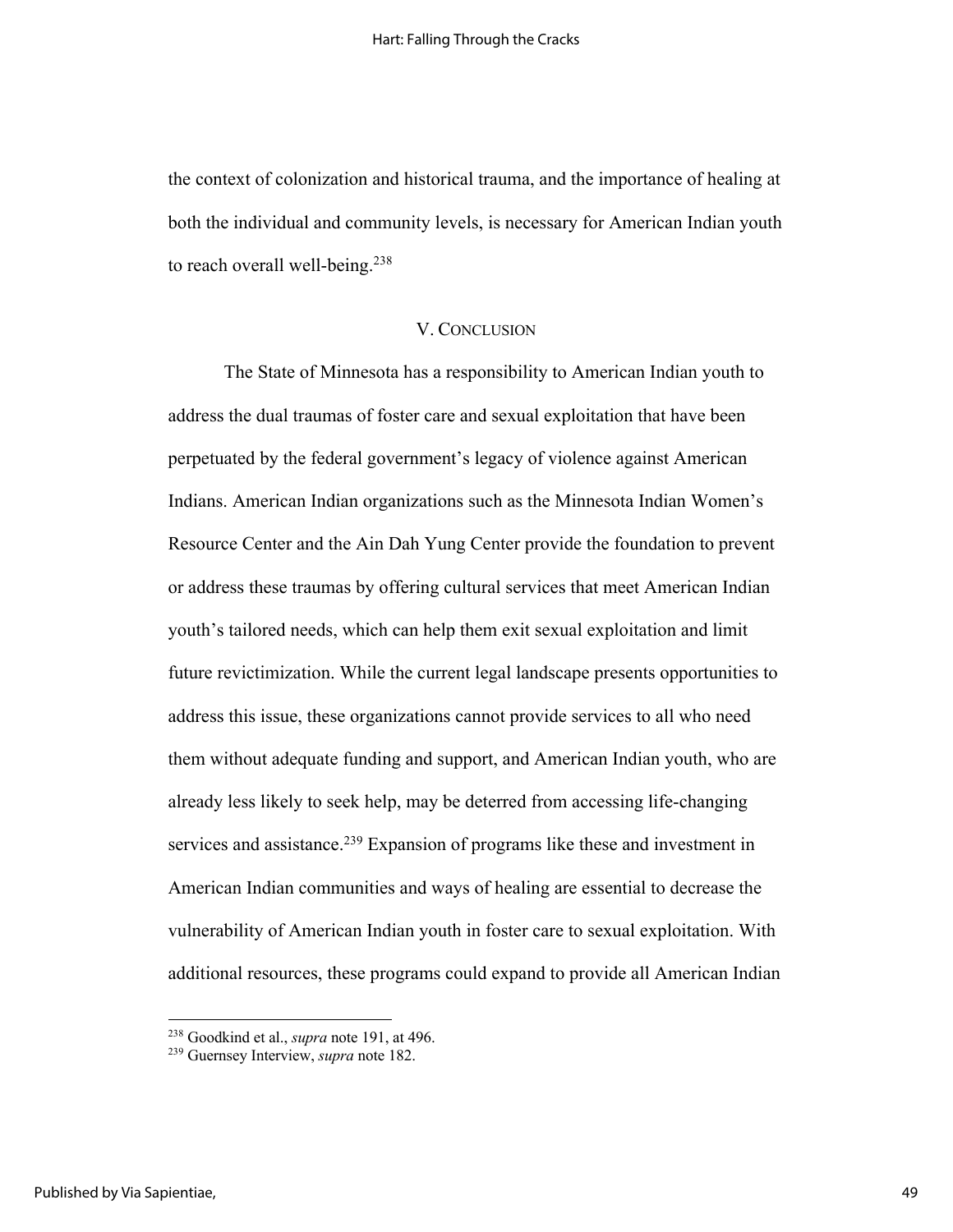the context of colonization and historical trauma, and the importance of healing at both the individual and community levels, is necessary for American Indian youth to reach overall well-being. $238$ 

#### V. CONCLUSION

The State of Minnesota has a responsibility to American Indian youth to address the dual traumas of foster care and sexual exploitation that have been perpetuated by the federal government's legacy of violence against American Indians. American Indian organizations such as the Minnesota Indian Women's Resource Center and the Ain Dah Yung Center provide the foundation to prevent or address these traumas by offering cultural services that meet American Indian youth's tailored needs, which can help them exit sexual exploitation and limit future revictimization. While the current legal landscape presents opportunities to address this issue, these organizations cannot provide services to all who need them without adequate funding and support, and American Indian youth, who are already less likely to seek help, may be deterred from accessing life-changing services and assistance.<sup>239</sup> Expansion of programs like these and investment in American Indian communities and ways of healing are essential to decrease the vulnerability of American Indian youth in foster care to sexual exploitation. With additional resources, these programs could expand to provide all American Indian

<sup>238</sup> Goodkind et al., *supra* note 191, at 496.

<sup>239</sup> Guernsey Interview, *supra* note 182.